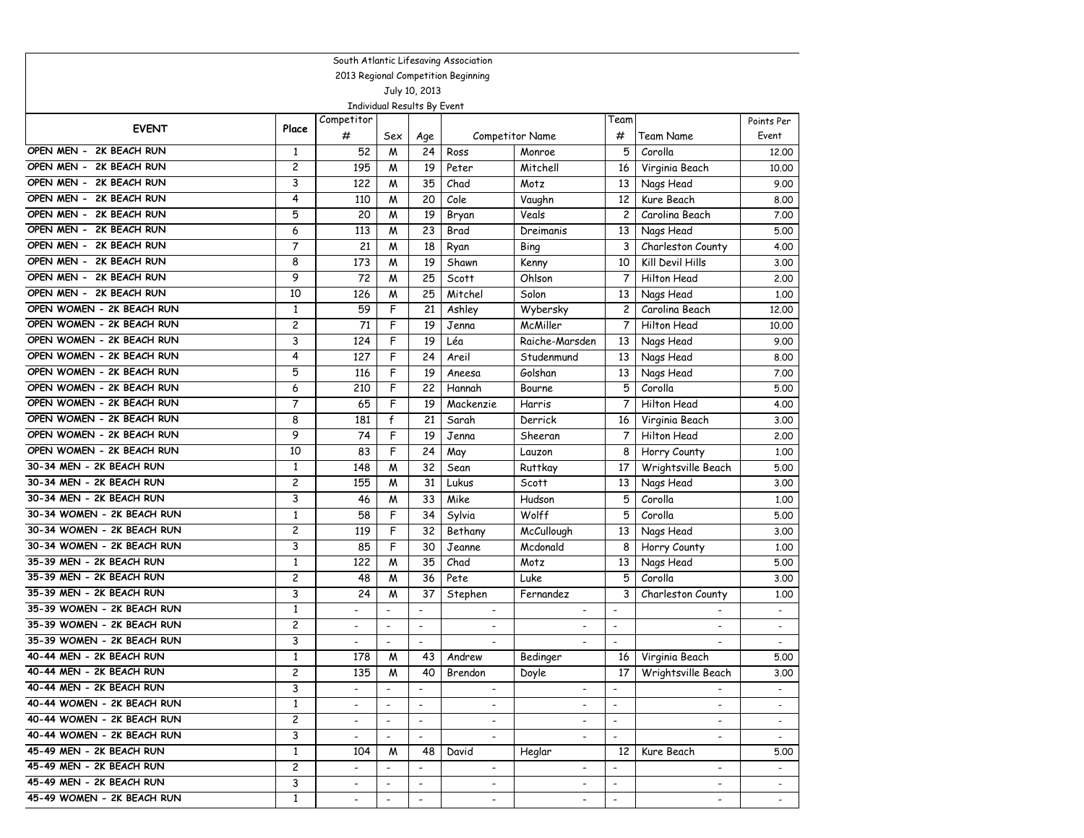| South Atlantic Lifesaving Association                  |                   |                          |                          |                          |                          |                          |                          |                          |                          |  |  |
|--------------------------------------------------------|-------------------|--------------------------|--------------------------|--------------------------|--------------------------|--------------------------|--------------------------|--------------------------|--------------------------|--|--|
| 2013 Regional Competition Beginning                    |                   |                          |                          |                          |                          |                          |                          |                          |                          |  |  |
| July 10, 2013<br>Individual Results By Event           |                   |                          |                          |                          |                          |                          |                          |                          |                          |  |  |
|                                                        |                   | Competitor               |                          |                          |                          |                          | Team                     |                          | Points Per               |  |  |
| <b>EVENT</b>                                           | Place             | #                        | Sex                      | Age                      |                          | <b>Competitor Name</b>   | #                        | Team Name                | Event                    |  |  |
| OPEN MEN - 2K BEACH RUN                                | $\mathbf{1}$      | 52                       | M                        | 24                       | Ross                     | Monroe                   | 5                        | Corolla                  | 12,00                    |  |  |
| OPEN MEN - 2K BEACH RUN                                | 2                 | 195                      | M                        | 19                       | Peter                    | Mitchell                 | 16                       | Virginia Beach           | 10.00                    |  |  |
| OPEN MEN - 2K BEACH RUN                                | 3                 | 122                      | M                        | 35                       | Chad                     | Motz                     | 13                       | Nags Head                | 9.00                     |  |  |
| OPEN MEN - 2K BEACH RUN                                | 4                 | 110                      | M                        | 20                       | Cole                     | Vaughn                   | 12                       | Kure Beach               | 8.00                     |  |  |
| OPEN MEN - 2K BEACH RUN                                | 5                 | 20                       | M                        | 19                       | Bryan                    | Veals                    | $\overline{c}$           | Carolina Beach           | 7.00                     |  |  |
| OPEN MEN - 2K BEACH RUN                                | 6                 | 113                      | M                        | 23                       | Brad                     | Dreimanis                | 13                       | Nags Head                | 5.00                     |  |  |
| OPEN MEN - 2K BEACH RUN                                | 7                 | 21                       | M                        | 18                       | Ryan                     | Bing                     | 3                        | Charleston County        | 4.00                     |  |  |
| 2K BEACH RUN<br>OPEN MEN -                             | 8                 | 173                      | M                        | 19                       | Shawn                    | Kenny                    | 10                       | Kill Devil Hills         | 3.00                     |  |  |
| OPEN MEN - 2K BEACH RUN                                | 9                 | 72                       | M                        | 25                       | Scott                    | Ohlson                   | 7                        | Hilton Head              | 2.00                     |  |  |
| OPEN MEN - 2K BEACH RUN                                | 10                | 126                      | M                        | 25                       | Mitchel                  | Solon                    | 13                       | Nags Head                | 1.00                     |  |  |
| OPEN WOMEN - 2K BEACH RUN                              | $\mathbf{1}$      | 59                       | F                        | 21                       | Ashley                   | Wybersky                 | $\overline{c}$           | Carolina Beach           | 12,00                    |  |  |
| OPEN WOMEN - 2K BEACH RUN                              | 2                 | 71                       | F                        | 19                       | Jenna                    | McMiller                 | $\overline{7}$           | <b>Hilton Head</b>       | 10.00                    |  |  |
| OPEN WOMEN - 2K BEACH RUN                              | 3                 | 124                      | F                        | 19                       | Léa                      | Raiche-Marsden           | 13                       | Nags Head                | 9.00                     |  |  |
| OPEN WOMEN - 2K BEACH RUN                              | 4                 | 127                      | F                        | 24                       | Areil                    | Studenmund               | 13                       | Nags Head                | 8.00                     |  |  |
| OPEN WOMEN - 2K BEACH RUN                              | 5                 | 116                      | F                        | 19                       | Aneesa                   | Golshan                  | 13                       | Nags Head                | 7.00                     |  |  |
| OPEN WOMEN - 2K BEACH RUN                              | 6                 | 210                      | F                        | 22                       | Hannah                   | Bourne                   | 5                        | Corolla                  | 5.00                     |  |  |
| OPEN WOMEN - 2K BEACH RUN                              | $\overline{7}$    | 65                       | F                        | 19                       | Mackenzie                | Harris                   | $\overline{7}$           | Hilton Head              | 4.00                     |  |  |
| OPEN WOMEN - 2K BEACH RUN<br>OPEN WOMEN - 2K BEACH RUN | 8                 | 181                      | $\mathsf{f}$             | 21                       | Sarah                    | Derrick                  | 16                       | Virginia Beach           | 3.00                     |  |  |
| OPEN WOMEN - 2K BEACH RUN                              | 9                 | 74                       | F                        | 19                       | Jenna                    | Sheeran                  | $\overline{7}$           | <b>Hilton Head</b>       | 2.00                     |  |  |
| 30-34 MEN - 2K BEACH RUN                               | 10                | 83                       | F                        | 24                       | May                      | Lauzon                   | 8                        | Horry County             | 1,00                     |  |  |
| 30-34 MEN - 2K BEACH RUN                               | $\mathbf{1}$<br>2 | 148<br>155               | M                        | 32<br>31                 | Sean                     | <b>Ruttkay</b>           | 17<br>13                 | Wrightsville Beach       | 5.00                     |  |  |
| 30-34 MEN - 2K BEACH RUN                               | 3                 | 46                       | M<br>M                   | 33                       | Lukus<br>Mike            | Scott<br>Hudson          | 5                        | Nags Head<br>Corolla     | 3.00                     |  |  |
| 30-34 WOMEN - 2K BEACH RUN                             | $\mathbf{1}$      | 58                       | F                        | 34                       |                          | Wolff                    | 5                        | Corolla                  | 1.00                     |  |  |
| 30-34 WOMEN - 2K BEACH RUN                             | 2                 | 119                      | F                        | 32                       | Sylvia<br>Bethany        | McCullough               | 13                       | Nags Head                | 5.00<br>3.00             |  |  |
| 30-34 WOMEN - 2K BEACH RUN                             | 3                 | 85                       | F                        | 30                       | Jeanne                   | Mcdonald                 | 8                        | Horry County             | 1.00                     |  |  |
| 35-39 MEN - 2K BEACH RUN                               | $\mathbf{1}$      | 122                      | M                        | 35                       | Chad                     | Motz                     | 13                       | Nags Head                | 5.00                     |  |  |
| 35-39 MEN - 2K BEACH RUN                               | 2                 | 48                       | M                        | 36                       | Pete                     | Luke                     | 5                        | Corolla                  | 3.00                     |  |  |
| 35-39 MEN - 2K BEACH RUN                               | 3                 | 24                       | M                        | 37                       | Stephen                  | Fernandez                | 3                        | Charleston County        | 1.00                     |  |  |
| 35-39 WOMEN - 2K BEACH RUN                             | $\mathbf{1}$      |                          |                          | $\overline{\phantom{a}}$ | $\blacksquare$           | $\overline{\phantom{a}}$ | $\overline{a}$           |                          | $\overline{\phantom{a}}$ |  |  |
| 35-39 WOMEN - 2K BEACH RUN                             | 2                 | $\overline{\phantom{a}}$ | $\overline{\phantom{a}}$ | $\overline{\phantom{a}}$ | $\overline{\phantom{a}}$ | $\overline{a}$           | $\overline{\phantom{a}}$ | $\overline{\phantom{a}}$ | $\overline{\phantom{a}}$ |  |  |
| 35-39 WOMEN - 2K BEACH RUN                             | 3                 | $\overline{\phantom{a}}$ | $\overline{\phantom{a}}$ | $\blacksquare$           | $\overline{\phantom{a}}$ | $\overline{a}$           | $\blacksquare$           | $\overline{\phantom{a}}$ | $\overline{\phantom{a}}$ |  |  |
| 40-44 MEN - 2K BEACH RUN                               | $\mathbf{1}$      | 178                      | M                        | 43                       | Andrew                   | Bedinger                 | 16                       | Virginia Beach           | 5.00                     |  |  |
| 40-44 MEN - 2K BEACH RUN                               | 2                 | 135                      | M                        | 40                       | Brendon                  | Doyle                    | 17                       | Wrightsville Beach       | 3.00                     |  |  |
| 40-44 MEN - 2K BEACH RUN                               | 3                 |                          |                          |                          |                          |                          |                          |                          |                          |  |  |
| 40-44 WOMEN - 2K BEACH RUN                             | $\mathbf{1}$      | $\overline{\phantom{a}}$ | $\overline{\phantom{a}}$ | $\overline{\phantom{a}}$ | $\overline{\phantom{a}}$ | $\overline{\phantom{a}}$ | $\overline{\phantom{a}}$ | $\overline{\phantom{a}}$ | $\overline{\phantom{a}}$ |  |  |
| 40-44 WOMEN - 2K BEACH RUN                             | $\overline{c}$    | $\overline{\phantom{a}}$ | $\overline{\phantom{a}}$ | $\overline{\phantom{a}}$ | $\overline{\phantom{a}}$ | $\overline{\phantom{a}}$ | $\blacksquare$           | $\blacksquare$           | $\overline{\phantom{a}}$ |  |  |
| 40-44 WOMEN - 2K BEACH RUN                             | 3                 | $\overline{\phantom{a}}$ | $\overline{\phantom{a}}$ | $\blacksquare$           | $\overline{\phantom{a}}$ | $\overline{\phantom{a}}$ | $\overline{\phantom{a}}$ | $\overline{\phantom{a}}$ | $\sim$                   |  |  |
| 45-49 MEN - 2K BEACH RUN                               | $\mathbf{1}$      | 104                      | M                        | 48                       | David                    | Heglar                   | 12                       | Kure Beach               | 5.00                     |  |  |
| 45-49 MEN - 2K BEACH RUN                               | $\overline{c}$    | $\overline{\phantom{a}}$ | $\overline{\phantom{a}}$ | $\overline{\phantom{a}}$ | $\overline{\phantom{a}}$ | $\overline{\phantom{a}}$ | $\overline{\phantom{a}}$ | $\overline{\phantom{a}}$ | $\sim$                   |  |  |
| 45-49 MEN - 2K BEACH RUN                               | 3                 | $\overline{\phantom{a}}$ | $\overline{\phantom{a}}$ | $\overline{\phantom{a}}$ | $\overline{\phantom{a}}$ | $\overline{\phantom{a}}$ | $\overline{\phantom{a}}$ | -                        | $\sim$                   |  |  |
| 45-49 WOMEN - 2K BEACH RUN                             | $\mathbf{1}$      |                          |                          | $\overline{\phantom{a}}$ | $\overline{\phantom{a}}$ |                          | $\blacksquare$           |                          |                          |  |  |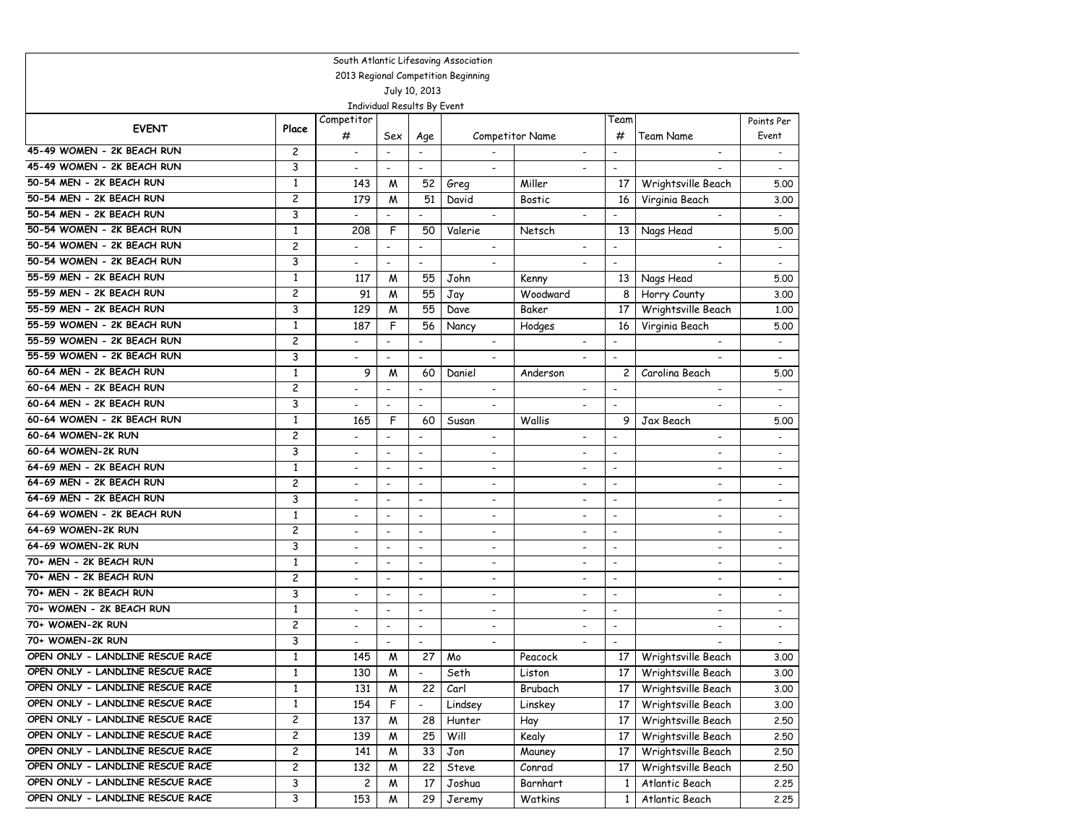| South Atlantic Lifesaving Association                                |                                     |                          |                          |                          |                              |                          |                          |                          |                          |  |  |
|----------------------------------------------------------------------|-------------------------------------|--------------------------|--------------------------|--------------------------|------------------------------|--------------------------|--------------------------|--------------------------|--------------------------|--|--|
|                                                                      | 2013 Regional Competition Beginning |                          |                          |                          |                              |                          |                          |                          |                          |  |  |
| July 10, 2013<br>Individual Results By Event                         |                                     |                          |                          |                          |                              |                          |                          |                          |                          |  |  |
|                                                                      |                                     | Competitor               |                          |                          |                              |                          | Team                     |                          |                          |  |  |
| <b>EVENT</b>                                                         | Place                               | #                        | Sex                      | Age                      |                              | Competitor Name          | #                        | Team Name                | Points Per<br>Event      |  |  |
| 45-49 WOMEN - 2K BEACH RUN                                           | 2                                   | $\overline{\phantom{a}}$ | $\overline{\phantom{a}}$ | $\overline{\phantom{a}}$ |                              | $\overline{\phantom{a}}$ | $\overline{\phantom{a}}$ | $\overline{\phantom{a}}$ | $\overline{\phantom{a}}$ |  |  |
| 45-49 WOMEN - 2K BEACH RUN                                           | 3                                   | $\blacksquare$           | $\overline{\phantom{a}}$ | $\overline{\phantom{a}}$ | $\overline{\phantom{a}}$     | $\overline{\phantom{a}}$ | $\overline{\phantom{a}}$ |                          | $\overline{\phantom{a}}$ |  |  |
| 50-54 MEN - 2K BEACH RUN                                             | $\mathbf{1}$                        | 143                      | M                        | 52                       | Greg                         | Miller                   | 17                       | Wrightsville Beach       | 5.00                     |  |  |
| 50-54 MEN - 2K BEACH RUN                                             | $\overline{c}$                      | 179                      | M                        | 51                       | David                        | <b>Bostic</b>            | 16                       | Virginia Beach           | 3.00                     |  |  |
| 50-54 MEN - 2K BEACH RUN                                             | 3                                   | $\overline{\phantom{a}}$ | $\overline{\phantom{a}}$ | $\overline{\phantom{a}}$ | $\overline{\phantom{a}}$     |                          | $\overline{\phantom{a}}$ | $\overline{\phantom{a}}$ | $\blacksquare$           |  |  |
| 50-54 WOMEN - 2K BEACH RUN                                           | $\mathbf{1}$                        | 208                      | F                        | 50                       | Valerie                      | Netsch                   | 13                       | Nags Head                | 5.00                     |  |  |
| 50-54 WOMEN - 2K BEACH RUN                                           | $\overline{c}$                      | $\overline{\phantom{a}}$ | $\overline{\phantom{a}}$ | $\overline{a}$           | $\overline{\phantom{a}}$     |                          | $\overline{\phantom{a}}$ |                          | $\overline{\phantom{a}}$ |  |  |
| 50-54 WOMEN - 2K BEACH RUN                                           | 3                                   | $\overline{\phantom{a}}$ | $\blacksquare$           | $\overline{\phantom{a}}$ | $\overline{\phantom{a}}$     |                          | $\overline{\phantom{a}}$ |                          |                          |  |  |
| 55-59 MEN - 2K BEACH RUN                                             | 1                                   | 117                      | M                        | 55                       | John                         | Kenny                    | 13                       | Nags Head                | 5.00                     |  |  |
| 55-59 MEN - 2K BEACH RUN                                             | $\overline{c}$                      | 91                       | M                        | 55                       | Jay                          | Woodward                 | 8                        | Horry County             | 3.00                     |  |  |
| 55-59 MEN - 2K BEACH RUN                                             | 3                                   | 129                      | M                        | 55                       | Dave                         | Baker                    | 17                       | Wrightsville Beach       | 1,00                     |  |  |
| 55-59 WOMEN - 2K BEACH RUN                                           | $\mathbf{1}$                        | $18\overline{7}$         | F                        | 56                       | Nancy                        | Hodges                   | 16                       | Virginia Beach           | 5.00                     |  |  |
| 55-59 WOMEN - 2K BEACH RUN                                           | 2                                   | $\overline{\phantom{a}}$ | $\overline{\phantom{a}}$ | $\overline{a}$           | $\overline{\phantom{a}}$     | $\blacksquare$           | $\overline{\phantom{a}}$ | $\overline{\phantom{a}}$ |                          |  |  |
| 55-59 WOMEN - 2K BEACH RUN                                           | 3                                   | $\overline{\phantom{a}}$ | $\overline{\phantom{a}}$ | $\overline{\phantom{a}}$ | $\overline{\phantom{a}}$     |                          | $\overline{\phantom{a}}$ |                          | $\overline{\phantom{a}}$ |  |  |
| 60-64 MEN - 2K BEACH RUN                                             | $\mathbf{1}$                        | 9                        | M                        | 60                       | Daniel                       | Anderson                 | 2                        | Carolina Beach           | 5.00                     |  |  |
| 60-64 MEN - 2K BEACH RUN                                             | 2                                   | $\overline{\phantom{a}}$ | $\overline{\phantom{a}}$ | $\overline{\phantom{a}}$ |                              | $\overline{a}$           | $\overline{\phantom{a}}$ |                          |                          |  |  |
| 60-64 MEN - 2K BEACH RUN                                             | 3                                   | $\overline{a}$           | $\overline{\phantom{a}}$ | $\blacksquare$           |                              |                          | $\overline{\phantom{a}}$ |                          |                          |  |  |
| 60-64 WOMEN - 2K BEACH RUN                                           | $\mathbf{1}$                        | 165                      | F                        | 60                       | Susan                        | Wallis                   | 9                        | Jax Beach                | 5.00                     |  |  |
| 60-64 WOMEN-2K RUN                                                   | $\overline{c}$                      |                          | $\overline{\phantom{a}}$ | $\overline{a}$           |                              |                          | $\blacksquare$           |                          |                          |  |  |
| 60-64 WOMEN-2K RUN                                                   | 3                                   | $\overline{\phantom{a}}$ | $\overline{\phantom{a}}$ | $\overline{\phantom{a}}$ | $\overline{\phantom{a}}$     | $\overline{\phantom{a}}$ | $\overline{\phantom{a}}$ | $\blacksquare$           |                          |  |  |
| 64-69 MEN - 2K BEACH RUN                                             | $\mathbf{1}$                        | $\overline{\phantom{a}}$ | $\overline{\phantom{a}}$ | $\overline{\phantom{a}}$ | $\overline{\phantom{a}}$     | $\blacksquare$           | $\overline{\phantom{a}}$ | $\blacksquare$           | $\overline{\phantom{a}}$ |  |  |
| 64-69 MEN - 2K BEACH RUN                                             | 2                                   | $\overline{\phantom{a}}$ | $\overline{\phantom{a}}$ | $\overline{\phantom{a}}$ | $\qquad \qquad \blacksquare$ | $\overline{\phantom{a}}$ | $\overline{\phantom{a}}$ | $\overline{\phantom{a}}$ | $\overline{\phantom{a}}$ |  |  |
| 64-69 MEN - 2K BEACH RUN                                             | 3                                   | $\overline{\phantom{a}}$ | $\overline{\phantom{a}}$ | $\overline{\phantom{a}}$ | $\overline{\phantom{a}}$     | $\overline{a}$           | $\overline{\phantom{a}}$ | $\overline{\phantom{a}}$ |                          |  |  |
| 64-69 WOMEN - 2K BEACH RUN                                           | 1                                   | $\overline{\phantom{a}}$ | $\overline{a}$           | $\overline{\phantom{a}}$ |                              | $\overline{\phantom{a}}$ | $\blacksquare$           | $\overline{\phantom{a}}$ |                          |  |  |
| 64-69 WOMEN-2K RUN                                                   | 2                                   | $\overline{\phantom{a}}$ | $\blacksquare$           | $\overline{\phantom{a}}$ | $\overline{\phantom{a}}$     | $\blacksquare$           | $\overline{\phantom{a}}$ | $\blacksquare$           | $\overline{\phantom{a}}$ |  |  |
| 64-69 WOMEN-2K RUN                                                   | 3                                   | $\overline{\phantom{a}}$ | $\overline{\phantom{a}}$ | $\overline{\phantom{a}}$ | $\overline{\phantom{a}}$     | $\overline{\phantom{a}}$ | $\overline{\phantom{a}}$ | $\blacksquare$           |                          |  |  |
| 70+ MEN - 2K BEACH RUN                                               | $\mathbf{1}$                        | $\overline{\phantom{a}}$ | $\overline{\phantom{a}}$ | $\overline{\phantom{a}}$ | $\overline{\phantom{a}}$     | $\overline{\phantom{a}}$ | $\overline{\phantom{a}}$ | $\blacksquare$           | $\overline{\phantom{a}}$ |  |  |
| 70+ MEN - 2K BEACH RUN                                               | $\overline{c}$                      | $\overline{\phantom{a}}$ | $\overline{\phantom{a}}$ | $\overline{\phantom{a}}$ | $\qquad \qquad \blacksquare$ | $\overline{\phantom{a}}$ | $\overline{\phantom{a}}$ | $\overline{\phantom{a}}$ | $\overline{\phantom{a}}$ |  |  |
| 70+ MEN - 2K BEACH RUN                                               | 3                                   | $\overline{\phantom{a}}$ | $\overline{\phantom{a}}$ | $\overline{\phantom{a}}$ | $\overline{\phantom{a}}$     | $\overline{\phantom{a}}$ | $\overline{\phantom{a}}$ | $\blacksquare$           | $\overline{\phantom{a}}$ |  |  |
| 70+ WOMEN - 2K BEACH RUN                                             | $\mathbf{1}$                        |                          | $\overline{\phantom{a}}$ | $\overline{\phantom{a}}$ |                              | $\overline{\phantom{a}}$ | $\overline{\phantom{a}}$ |                          |                          |  |  |
| 70+ WOMEN-2K RUN                                                     | $\overline{c}$                      | $\overline{\phantom{a}}$ | $\overline{\phantom{a}}$ | $\overline{\phantom{a}}$ | $\overline{\phantom{a}}$     | $\overline{\phantom{a}}$ | $\overline{\phantom{a}}$ | $\blacksquare$           |                          |  |  |
| 70+ WOMEN-2K RUN                                                     | 3                                   | $\overline{\phantom{a}}$ | $\overline{\phantom{a}}$ | $\overline{\phantom{a}}$ | $\overline{\phantom{a}}$     | $\overline{\phantom{a}}$ | $\overline{\phantom{a}}$ |                          | $\overline{\phantom{a}}$ |  |  |
| OPEN ONLY - LANDLINE RESCUE RACE                                     | $\mathbf{1}$                        | 145                      | M                        | 27                       | Mo                           | Peacock                  | 17                       | Wrightsville Beach       | 3.00                     |  |  |
| OPEN ONLY - LANDLINE RESCUE RACE                                     | $\mathbf{1}$                        | 130                      | M                        | $\overline{\phantom{a}}$ | Seth                         | Liston                   | 17                       | Wrightsville Beach       | 3.00                     |  |  |
| OPEN ONLY - LANDLINE RESCUE RACE                                     | $\mathbf{1}$                        | 131                      | M                        | 22                       | Carl                         | Brubach                  | 17                       | Wrightsville Beach       | 3.00                     |  |  |
| OPEN ONLY - LANDLINE RESCUE RACE                                     | $\mathbf{1}$                        | 154                      | F                        | $\overline{\phantom{a}}$ | Lindsey                      | Linskey                  | 17                       | Wrightsville Beach       | 3.00                     |  |  |
| OPEN ONLY - LANDLINE RESCUE RACE<br>OPEN ONLY - LANDLINE RESCUE RACE | $\overline{c}$                      | 137                      | M                        | 28                       | Hunter                       | Hay                      | 17                       | Wrightsville Beach       | 2.50                     |  |  |
| OPEN ONLY - LANDLINE RESCUE RACE                                     | 2                                   | 139                      | M                        | 25                       | Will                         | Kealy                    | 17                       | Wrightsville Beach       | 2,50                     |  |  |
| OPEN ONLY - LANDLINE RESCUE RACE                                     | $\overline{\mathbf{c}}$             | 141                      | M                        | 33                       | Jon                          | Mauney                   | 17                       | Wrightsville Beach       | 2.50                     |  |  |
| OPEN ONLY - LANDLINE RESCUE RACE                                     | 2<br>3                              | 132                      | M                        | 22                       | Steve                        | Conrad                   | 17                       | Wrightsville Beach       | 2.50                     |  |  |
| OPEN ONLY - LANDLINE RESCUE RACE                                     |                                     | 2                        | M                        | 17                       | Joshua                       | Barnhart                 | 1                        | Atlantic Beach           | 2.25                     |  |  |
|                                                                      | 3                                   | 153                      | M                        | 29                       | Jeremy                       | Watkins                  | $\mathbf{1}$             | Atlantic Beach           | 2.25                     |  |  |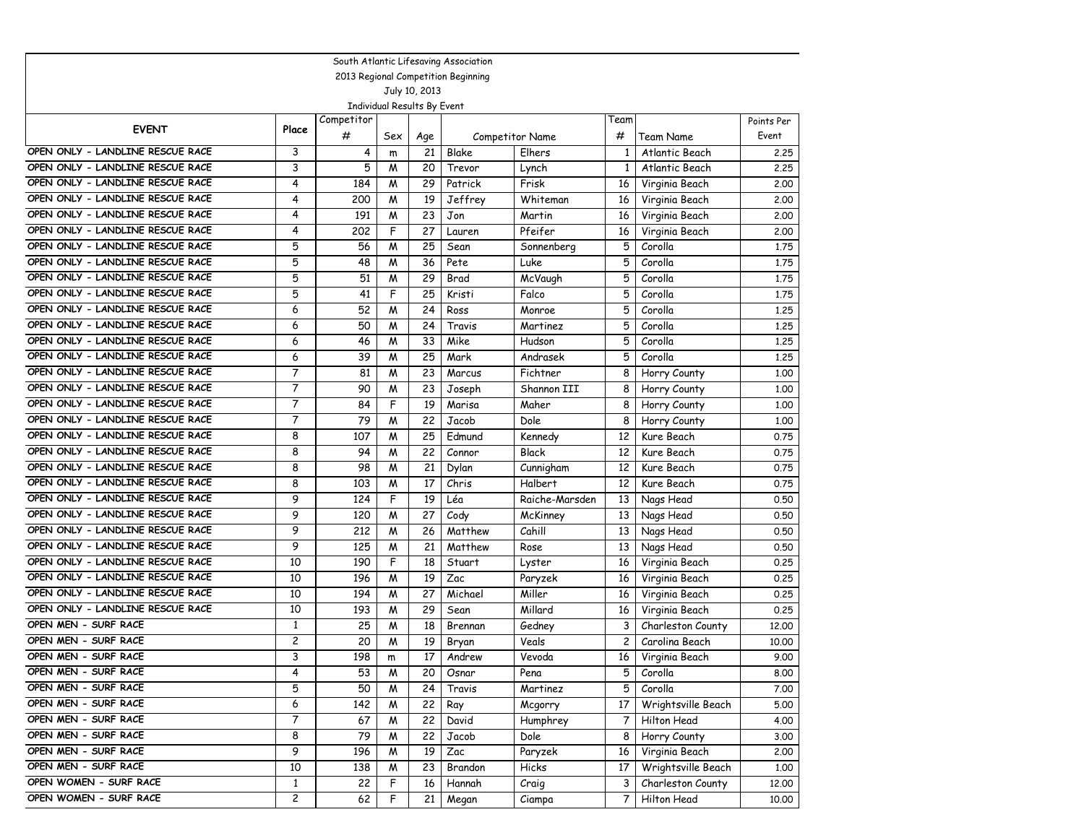| South Atlantic Lifesaving Association |                |            |                             |               |                                     |                 |              |                    |            |  |  |
|---------------------------------------|----------------|------------|-----------------------------|---------------|-------------------------------------|-----------------|--------------|--------------------|------------|--|--|
|                                       |                |            |                             |               | 2013 Regional Competition Beginning |                 |              |                    |            |  |  |
|                                       |                |            |                             | July 10, 2013 |                                     |                 |              |                    |            |  |  |
|                                       |                |            | Individual Results By Event |               |                                     |                 |              |                    |            |  |  |
| <b>EVENT</b>                          | Place          | Competitor |                             |               |                                     |                 | Team         |                    | Points Per |  |  |
|                                       |                | #          | Sex                         | Age           |                                     | Competitor Name | #            | Team Name          | Event      |  |  |
| OPEN ONLY - LANDLINE RESCUE RACE      | 3              | 4          | m                           | 21            | Blake                               | Elhers          | 1            | Atlantic Beach     | 2.25       |  |  |
| OPEN ONLY - LANDLINE RESCUE RACE      | 3              | 5          | M                           | 20            | Trevor                              | Lynch           | $\mathbf{1}$ | Atlantic Beach     | 2.25       |  |  |
| OPEN ONLY - LANDLINE RESCUE RACE      | 4              | 184        | M                           | 29            | Patrick                             | Frisk           | 16           | Virginia Beach     | 2.00       |  |  |
| OPEN ONLY - LANDLINE RESCUE RACE      | 4              | 200        | M                           | 19            | Jeffrey                             | Whiteman        | 16           | Virginia Beach     | 2.00       |  |  |
| OPEN ONLY - LANDLINE RESCUE RACE      | 4              | 191        | M                           | 23            | Jon                                 | Martin          | 16           | Virginia Beach     | 2.00       |  |  |
| OPEN ONLY - LANDLINE RESCUE RACE      | 4              | 202        | F                           | 27            | Lauren                              | Pfeifer         | 16           | Virginia Beach     | 2.00       |  |  |
| OPEN ONLY - LANDLINE RESCUE RACE      | 5              | 56         | M                           | 25            | Sean                                | Sonnenberg      | 5            | Corolla            | 1.75       |  |  |
| OPEN ONLY - LANDLINE RESCUE RACE      | 5              | 48         | M                           | 36            | Pete                                | Luke            | 5            | Corolla            | 1.75       |  |  |
| OPEN ONLY - LANDLINE RESCUE RACE      | 5              | 51         | M                           | 29            | Brad                                | McVaugh         | 5            | Corolla            | 1.75       |  |  |
| OPEN ONLY - LANDLINE RESCUE RACE      | 5              | 41         | F                           | 25            | Kristi                              | Falco           | 5            | Corolla            | 1.75       |  |  |
| OPEN ONLY - LANDLINE RESCUE RACE      | 6              | 52         | M                           | 24            | Ross                                | Monroe          | 5            | Corolla            | 1.25       |  |  |
| OPEN ONLY - LANDLINE RESCUE RACE      | 6              | 50         | M                           | 24            | Travis                              | Martinez        | 5            | Corolla            | 1.25       |  |  |
| OPEN ONLY - LANDLINE RESCUE RACE      | 6              | 46         | M                           | 33            | Mike                                | Hudson          | 5            | Corolla            | 1,25       |  |  |
| OPEN ONLY - LANDLINE RESCUE RACE      | 6              | 39         | M                           | 25            | Mark                                | Andrasek        | 5            | Corolla            | 1.25       |  |  |
| OPEN ONLY - LANDLINE RESCUE RACE      | 7              | 81         | M                           | 23            | Marcus                              | Fichtner        | 8            | Horry County       | 1.00       |  |  |
| OPEN ONLY - LANDLINE RESCUE RACE      | $\overline{7}$ | 90         | M                           | 23            | Joseph                              | Shannon III     | 8            | Horry County       | 1.00       |  |  |
| OPEN ONLY - LANDLINE RESCUE RACE      | 7              | 84         | F                           | 19            | Marisa                              | Maher           | 8            | Horry County       | 1.00       |  |  |
| OPEN ONLY - LANDLINE RESCUE RACE      | $\overline{7}$ | 79         | M                           | 22            | Jacob                               | Dole            | 8            | Horry County       | 1.00       |  |  |
| OPEN ONLY - LANDLINE RESCUE RACE      | 8              | 107        | M                           | 25            | Edmund                              | Kennedy         | 12           | Kure Beach         | 0.75       |  |  |
| OPEN ONLY - LANDLINE RESCUE RACE      | 8              | 94         | M                           | 22            | Connor                              | <b>Black</b>    | 12           | Kure Beach         | 0.75       |  |  |
| OPEN ONLY - LANDLINE RESCUE RACE      | 8              | 98         | M                           | 21            | Dylan                               | Cunnigham       | 12           | Kure Beach         | 0.75       |  |  |
| OPEN ONLY - LANDLINE RESCUE RACE      | 8              | 103        | M                           | 17            | Chris                               | Halbert         | 12           | Kure Beach         | 0.75       |  |  |
| OPEN ONLY - LANDLINE RESCUE RACE      | 9              | 124        | F                           | 19            | Léa                                 | Raiche-Marsden  | 13           | Nags Head          | 0.50       |  |  |
| OPEN ONLY - LANDLINE RESCUE RACE      | 9              | 120        | M                           | 27            | Cody                                | McKinney        | 13           | Nags Head          | 0.50       |  |  |
| OPEN ONLY - LANDLINE RESCUE RACE      | 9              | 212        | M                           | 26            | Matthew                             | Cahill          | 13           | Nags Head          | 0.50       |  |  |
| OPEN ONLY - LANDLINE RESCUE RACE      | 9              | 125        | M                           | 21            | Matthew                             | Rose            | 13           | Nags Head          | 0.50       |  |  |
| OPEN ONLY - LANDLINE RESCUE RACE      | 10             | 190        | F                           | 18            | Stuart                              | Lyster          | 16           | Virginia Beach     | 0.25       |  |  |
| OPEN ONLY - LANDLINE RESCUE RACE      | 10             | 196        | M                           | 19            | Zac                                 | Paryzek         | 16           | Virginia Beach     | 0.25       |  |  |
| OPEN ONLY - LANDLINE RESCUE RACE      | 10             | 194        | M                           | 27            | Michael                             | Miller          | 16           | Virginia Beach     | 0.25       |  |  |
| OPEN ONLY - LANDLINE RESCUE RACE      | 10             | 193        | W                           | 29            | Sean                                | Millard         | 16           | Virginia Beach     | 0.25       |  |  |
| OPEN MEN - SURF RACE                  | $\mathbf{1}$   | 25         | M                           | 18            | Brennan                             | Gedney          | 3            | Charleston County  | 12,00      |  |  |
| OPEN MEN - SURF RACE                  | 2              | 20         | M                           | 19            | Bryan                               | Veals           | 2            | Carolina Beach     | 10.00      |  |  |
| OPEN MEN - SURF RACE                  | 3              | 198        | m                           | 17            | Andrew                              | Vevoda          | 16           | Virginia Beach     | 9.00       |  |  |
| OPEN MEN - SURF RACE                  | 4              | 53         | M                           | 20            | Osnar                               | Pena            | 5            | Corolla            | 8.00       |  |  |
| OPEN MEN - SURF RACE                  | 5              | 50         | M                           | 24            | Travis                              | Martinez        | 5            | Corolla            | 7.00       |  |  |
| OPEN MEN - SURF RACE                  | 6              | 142        | M                           | 22            | Ray                                 | Mcgorry         | 17           | Wrightsville Beach | 5.00       |  |  |
| OPEN MEN - SURF RACE                  | 7              | 67         | M                           | 22            | David                               | Humphrey        | 7            | Hilton Head        | 4.00       |  |  |
| OPEN MEN - SURF RACE                  | 8              | 79         | M                           | 22            | Jacob                               | Dole            | 8            | Horry County       | 3.00       |  |  |
| OPEN MEN - SURF RACE                  | 9              | 196        | M                           | 19            | Zac                                 | Paryzek         | 16           | Virginia Beach     | 2.00       |  |  |
| OPEN MEN - SURF RACE                  | 10             | 138        | M                           | 23            | Brandon                             | Hicks           | 17           | Wrightsville Beach | 1.00       |  |  |
| OPEN WOMEN - SURF RACE                | $\mathbf{1}$   | 22         | F                           | 16            | Hannah                              | Craig           | 3            | Charleston County  | 12.00      |  |  |
| OPEN WOMEN - SURF RACE                | 2              | 62         | F                           | 21            | Megan                               | Ciampa          | 7            | Hilton Head        | 10.00      |  |  |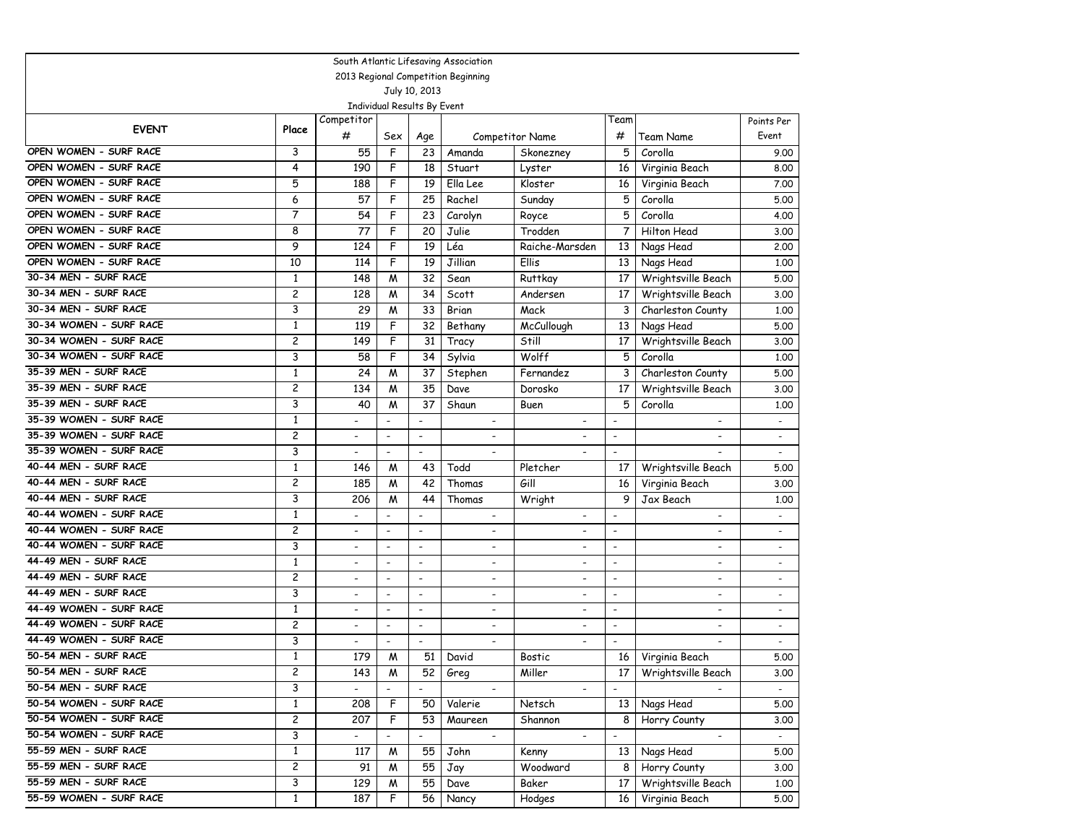| South Atlantic Lifesaving Association |                         |                          |                          |                             |                              |                          |                          |                          |                          |  |  |
|---------------------------------------|-------------------------|--------------------------|--------------------------|-----------------------------|------------------------------|--------------------------|--------------------------|--------------------------|--------------------------|--|--|
| 2013 Regional Competition Beginning   |                         |                          |                          |                             |                              |                          |                          |                          |                          |  |  |
| July 10, 2013                         |                         |                          |                          |                             |                              |                          |                          |                          |                          |  |  |
|                                       |                         |                          |                          | Individual Results By Event |                              |                          |                          |                          |                          |  |  |
| <b>EVENT</b>                          | Place                   | Competitor               |                          |                             |                              |                          | Team                     |                          | Points Per               |  |  |
|                                       |                         | #                        | Sex                      | Age                         |                              | <b>Competitor Name</b>   | #                        | Team Name                | Event                    |  |  |
| OPEN WOMEN - SURF RACE                | 3                       | 55                       | F                        | 23                          | Amanda                       | Skonezney                | 5                        | Corolla                  | 9.00                     |  |  |
| OPEN WOMEN - SURF RACE                | 4                       | 190                      | F                        | 18                          | Stuart                       | Lyster                   | 16                       | Virginia Beach           | 8.00                     |  |  |
| OPEN WOMEN - SURF RACE                | 5                       | 188                      | F                        | 19                          | Ella Lee                     | Kloster                  | 16                       | Virginia Beach           | 7.00                     |  |  |
| OPEN WOMEN - SURF RACE                | 6                       | 57                       | F                        | 25                          | Rachel                       | Sunday                   | 5                        | Corolla                  | 5.00                     |  |  |
| OPEN WOMEN - SURF RACE                | $\overline{7}$          | 54                       | F                        | 23                          | Carolyn                      | Royce                    | 5                        | Corolla                  | 4.00                     |  |  |
| OPEN WOMEN - SURF RACE                | 8                       | 77                       | F                        | 20                          | Julie                        | Trodden                  | 7                        | Hilton Head              | 3.00                     |  |  |
| OPEN WOMEN - SURF RACE                | 9                       | 124                      | F                        | 19                          | Léa                          | Raiche-Marsden           | 13                       | Nags Head                | 2,00                     |  |  |
| OPEN WOMEN - SURF RACE                | 10                      | 114                      | F                        | 19                          | Jillian                      | <b>Ellis</b>             | 13                       | Nags Head                | 1,00                     |  |  |
| 30-34 MEN - SURF RACE                 | $\mathbf{1}$            | 148                      | M                        | 32                          | Sean                         | Ruttkay                  | 17                       | Wrightsville Beach       | 5.00                     |  |  |
| 30-34 MEN - SURF RACE                 | $\overline{c}$          | 128                      | M                        | 34                          | Scott                        | Andersen                 | 17                       | Wrightsville Beach       | 3.00                     |  |  |
| 30-34 MEN - SURF RACE                 | 3                       | 29                       | M                        | 33                          | Brian                        | Mack                     | 3                        | Charleston County        | 1.00                     |  |  |
| 30-34 WOMEN - SURF RACE               | $\mathbf{1}$            | 119                      | F                        | 32                          | Bethany                      | McCullough               | 13                       | Nags Head                | 5.00                     |  |  |
| 30-34 WOMEN - SURF RACE               | $\overline{c}$          | 149                      | F                        | 31                          | Tracy                        | Still                    | 17                       | Wrightsville Beach       | 3.00                     |  |  |
| 30-34 WOMEN - SURF RACE               | 3                       | 58                       | F                        | 34                          | Sylvia                       | Wolff                    | 5                        | Corolla                  | 1.00                     |  |  |
| 35-39 MEN - SURF RACE                 | $\mathbf{1}$            | 24                       | M                        | 37                          | Stephen                      | Fernandez                | 3                        | Charleston County        | 5.00                     |  |  |
| 35-39 MEN - SURF RACE                 | $\overline{c}$          | 134                      | M                        | 35                          | Dave                         | Dorosko                  | 17                       | Wrightsville Beach       | 3.00                     |  |  |
| 35-39 MEN - SURF RACE                 | 3                       | 40                       | M                        | 37                          | Shaun                        | Buen                     | 5                        | Corolla                  | 1,00                     |  |  |
| 35-39 WOMEN - SURF RACE               | $\mathbf{1}$            | $\overline{\phantom{a}}$ | $\overline{\phantom{a}}$ | $\blacksquare$              | $\overline{\phantom{a}}$     | $\overline{\phantom{a}}$ | $\overline{\phantom{a}}$ | $\blacksquare$           | $\overline{\phantom{a}}$ |  |  |
| 35-39 WOMEN - SURF RACE               | $\overline{c}$          | $\overline{\phantom{a}}$ | $\overline{\phantom{a}}$ | $\overline{\phantom{a}}$    | $\overline{\phantom{a}}$     |                          | $\overline{\phantom{a}}$ |                          |                          |  |  |
| 35-39 WOMEN - SURF RACE               | 3                       | $\overline{a}$           | $\overline{\phantom{a}}$ | $\overline{\phantom{a}}$    | $\overline{\phantom{a}}$     |                          | $\overline{\phantom{0}}$ |                          | $\overline{a}$           |  |  |
| 40-44 MEN - SURF RACE                 | $\mathbf{1}$            | 146                      | M                        | 43                          | Todd                         | Pletcher                 | 17                       | Wrightsville Beach       | 5.00                     |  |  |
| 40-44 MEN - SURF RACE                 | $\overline{c}$          | 185                      | M                        | 42                          | Thomas                       | Gill                     | 16                       | Virginia Beach           | 3.00                     |  |  |
| 40-44 MEN - SURF RACE                 | 3                       | 206                      | M                        | 44                          | Thomas                       | Wright                   | 9                        | Jax Beach                | 1,00                     |  |  |
| 40-44 WOMEN - SURF RACE               | $\mathbf{1}$            | $\overline{\phantom{a}}$ | $\overline{\phantom{a}}$ | $\overline{\phantom{a}}$    | $\overline{\phantom{a}}$     | $\overline{\phantom{a}}$ | $\blacksquare$           | $\overline{\phantom{a}}$ |                          |  |  |
| 40-44 WOMEN - SURF RACE               | 2                       | $\overline{\phantom{a}}$ | $\overline{\phantom{a}}$ | $\overline{\phantom{a}}$    | $\overline{\phantom{a}}$     | $\overline{\phantom{a}}$ | $\overline{\phantom{a}}$ | $\overline{\phantom{a}}$ | $\overline{\phantom{a}}$ |  |  |
| 40-44 WOMEN - SURF RACE               | 3                       | $\overline{\phantom{a}}$ | $\overline{\phantom{a}}$ | $\overline{\phantom{a}}$    | $\overline{\phantom{a}}$     | $\overline{\phantom{a}}$ | $\overline{\phantom{a}}$ | $\blacksquare$           |                          |  |  |
| 44-49 MEN - SURF RACE                 | $\mathbf{1}$            | $\overline{\phantom{a}}$ | $\overline{\phantom{a}}$ | $\overline{\phantom{a}}$    | $\overline{\phantom{a}}$     | $\overline{\phantom{a}}$ | $\overline{\phantom{a}}$ | $\overline{\phantom{a}}$ | $\overline{\phantom{a}}$ |  |  |
| 44-49 MEN - SURF RACE                 | $\overline{c}$          | $\overline{\phantom{a}}$ | $\overline{\phantom{a}}$ | $\overline{\phantom{a}}$    | $\qquad \qquad \blacksquare$ | $\overline{\phantom{a}}$ | $\overline{\phantom{a}}$ | $\overline{\phantom{a}}$ | $\overline{\phantom{a}}$ |  |  |
| 44-49 MEN - SURF RACE                 | 3                       | $\overline{\phantom{a}}$ | $\overline{\phantom{a}}$ | $\overline{\phantom{a}}$    | $\overline{\phantom{a}}$     | $\overline{\phantom{a}}$ | $\overline{\phantom{a}}$ | $\blacksquare$           | $\overline{\phantom{a}}$ |  |  |
| 44-49 WOMEN - SURF RACE               | $\mathbf{1}$            | $\overline{\phantom{a}}$ | $\blacksquare$           | $\overline{\phantom{a}}$    | $\overline{\phantom{a}}$     | $\overline{\phantom{a}}$ | $\blacksquare$           | $\blacksquare$           | $\overline{\phantom{a}}$ |  |  |
| 44-49 WOMEN - SURF RACE               | $\overline{c}$          | $\overline{\phantom{a}}$ | $\blacksquare$           | $\overline{\phantom{a}}$    | $\overline{\phantom{a}}$     | $\overline{\phantom{a}}$ | $\overline{\phantom{a}}$ | $\overline{\phantom{a}}$ | $\blacksquare$           |  |  |
| 44-49 WOMEN - SURF RACE               | 3                       | $\overline{\phantom{a}}$ | $\overline{\phantom{a}}$ | $\overline{\phantom{a}}$    | $\overline{\phantom{a}}$     | $\overline{\phantom{0}}$ | $\overline{\phantom{a}}$ |                          |                          |  |  |
| 50-54 MEN - SURF RACE                 | 1                       | 179                      | M                        | 51                          | David                        | Bostic                   | 16                       | Virginia Beach           | 5.00                     |  |  |
| 50-54 MEN - SURF RACE                 | 2                       | 143                      | M                        | 52                          | Greg                         | Miller                   | 17                       | Wrightsville Beach       | 3.00                     |  |  |
| 50-54 MEN - SURF RACE                 | 3                       | $\overline{a}$           |                          | $\overline{a}$              |                              | $\overline{a}$           | $\blacksquare$           |                          |                          |  |  |
| 50-54 WOMEN - SURF RACE               | $\mathbf{1}$            | 208                      | F                        | 50                          | Valerie                      | Netsch                   | 13 <sup>1</sup>          | Nags Head                | 5.00                     |  |  |
| 50-54 WOMEN - SURF RACE               | $\overline{\mathbf{c}}$ | 207                      | F                        | 53                          | Maureen                      | Shannon                  | 8                        | Horry County             | 3.00                     |  |  |
| 50-54 WOMEN - SURF RACE               | 3                       | $\overline{\phantom{a}}$ | $\overline{\phantom{a}}$ | $\overline{\phantom{a}}$    | $\overline{\phantom{a}}$     | $\frac{1}{2}$            | $\overline{\phantom{a}}$ | $\overline{\phantom{a}}$ | $\sim$                   |  |  |
| 55-59 MEN - SURF RACE                 | $\mathbf{1}$            | 117                      | M                        | 55                          | John                         | Kenny                    | 13 <sup>1</sup>          | Nags Head                | 5.00                     |  |  |
| 55-59 MEN - SURF RACE                 | $\overline{c}$          | 91                       | M                        | 55                          | Jay                          | Woodward                 | 8                        | Horry County             | 3.00                     |  |  |
| 55-59 MEN - SURF RACE                 | 3                       | 129                      | M                        | 55                          | Dave                         | Baker                    | 17                       | Wrightsville Beach       | 1.00                     |  |  |
| 55-59 WOMEN - SURF RACE               | $\mathbf{1}$            | 187                      | F                        | 56                          | Nancy                        | Hodges                   | 16                       | Virginia Beach           | 5.00                     |  |  |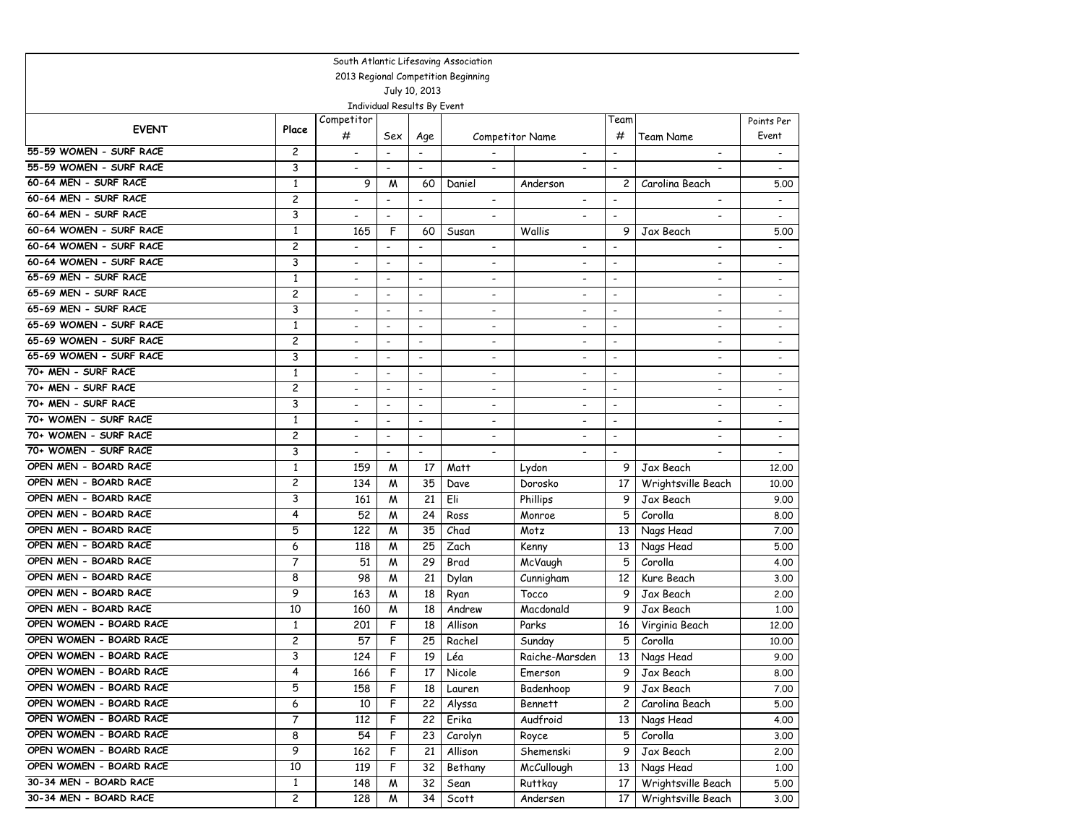| South Atlantic Lifesaving Association |                         |                          |                              |                          |                          |                          |                              |                          |                          |  |
|---------------------------------------|-------------------------|--------------------------|------------------------------|--------------------------|--------------------------|--------------------------|------------------------------|--------------------------|--------------------------|--|
| 2013 Regional Competition Beginning   |                         |                          |                              |                          |                          |                          |                              |                          |                          |  |
| July 10, 2013                         |                         |                          |                              |                          |                          |                          |                              |                          |                          |  |
|                                       |                         |                          | Individual Results By Event  |                          |                          |                          |                              |                          |                          |  |
| <b>EVENT</b>                          | Place                   | Competitor               |                              |                          |                          |                          | Team                         |                          | Points Per               |  |
|                                       |                         | #                        | Sex                          | Age                      |                          | <b>Competitor Name</b>   | #                            | Team Name                | Event                    |  |
| 55-59 WOMEN - SURF RACE               | $\overline{c}$          | $\overline{\phantom{a}}$ | $\overline{a}$               |                          |                          |                          | $\overline{\phantom{a}}$     |                          | $\overline{\phantom{a}}$ |  |
| 55-59 WOMEN - SURF RACE               | 3                       |                          | $\blacksquare$               | $\blacksquare$           | $\overline{\phantom{a}}$ |                          | $\overline{\phantom{a}}$     |                          | $\overline{a}$           |  |
| 60-64 MEN - SURF RACE                 | $\mathbf{1}$            | 9                        | М                            | 60                       | Daniel                   | Anderson                 | 2                            | Carolina Beach           | 5.00                     |  |
| 60-64 MEN - SURF RACE                 | $\overline{\mathbf{c}}$ | $\overline{\phantom{a}}$ | $\blacksquare$               | $\overline{\phantom{a}}$ | $\overline{\phantom{a}}$ | $\blacksquare$           | $\overline{\phantom{a}}$     | $\blacksquare$           | $\overline{\phantom{a}}$ |  |
| 60-64 MEN - SURF RACE                 | 3                       | $\overline{a}$           | $\overline{\phantom{a}}$     | $\overline{\phantom{a}}$ | $\overline{\phantom{a}}$ | $\overline{\phantom{a}}$ | $\overline{a}$               |                          | $\sim$                   |  |
| 60-64 WOMEN - SURF RACE               | $\mathbf{1}$            | 165                      | F                            | 60                       | Susan                    | Wallis                   | 9                            | Jax Beach                | 5.00                     |  |
| 60-64 WOMEN - SURF RACE               | 2                       | $\overline{\phantom{a}}$ | $\overline{\phantom{a}}$     | $\overline{\phantom{a}}$ | $\overline{\phantom{a}}$ |                          | ٠                            |                          |                          |  |
| 60-64 WOMEN - SURF RACE               | 3                       | $\overline{\phantom{0}}$ | $\overline{a}$               | $\overline{\phantom{a}}$ |                          |                          | $\overline{\phantom{a}}$     |                          | $\overline{\phantom{a}}$ |  |
| 65-69 MEN - SURF RACE                 | $\mathbf{1}$            | $\overline{\phantom{a}}$ | $\overline{\phantom{a}}$     | $\blacksquare$           | $\blacksquare$           | $\blacksquare$           | $\overline{\phantom{a}}$     | $\blacksquare$           | $\blacksquare$           |  |
| 65-69 MEN - SURF RACE                 | 2                       | $\overline{\phantom{a}}$ | $\blacksquare$               | $\overline{\phantom{a}}$ | $\overline{\phantom{a}}$ | $\overline{\phantom{a}}$ | $\overline{\phantom{a}}$     | $\overline{\phantom{a}}$ | $\blacksquare$           |  |
| 65-69 MEN - SURF RACE                 | 3                       | $\overline{\phantom{0}}$ | $\qquad \qquad \blacksquare$ | $\overline{\phantom{a}}$ | ٠                        | $\overline{\phantom{a}}$ | $\overline{\phantom{0}}$     | $\overline{\phantom{a}}$ | $\overline{\phantom{a}}$ |  |
| 65-69 WOMEN - SURF RACE               | $\mathbf{1}$            | $\overline{\phantom{a}}$ | $\overline{\phantom{a}}$     | $\blacksquare$           | $\blacksquare$           | $\overline{\phantom{a}}$ | $\overline{\phantom{a}}$     | $\overline{\phantom{a}}$ |                          |  |
| 65-69 WOMEN - SURF RACE               | 2                       | $\overline{\phantom{a}}$ | $\overline{\phantom{a}}$     | $\overline{\phantom{a}}$ | $\overline{\phantom{a}}$ | $\overline{\phantom{a}}$ | $\qquad \qquad \blacksquare$ | $\overline{\phantom{a}}$ | $\overline{\phantom{a}}$ |  |
| 65-69 WOMEN - SURF RACE               | 3                       |                          | $\overline{a}$               | $\blacksquare$           | $\overline{\phantom{a}}$ |                          | $\blacksquare$               | $\blacksquare$           | $\blacksquare$           |  |
| 70+ MEN - SURF RACE                   | $\mathbf{1}$            | $\overline{\phantom{a}}$ | $\overline{\phantom{a}}$     | $\blacksquare$           | $\overline{\phantom{a}}$ |                          | $\overline{\phantom{a}}$     | $\overline{\phantom{a}}$ | $\blacksquare$           |  |
| 70+ MEN - SURF RACE                   | $\overline{c}$          | $\overline{\phantom{a}}$ | $\overline{\phantom{a}}$     | $\overline{\phantom{a}}$ | $\overline{\phantom{a}}$ | $\overline{\phantom{a}}$ | $\overline{\phantom{a}}$     | $\overline{\phantom{0}}$ | $\overline{\phantom{a}}$ |  |
| 70+ MEN - SURF RACE                   | 3                       | $\overline{a}$           | $\overline{a}$               | $\overline{\phantom{a}}$ | $\overline{\phantom{a}}$ | $\overline{a}$           | $\overline{\phantom{0}}$     | $\overline{\phantom{a}}$ | $\overline{\phantom{a}}$ |  |
| 70+ WOMEN - SURF RACE                 | $\mathbf{1}$            | $\overline{\phantom{a}}$ | $\overline{\phantom{a}}$     | $\blacksquare$           | $\overline{\phantom{a}}$ | $\overline{\phantom{a}}$ | $\overline{\phantom{0}}$     | $\blacksquare$           | $\sim$                   |  |
| 70+ WOMEN - SURF RACE                 | 2                       | $\overline{\phantom{a}}$ | $\overline{\phantom{a}}$     | $\overline{\phantom{a}}$ | $\overline{\phantom{a}}$ |                          | $\qquad \qquad \blacksquare$ |                          | $\overline{\phantom{a}}$ |  |
| 70+ WOMEN - SURF RACE                 | 3                       | $\overline{\phantom{a}}$ | $\overline{a}$               | $\blacksquare$           |                          |                          | $\overline{\phantom{a}}$     |                          |                          |  |
| OPEN MEN - BOARD RACE                 | $\mathbf{1}$            | 159                      | М                            | 17                       | Matt                     | Lydon                    | 9                            | Jax Beach                | 12,00                    |  |
| OPEN MEN - BOARD RACE                 | 2                       | 134                      | M                            | 35                       | Dave                     | Dorosko                  | 17                           | Wrightsville Beach       | 10.00                    |  |
| OPEN MEN - BOARD RACE                 | 3                       | 161                      | M                            | 21                       | Eli                      | Phillips                 | 9                            | Jax Beach                | 9.00                     |  |
| OPEN MEN - BOARD RACE                 | 4                       | 52                       | М                            | 24                       | Ross                     | Monroe                   | 5                            | Corolla                  | 8.00                     |  |
| OPEN MEN - BOARD RACE                 | 5                       | 122                      | М                            | 35                       | Chad                     | Motz                     | 13                           | Nags Head                | 7.00                     |  |
| OPEN MEN - BOARD RACE                 | 6                       | 118                      | М                            | 25                       | Zach                     | Kenny                    | 13                           | Nags Head                | 5.00                     |  |
| OPEN MEN - BOARD RACE                 | 7                       | 51                       | M                            | 29                       | Brad                     | McVaugh                  | 5                            | Corolla                  | 4.00                     |  |
| OPEN MEN - BOARD RACE                 | 8                       | 98                       | M                            | 21                       | Dylan                    | Cunnigham                | 12                           | Kure Beach               | 3.00                     |  |
| OPEN MEN - BOARD RACE                 | 9                       | 163                      | M                            | 18                       | Ryan                     | Tocco                    | 9                            | Jax Beach                | 2,00                     |  |
| OPEN MEN - BOARD RACE                 | 10                      | 160                      | M                            | 18                       | Andrew                   | Macdonald                | 9                            | Jax Beach                | 1.00                     |  |
| OPEN WOMEN - BOARD RACE               | $\mathbf{1}$            | 201                      | F                            | 18                       | Allison                  | Parks                    | 16                           | Virginia Beach           | 12,00                    |  |
| OPEN WOMEN - BOARD RACE               | 2                       | 57                       | F                            | 25                       | Rachel                   | Sunday                   | 5                            | Corolla                  | 10.00                    |  |
| OPEN WOMEN - BOARD RACE               | 3                       | 124                      | F                            | 19                       | Léa                      | Raiche-Marsden           | 13                           | Nags Head                | 9.00                     |  |
| OPEN WOMEN - BOARD RACE               | 4                       | 166                      | F                            | 17                       | Nicole                   | Emerson                  | 9                            | Jax Beach                | 8.00                     |  |
| OPEN WOMEN - BOARD RACE               | 5                       | 158                      | F                            | 18                       | Lauren                   | Badenhoop                | 9                            | Jax Beach                | 7.00                     |  |
| OPEN WOMEN - BOARD RACE               | 6                       | 10                       | F                            | 22                       | Alyssa                   | <b>Bennett</b>           | 2                            | Carolina Beach           | 5.00                     |  |
| OPEN WOMEN - BOARD RACE               | 7                       | 112                      | F                            | 22                       | Erika                    | Audfroid                 | 13                           | Nags Head                | 4.00                     |  |
| OPEN WOMEN - BOARD RACE               | 8                       | 54                       | F                            | 23                       | Carolyn                  | Royce                    | 5                            | Corolla                  | 3.00                     |  |
| OPEN WOMEN - BOARD RACE               | 9                       | 162                      | F                            | 21                       | Allison                  | Shemenski                | 9                            | Jax Beach                | 2.00                     |  |
| OPEN WOMEN - BOARD RACE               | 10                      | 119                      | F                            | 32                       | Bethany                  | McCullough               | 13                           | Nags Head                | 1.00                     |  |
| 30-34 MEN - BOARD RACE                | $\mathbf{1}$            | 148                      | м                            | 32                       | Sean                     | <b>Ruttkay</b>           | 17                           | Wrightsville Beach       | 5.00                     |  |
| 30-34 MEN - BOARD RACE                | $\overline{c}$          | 128                      | W                            | 34                       | Scott                    | Andersen                 | 17                           | Wrightsville Beach       | 3.00                     |  |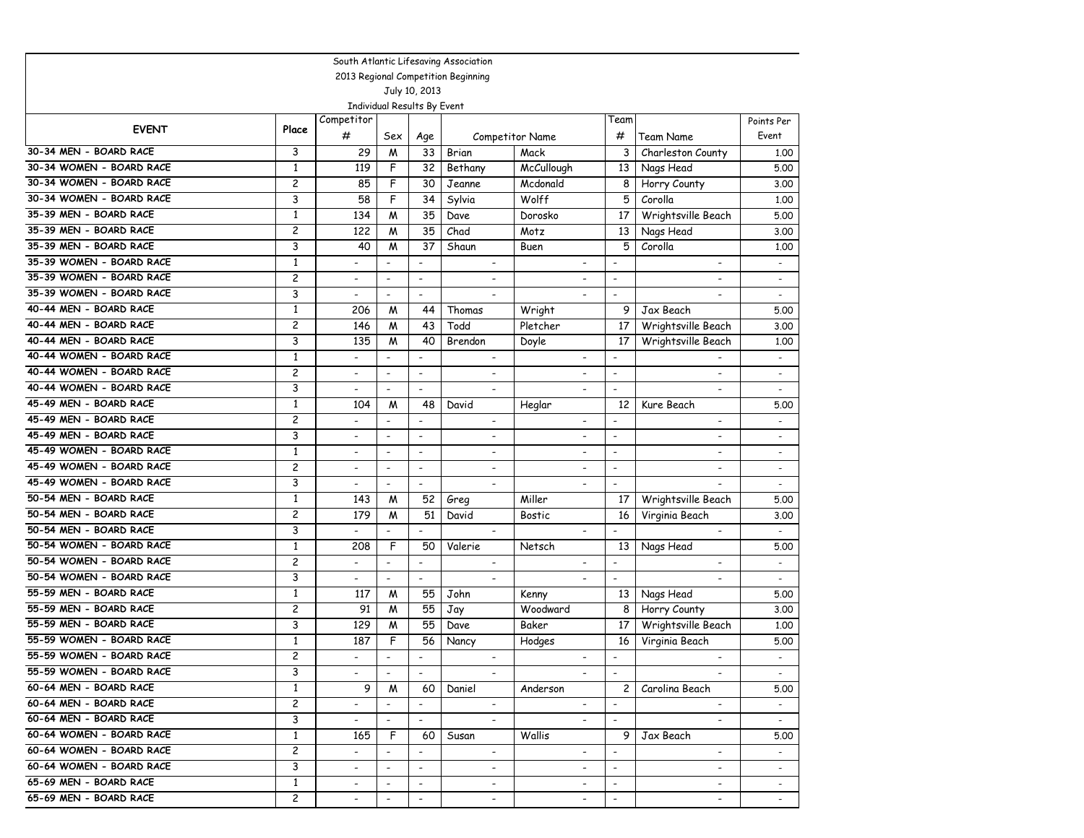| South Atlantic Lifesaving Association |                |                          |                             |                          |                                     |                          |                          |                          |                          |  |  |
|---------------------------------------|----------------|--------------------------|-----------------------------|--------------------------|-------------------------------------|--------------------------|--------------------------|--------------------------|--------------------------|--|--|
|                                       |                |                          |                             |                          | 2013 Regional Competition Beginning |                          |                          |                          |                          |  |  |
|                                       |                |                          |                             | July 10, 2013            |                                     |                          |                          |                          |                          |  |  |
|                                       |                |                          | Individual Results By Event |                          |                                     |                          |                          |                          |                          |  |  |
| <b>EVENT</b>                          | Place          | Competitor               |                             |                          |                                     |                          | Team                     |                          | Points Per               |  |  |
|                                       |                | #                        | Sex                         | Age                      |                                     | Competitor Name          | #                        | Team Name                | Event                    |  |  |
| 30-34 MEN - BOARD RACE                | 3              | 29                       | M                           | 33                       | Brian                               | Mack                     | 3                        | Charleston County        | 1.00                     |  |  |
| 30-34 WOMEN - BOARD RACE              | 1              | 119                      | F                           | 32                       | Bethany                             | McCullough               | 13                       | Nags Head                | 5.00                     |  |  |
| 30-34 WOMEN - BOARD RACE              | $\overline{c}$ | 85                       | F                           | 30                       | Jeanne                              | Mcdonald                 | 8                        | Horry County             | 3.00                     |  |  |
| 30-34 WOMEN - BOARD RACE              | 3              | 58                       | F                           | 34                       | Sylvia                              | Wolff                    | 5                        | Corolla                  | 1,00                     |  |  |
| 35-39 MEN - BOARD RACE                | 1              | 134                      | M                           | 35                       | Dave                                | Dorosko                  | 17                       | Wrightsville Beach       | 5.00                     |  |  |
| 35-39 MEN - BOARD RACE                | $\overline{c}$ | 122                      | M                           | 35                       | Chad                                | Motz                     | 13                       | Nags Head                | 3.00                     |  |  |
| 35-39 MEN - BOARD RACE                | 3              | 40                       | M                           | 37                       | Shaun                               | Buen                     | 5                        | Corolla                  | 1.00                     |  |  |
| 35-39 WOMEN - BOARD RACE              | $\mathbf{1}$   | $\overline{a}$           | $\overline{a}$              | $\overline{a}$           |                                     | $\overline{a}$           | $\overline{a}$           | $\blacksquare$           |                          |  |  |
| 35-39 WOMEN - BOARD RACE              | $\overline{c}$ | $\overline{\phantom{a}}$ | $\overline{\phantom{a}}$    | $\overline{\phantom{a}}$ | $\blacksquare$                      | $\overline{\phantom{a}}$ | $\overline{\phantom{0}}$ | $\overline{\phantom{a}}$ | $\overline{\phantom{a}}$ |  |  |
| 35-39 WOMEN - BOARD RACE              | 3              | $\overline{\phantom{a}}$ | $\overline{\phantom{a}}$    | $\overline{\phantom{a}}$ | $\overline{\phantom{a}}$            | $\overline{\phantom{a}}$ | $\overline{\phantom{a}}$ | $\overline{\phantom{a}}$ | $\overline{\phantom{a}}$ |  |  |
| 40-44 MEN - BOARD RACE                | $\mathbf{1}$   | 206                      | M                           | 44                       | Thomas                              | Wright                   | 9                        | Jax Beach                | 5.00                     |  |  |
| 40-44 MEN - BOARD RACE                | $\overline{c}$ | 146                      | M                           | 43                       | Todd                                | Pletcher                 | 17                       | Wrightsville Beach       | 3.00                     |  |  |
| 40-44 MEN - BOARD RACE                | 3              | 135                      | M                           | 40                       | Brendon                             | Doyle                    | 17                       | Wrightsville Beach       | 1,00                     |  |  |
| 40-44 WOMEN - BOARD RACE              | $\mathbf{1}$   |                          | $\overline{\phantom{a}}$    | $\overline{\phantom{a}}$ | $\overline{\phantom{a}}$            |                          | $\overline{a}$           |                          |                          |  |  |
| 40-44 WOMEN - BOARD RACE              | $\overline{c}$ | $\overline{\phantom{a}}$ | $\blacksquare$              | $\blacksquare$           | $\blacksquare$                      | $\overline{\phantom{a}}$ | $\overline{\phantom{a}}$ | $\blacksquare$           |                          |  |  |
| 40-44 WOMEN - BOARD RACE              | 3              | $\blacksquare$           | $\overline{\phantom{a}}$    | $\overline{\phantom{a}}$ |                                     | $\overline{\phantom{a}}$ | ٠                        | $\overline{\phantom{0}}$ | $\overline{\phantom{a}}$ |  |  |
| 45-49 MEN - BOARD RACE                | $\mathbf{1}$   | 104                      | M                           | 48                       | David                               | Heglar                   | 12                       | Kure Beach               | 5.00                     |  |  |
| 45-49 MEN - BOARD RACE                | $\overline{c}$ | $\overline{\phantom{a}}$ | $\overline{a}$              | $\overline{a}$           | $\overline{\phantom{a}}$            | $\overline{\phantom{a}}$ |                          | $\overline{\phantom{a}}$ | $\overline{\phantom{a}}$ |  |  |
| 45-49 MEN - BOARD RACE                | 3              | $\blacksquare$           | $\overline{\phantom{a}}$    | $\overline{\phantom{a}}$ | $\overline{\phantom{a}}$            | $\blacksquare$           | -                        | $\overline{\phantom{a}}$ |                          |  |  |
| 45-49 WOMEN - BOARD RACE              | $\mathbf{1}$   | $\overline{\phantom{a}}$ | $\overline{\phantom{a}}$    | $\overline{\phantom{a}}$ | $\blacksquare$                      | $\overline{\phantom{a}}$ | $\overline{\phantom{a}}$ | $\overline{\phantom{a}}$ |                          |  |  |
| 45-49 WOMEN - BOARD RACE              | 2              | $\overline{\phantom{a}}$ | $\blacksquare$              | $\blacksquare$           |                                     | $\overline{\phantom{a}}$ | $\overline{\phantom{0}}$ | $\overline{\phantom{a}}$ |                          |  |  |
| 45-49 WOMEN - BOARD RACE              | 3              | $\overline{\phantom{a}}$ | $\blacksquare$              | $\frac{1}{2}$            | $\overline{\phantom{a}}$            | $\overline{\phantom{a}}$ | $\overline{a}$           |                          | $\overline{\phantom{a}}$ |  |  |
| 50-54 MEN - BOARD RACE                | $\mathbf{1}$   | 143                      | M                           | 52                       | Greg                                | Miller                   | 17                       | Wrightsville Beach       | 5.00                     |  |  |
| 50-54 MEN - BOARD RACE                | $\overline{c}$ | 179                      | M                           | 51                       | David                               | <b>Bostic</b>            | 16                       | Virginia Beach           | 3.00                     |  |  |
| 50-54 MEN - BOARD RACE                | 3              |                          |                             | $\overline{a}$           | $\overline{\phantom{a}}$            | $\overline{\phantom{a}}$ | $\overline{\phantom{0}}$ | $\overline{\phantom{a}}$ |                          |  |  |
| 50-54 WOMEN - BOARD RACE              | $\mathbf{1}$   | 208                      | F                           | 50                       | Valerie                             | Netsch                   | 13                       | Nags Head                | 5.00                     |  |  |
| 50-54 WOMEN - BOARD RACE              | $\overline{c}$ | $\overline{a}$           | $\overline{a}$              | $\blacksquare$           | $\blacksquare$                      |                          | $\overline{a}$           | $\overline{\phantom{a}}$ | $\blacksquare$           |  |  |
| 50-54 WOMEN - BOARD RACE              | 3              | $\overline{\phantom{a}}$ | $\blacksquare$              | $\overline{\phantom{a}}$ | $\blacksquare$                      |                          | $\overline{\phantom{a}}$ |                          | $\overline{\phantom{a}}$ |  |  |
| 55-59 MEN - BOARD RACE                | $\mathbf{1}$   | 117                      | M                           | 55                       | John                                | Kenny                    | 13                       | Nags Head                | 5.00                     |  |  |
| 55-59 MEN - BOARD RACE                | $\overline{c}$ | 91                       | M                           | 55                       | Jay                                 | Woodward                 | 8                        | Horry County             | 3.00                     |  |  |
| 55-59 MEN - BOARD RACE                | 3              | 129                      | M                           | 55                       | Dave                                | Baker                    | 17                       | Wrightsville Beach       | 1.00                     |  |  |
| 55-59 WOMEN - BOARD RACE              | $\mathbf{1}$   | 187                      | F                           | 56                       | Nancy                               | Hodges                   | 16                       | Virginia Beach           | 5.00                     |  |  |
| 55-59 WOMEN - BOARD RACE              | $\overline{c}$ |                          |                             | $\overline{a}$           | $\overline{\phantom{a}}$            | $\overline{\phantom{a}}$ | $\overline{\phantom{a}}$ | $\blacksquare$           |                          |  |  |
| 55-59 WOMEN - BOARD RACE              | 3              | $\sim$                   | $\overline{\phantom{a}}$    | $\sim$                   | $\sim$                              | $\sim$                   | $\overline{\phantom{a}}$ | $\sim$                   | $\sim$                   |  |  |
| 60-64 MEN - BOARD RACE                | $\mathbf{1}$   | 9                        | M                           | 60                       | Daniel                              | Anderson                 | $\mathbf{2}$             | Carolina Beach           | 5.00                     |  |  |
| 60-64 MEN - BOARD RACE                | $\overline{c}$ | $\overline{\phantom{a}}$ | $\overline{\phantom{a}}$    | $\blacksquare$           | $\sim$                              | $\overline{\phantom{a}}$ | $\overline{\phantom{a}}$ | $\sim$                   |                          |  |  |
| 60-64 MEN - BOARD RACE                | 3              | $ \,$                    | $\overline{\phantom{a}}$    | $\overline{\phantom{a}}$ | $\overline{\phantom{a}}$            | $\overline{\phantom{a}}$ | $\overline{\phantom{a}}$ | $\overline{\phantom{a}}$ |                          |  |  |
| 60-64 WOMEN - BOARD RACE              | $\mathbf{1}$   | 165                      | F                           | 60                       | Susan                               | Wallis                   | 9.                       | Jax Beach                | 5.00                     |  |  |
| 60-64 WOMEN - BOARD RACE              | $\overline{c}$ | $\overline{\phantom{a}}$ |                             | $\overline{\phantom{a}}$ | $\overline{\phantom{a}}$            | $\overline{\phantom{a}}$ | $\overline{\phantom{a}}$ | $-$                      |                          |  |  |
| 60-64 WOMEN - BOARD RACE              | 3              | $\overline{\phantom{a}}$ | $\blacksquare$              | $\overline{\phantom{a}}$ |                                     |                          | $\overline{\phantom{a}}$ |                          |                          |  |  |
| 65-69 MEN - BOARD RACE                | $\mathbf{1}$   | $\overline{\phantom{a}}$ | $\overline{\phantom{a}}$    | $\overline{\phantom{a}}$ | $\overline{\phantom{a}}$            | $\overline{\phantom{a}}$ | $\overline{\phantom{a}}$ | $\overline{\phantom{a}}$ | $\sim$                   |  |  |
| 65-69 MEN - BOARD RACE                | $\mathbf{2}$   | $\overline{\phantom{a}}$ |                             | $\overline{\phantom{a}}$ | $\overline{\phantom{a}}$            | $\overline{\phantom{a}}$ |                          | $\overline{\phantom{a}}$ |                          |  |  |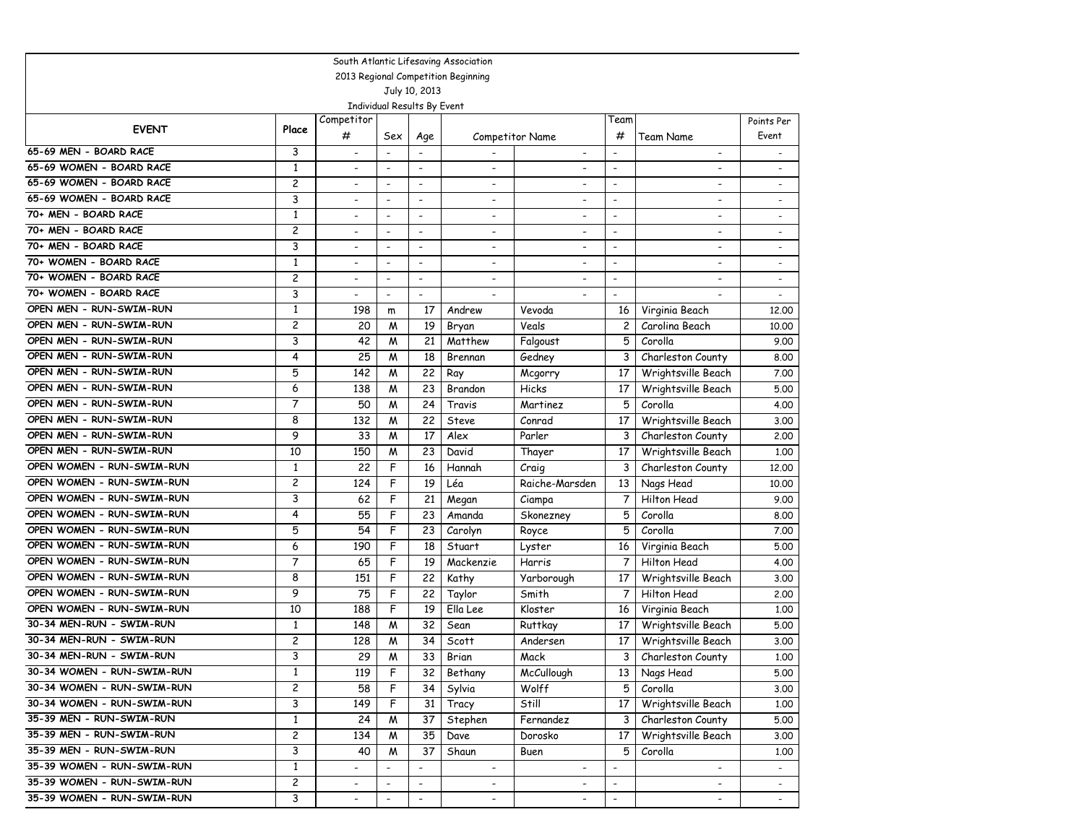| South Atlantic Lifesaving Association |                |                          |                          |                             |                                     |                          |                          |                          |                          |  |  |
|---------------------------------------|----------------|--------------------------|--------------------------|-----------------------------|-------------------------------------|--------------------------|--------------------------|--------------------------|--------------------------|--|--|
|                                       |                |                          |                          |                             | 2013 Regional Competition Beginning |                          |                          |                          |                          |  |  |
|                                       |                |                          |                          | July 10, 2013               |                                     |                          |                          |                          |                          |  |  |
|                                       |                |                          |                          | Individual Results By Event |                                     |                          |                          |                          |                          |  |  |
| <b>EVENT</b>                          | Place          | Competitor               |                          |                             |                                     |                          | Team                     |                          | Points Per               |  |  |
|                                       |                | #                        | Sex                      | Age                         |                                     | Competitor Name          | #                        | Team Name                | Event                    |  |  |
| 65-69 MEN - BOARD RACE                | 3              | $\overline{\phantom{a}}$ | $\overline{\phantom{a}}$ | $\overline{\phantom{a}}$    |                                     | $\overline{\phantom{0}}$ | $\overline{\phantom{a}}$ | $\overline{\phantom{0}}$ | $\overline{\phantom{a}}$ |  |  |
| 65-69 WOMEN - BOARD RACE              | $\mathbf{1}$   | $\overline{a}$           | $\overline{\phantom{a}}$ | $\overline{\phantom{a}}$    | $\qquad \qquad \blacksquare$        |                          | $\blacksquare$           | $\overline{\phantom{a}}$ | $\overline{\phantom{a}}$ |  |  |
| 65-69 WOMEN - BOARD RACE              | 2              | $\overline{\phantom{a}}$ | $\overline{\phantom{a}}$ | $\overline{\phantom{a}}$    | -                                   | $\overline{\phantom{a}}$ | $\overline{\phantom{a}}$ | $\overline{\phantom{a}}$ | $\overline{\phantom{a}}$ |  |  |
| 65-69 WOMEN - BOARD RACE              | 3              | $\overline{\phantom{a}}$ | $\overline{a}$           | $\overline{\phantom{a}}$    | $\overline{a}$                      | $\overline{a}$           | $\overline{\phantom{a}}$ | $\overline{\phantom{a}}$ | $\overline{\phantom{a}}$ |  |  |
| 70+ MEN - BOARD RACE                  | $\mathbf{1}$   | $\overline{\phantom{a}}$ | $\overline{\phantom{a}}$ | $\overline{\phantom{a}}$    | $\blacksquare$                      | $\overline{\phantom{a}}$ | $\overline{\phantom{a}}$ | $\blacksquare$           | $\overline{\phantom{a}}$ |  |  |
| 70+ MEN - BOARD RACE                  | 2              | $\overline{\phantom{0}}$ | $\overline{\phantom{a}}$ | $\overline{\phantom{a}}$    | ٠                                   | ٠                        | $\blacksquare$           | $\overline{a}$           | $\overline{a}$           |  |  |
| 70+ MEN - BOARD RACE                  | 3              | $\overline{\phantom{a}}$ | $\overline{\phantom{a}}$ | $\overline{\phantom{a}}$    | $\overline{\phantom{a}}$            | $\overline{\phantom{a}}$ | $\overline{\phantom{a}}$ | $\overline{\phantom{0}}$ | $\overline{\phantom{a}}$ |  |  |
| 70+ WOMEN - BOARD RACE                | $\mathbf{1}$   | $\overline{a}$           | $\overline{\phantom{a}}$ | $\overline{\phantom{a}}$    | $\qquad \qquad \blacksquare$        | $\overline{\phantom{a}}$ | $\blacksquare$           | $\overline{\phantom{0}}$ | $\overline{\phantom{a}}$ |  |  |
| 70+ WOMEN - BOARD RACE                | 2              | $\overline{\phantom{a}}$ | $\overline{\phantom{a}}$ | $\overline{\phantom{a}}$    | $\overline{\phantom{a}}$            | $\overline{\phantom{a}}$ | $\overline{\phantom{a}}$ |                          | $\overline{\phantom{a}}$ |  |  |
| 70+ WOMEN - BOARD RACE                | 3              | $\overline{\phantom{a}}$ | $\blacksquare$           | $\blacksquare$              |                                     |                          | $\overline{\phantom{a}}$ |                          |                          |  |  |
| OPEN MEN - RUN-SWIM-RUN               | $\mathbf{1}$   | 198                      | m                        | 17                          | Andrew                              | Vevoda                   | 16                       | Virginia Beach           | 12,00                    |  |  |
| OPEN MEN - RUN-SWIM-RUN               | 2              | 20                       | M                        | 19                          | Bryan                               | Veals                    | 2                        | Carolina Beach           | 10.00                    |  |  |
| OPEN MEN - RUN-SWIM-RUN               | 3              | 42                       | M                        | 21                          | Matthew                             | Falgoust                 | 5                        | Corolla                  | 9.00                     |  |  |
| OPEN MEN - RUN-SWIM-RUN               | 4              | 25                       | M                        | 18                          | Brennan                             | Gedney                   | 3                        | Charleston County        | 8.00                     |  |  |
| OPEN MEN - RUN-SWIM-RUN               | 5              | 142                      | М                        | 22                          | Ray                                 | Mcgorry                  | 17                       | Wrightsville Beach       | 7.00                     |  |  |
| OPEN MEN - RUN-SWIM-RUN               | 6              | 138                      | M                        | 23                          | Brandon                             | Hicks                    | 17                       | Wrightsville Beach       | 5.00                     |  |  |
| OPEN MEN - RUN-SWIM-RUN               | 7              | 50                       | M                        | 24                          | Travis                              | Martinez                 | 5                        | Corolla                  | 4.00                     |  |  |
| OPEN MEN - RUN-SWIM-RUN               | 8              | 132                      | м                        | 22                          | Steve                               | Conrad                   | 17                       | Wrightsville Beach       | 3.00                     |  |  |
| OPEN MEN - RUN-SWIM-RUN               | 9              | 33                       | M                        | 17                          | Alex                                | Parler                   | 3                        | Charleston County        | 2.00                     |  |  |
| OPEN MEN - RUN-SWIM-RUN               | 10             | 150                      | M                        | 23                          | David                               | Thayer                   | 17                       | Wrightsville Beach       | 1.00                     |  |  |
| OPEN WOMEN - RUN-SWIM-RUN             | $\mathbf{1}$   | 22                       | F                        | 16                          | Hannah                              | Craig                    | 3                        | Charleston County        | 12,00                    |  |  |
| OPEN WOMEN - RUN-SWIM-RUN             | 2              | 124                      | F                        | 19                          | Léa                                 | Raiche-Marsden           | 13                       | Nags Head                | 10.00                    |  |  |
| OPEN WOMEN - RUN-SWIM-RUN             | 3              | 62                       | F                        | 21                          | Megan                               | Ciampa                   | 7                        | Hilton Head              | 9.00                     |  |  |
| OPEN WOMEN - RUN-SWIM-RUN             | 4              | 55                       | F                        | 23                          | Amanda                              | Skonezney                | 5                        | Corolla                  | 8.00                     |  |  |
| OPEN WOMEN - RUN-SWIM-RUN             | 5              | 54                       | F                        | 23                          | Carolyn                             | Royce                    | 5                        | Corolla                  | 7.00                     |  |  |
| OPEN WOMEN - RUN-SWIM-RUN             | 6              | 190                      | F                        | 18                          | Stuart                              | Lyster                   | 16                       | Virginia Beach           | 5.00                     |  |  |
| OPEN WOMEN - RUN-SWIM-RUN             | 7              | 65                       | F                        | 19                          | Mackenzie                           | Harris                   | 7                        | Hilton Head              | 4.00                     |  |  |
| OPEN WOMEN - RUN-SWIM-RUN             | 8              | 151                      | F                        | 22                          | Kathy                               | Yarborough               | 17                       | Wrightsville Beach       | 3.00                     |  |  |
| OPEN WOMEN - RUN-SWIM-RUN             | 9              | 75                       | F                        | 22                          | Taylor                              | Smith                    | 7                        | Hilton Head              | 2.00                     |  |  |
| OPEN WOMEN - RUN-SWIM-RUN             | 10             | 188                      | F                        | 19                          | Ella Lee                            | Kloster                  | 16                       | Virginia Beach           | 1.00                     |  |  |
| 30-34 MEN-RUN - SWIM-RUN              | $\mathbf{1}$   | 148                      | M                        | 32                          | Sean                                | <b>Ruttkay</b>           | 17                       | Wrightsville Beach       | 5.00                     |  |  |
| 30-34 MEN-RUN - SWIM-RUN              | 2              | 128                      | м                        | 34                          | Scott                               | Andersen                 | 17                       | Wrightsville Beach       | 3.00                     |  |  |
| 30-34 MEN-RUN - SWIM-RUN              | 3              | 29                       | M                        | 33                          | Brian                               | Mack                     | 3                        | Charleston County        | 1.00                     |  |  |
| 30-34 WOMEN - RUN-SWIM-RUN            | 1              | 119                      | F                        | 32                          | Bethany                             | McCullough               | 13                       | Nags Head                | 5.00                     |  |  |
| 30-34 WOMEN - RUN-SWIM-RUN            | 2              | 58                       | F                        | 34                          | Sylvia                              | Wolff                    | 5                        | Corolla                  | 3.00                     |  |  |
| 30-34 WOMEN - RUN-SWIM-RUN            | 3              | 149                      | F                        | 31                          | Tracy                               | Still                    | 17                       | Wrightsville Beach       | 1.00                     |  |  |
| 35-39 MEN - RUN-SWIM-RUN              | $\mathbf 1$    | 24                       | M                        | 37                          | Stephen                             | Fernandez                | 3                        | Charleston County        | 5.00                     |  |  |
| 35-39 MEN - RUN-SWIM-RUN              | $\overline{c}$ | 134                      | W                        | 35                          | Dave                                | Dorosko                  | 17                       | Wrightsville Beach       | 3.00                     |  |  |
| 35-39 MEN - RUN-SWIM-RUN              | 3              | 40                       | M                        | 37                          | Shaun                               | Buen                     | 5                        | Corolla                  | 1.00                     |  |  |
| 35-39 WOMEN - RUN-SWIM-RUN            | $\mathbf{1}$   | $\overline{\phantom{a}}$ |                          |                             | $\overline{\phantom{a}}$            | $\overline{\phantom{a}}$ | $\overline{\phantom{a}}$ | $\overline{\phantom{a}}$ | $\blacksquare$           |  |  |
| 35-39 WOMEN - RUN-SWIM-RUN            | $\overline{c}$ | $\overline{\phantom{a}}$ | $\overline{\phantom{a}}$ | $\overline{\phantom{a}}$    | $\overline{\phantom{a}}$            | $\overline{\phantom{a}}$ | $\overline{\phantom{a}}$ | $\overline{\phantom{a}}$ | $\sim$                   |  |  |
| 35-39 WOMEN - RUN-SWIM-RUN            | 3              | $\frac{1}{2}$            | $\overline{\phantom{a}}$ | $\overline{\phantom{a}}$    | $\overline{\phantom{a}}$            | $\overline{\phantom{a}}$ | $\overline{\phantom{a}}$ | $\overline{\phantom{a}}$ |                          |  |  |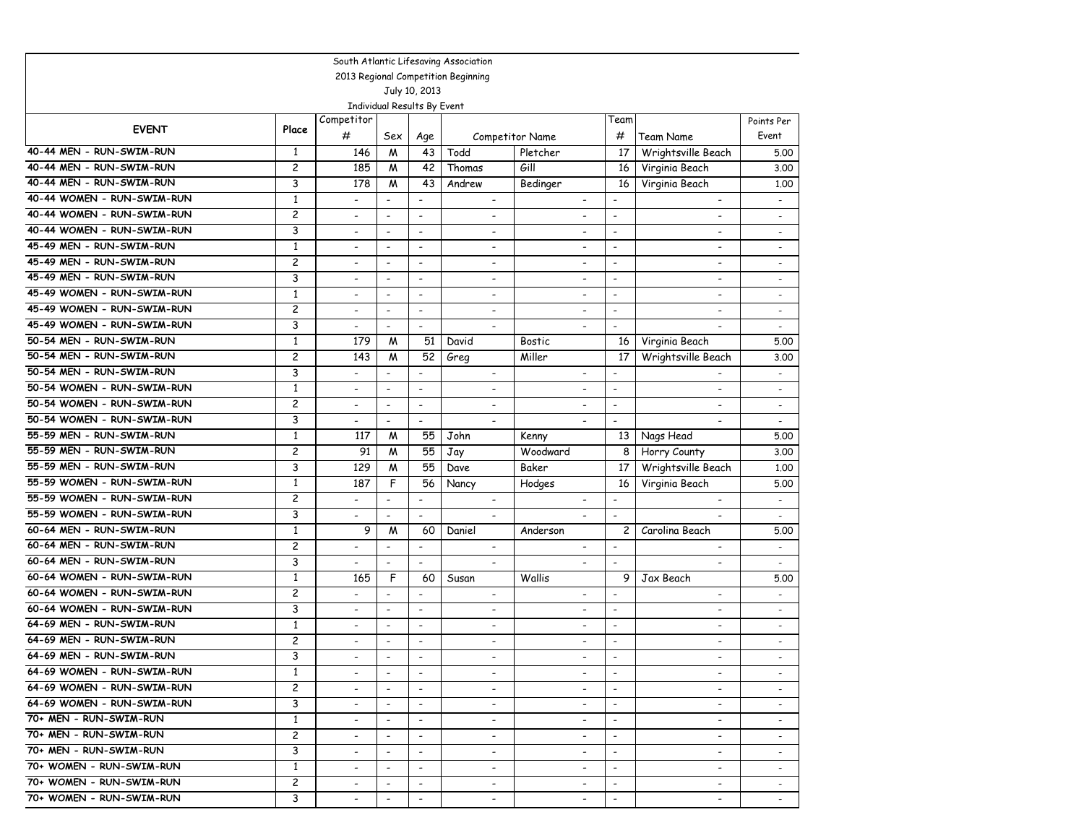| South Atlantic Lifesaving Association |                                     |                              |                             |                          |                          |                          |                          |                              |                              |  |  |  |
|---------------------------------------|-------------------------------------|------------------------------|-----------------------------|--------------------------|--------------------------|--------------------------|--------------------------|------------------------------|------------------------------|--|--|--|
|                                       | 2013 Regional Competition Beginning |                              |                             |                          |                          |                          |                          |                              |                              |  |  |  |
| July 10, 2013                         |                                     |                              |                             |                          |                          |                          |                          |                              |                              |  |  |  |
|                                       |                                     |                              | Individual Results By Event |                          |                          |                          |                          |                              |                              |  |  |  |
| <b>EVENT</b>                          | Place                               | Competitor                   |                             |                          |                          |                          | Team                     |                              | Points Per                   |  |  |  |
|                                       |                                     | #                            | Sex                         | Age                      |                          | Competitor Name          | #                        | <b>Team Name</b>             | Event                        |  |  |  |
| 40-44 MEN - RUN-SWIM-RUN              | 1                                   | 146                          | M                           | 43                       | Todd                     | Pletcher                 | 17                       | Wrightsville Beach           | 5.00                         |  |  |  |
| 40-44 MEN - RUN-SWIM-RUN              | 2                                   | 185                          | M                           | 42                       | Thomas                   | Gill                     | 16                       | Virginia Beach               | 3.00                         |  |  |  |
| 40-44 MEN - RUN-SWIM-RUN              | 3                                   | 178                          | M                           | 43                       | Andrew                   | Bedinger                 | 16                       | Virginia Beach               | 1.00                         |  |  |  |
| 40-44 WOMEN - RUN-SWIM-RUN            | $\mathbf{1}$                        | $\overline{\phantom{0}}$     | $\blacksquare$              | $\overline{\phantom{a}}$ | $\overline{\phantom{a}}$ | $\overline{\phantom{a}}$ | $\overline{\phantom{a}}$ | $\overline{\phantom{a}}$     | $\overline{\phantom{a}}$     |  |  |  |
| 40-44 WOMEN - RUN-SWIM-RUN            | $\overline{c}$                      | $\overline{a}$               | $\overline{\phantom{a}}$    | $\overline{\phantom{a}}$ | $\overline{\phantom{a}}$ | $\overline{\phantom{a}}$ | $\overline{\phantom{a}}$ | $\overline{\phantom{0}}$     | $\sim$                       |  |  |  |
| 40-44 WOMEN - RUN-SWIM-RUN            | 3                                   | $\overline{\phantom{0}}$     | $\overline{\phantom{a}}$    | $\overline{\phantom{a}}$ | $\overline{\phantom{a}}$ | $\overline{\phantom{a}}$ | $\overline{\phantom{a}}$ | $\overline{\phantom{a}}$     | $\overline{\phantom{a}}$     |  |  |  |
| 45-49 MEN - RUN-SWIM-RUN              | 1                                   | -                            | $\overline{\phantom{a}}$    | $\overline{\phantom{a}}$ | $\overline{\phantom{a}}$ | $\overline{\phantom{a}}$ | $\overline{\phantom{a}}$ | $\overline{\phantom{a}}$     | $\overline{\phantom{a}}$     |  |  |  |
| 45-49 MEN - RUN-SWIM-RUN              | 2                                   | $\overline{\phantom{0}}$     | $\overline{\phantom{a}}$    | $\blacksquare$           | $\overline{a}$           | $\overline{\phantom{a}}$ | $\overline{\phantom{a}}$ | $\blacksquare$               | $\overline{a}$               |  |  |  |
| 45-49 MEN - RUN-SWIM-RUN              | 3                                   | $\overline{\phantom{a}}$     | $\blacksquare$              | $\overline{\phantom{a}}$ | $\overline{\phantom{0}}$ | $\overline{\phantom{a}}$ | $\overline{\phantom{a}}$ | $\overline{\phantom{a}}$     | $\overline{\phantom{a}}$     |  |  |  |
| 45-49 WOMEN - RUN-SWIM-RUN            | $\mathbf{1}$                        | ۰                            | $\blacksquare$              | $\overline{\phantom{a}}$ | ٠                        | $\overline{\phantom{a}}$ | $\overline{\phantom{a}}$ | Ξ.                           | $\qquad \qquad \blacksquare$ |  |  |  |
| 45-49 WOMEN - RUN-SWIM-RUN            | $\overline{c}$                      | $\overline{\phantom{0}}$     | $\overline{\phantom{a}}$    | $\overline{\phantom{a}}$ | $\overline{\phantom{0}}$ | $\overline{\phantom{a}}$ | $\overline{\phantom{a}}$ | $\overline{a}$               | $\overline{a}$               |  |  |  |
| 45-49 WOMEN - RUN-SWIM-RUN            | 3                                   | $\overline{\phantom{0}}$     | $\overline{\phantom{a}}$    | $\overline{\phantom{a}}$ | $\overline{\phantom{a}}$ | $\overline{\phantom{a}}$ | $\overline{\phantom{a}}$ | $\qquad \qquad \blacksquare$ | $\overline{\phantom{a}}$     |  |  |  |
| 50-54 MEN - RUN-SWIM-RUN              | $\mathbf{1}$                        | 179                          | М                           | 51                       | David                    | <b>Bostic</b>            | 16                       | Virginia Beach               | 5.00                         |  |  |  |
| 50-54 MEN - RUN-SWIM-RUN              | 2                                   | 143                          | М                           | 52                       | Greg                     | Miller                   | 17                       | Wrightsville Beach           | 3.00                         |  |  |  |
| 50-54 MEN - RUN-SWIM-RUN              | 3                                   | $\overline{a}$               | $\blacksquare$              | $\blacksquare$           | $\overline{\phantom{a}}$ | $\overline{a}$           | $\overline{\phantom{a}}$ | $\blacksquare$               | $\overline{\phantom{a}}$     |  |  |  |
| 50-54 WOMEN - RUN-SWIM-RUN            | $\mathbf{1}$                        | $\overline{\phantom{0}}$     | $\overline{\phantom{a}}$    | $\blacksquare$           | ٠                        |                          | $\overline{\phantom{a}}$ | $\overline{\phantom{0}}$     | $\overline{\phantom{a}}$     |  |  |  |
| 50-54 WOMEN - RUN-SWIM-RUN            | $\overline{c}$                      | $\overline{a}$               | $\overline{\phantom{a}}$    | $\overline{\phantom{a}}$ | $\overline{\phantom{a}}$ | $\overline{a}$           | $\overline{\phantom{a}}$ | $\overline{a}$               | $\overline{\phantom{a}}$     |  |  |  |
| 50-54 WOMEN - RUN-SWIM-RUN            | 3                                   | $\overline{a}$               | $\overline{\phantom{a}}$    | $\overline{a}$           | $\overline{a}$           |                          | $\overline{\phantom{a}}$ |                              | $\overline{\phantom{a}}$     |  |  |  |
| 55-59 MEN - RUN-SWIM-RUN              | $\mathbf{1}$                        | 117                          | М                           | 55                       | John                     | Kenny                    | 13                       | Nags Head                    | 5.00                         |  |  |  |
| 55-59 MEN - RUN-SWIM-RUN              | 2                                   | 91                           | M                           | 55                       | Jay                      | Woodward                 | 8                        | Horry County                 | 3.00                         |  |  |  |
| 55-59 MEN - RUN-SWIM-RUN              | 3                                   | 129                          | M                           | 55                       | Dave                     | Baker                    | 17                       | Wrightsville Beach           | 1,00                         |  |  |  |
| 55-59 WOMEN - RUN-SWIM-RUN            | $\mathbf{1}$                        | 187                          | F                           | 56                       | Nancy                    | Hodges                   | 16                       | Virginia Beach               | 5.00                         |  |  |  |
| 55-59 WOMEN - RUN-SWIM-RUN            | $\overline{c}$                      | $\overline{\phantom{0}}$     | $\blacksquare$              | $\blacksquare$           | $\overline{\phantom{a}}$ | $\overline{\phantom{a}}$ | $\overline{\phantom{a}}$ | $\overline{\phantom{a}}$     | $\overline{\phantom{a}}$     |  |  |  |
| 55-59 WOMEN - RUN-SWIM-RUN            | 3                                   | $\overline{\phantom{0}}$     | $\overline{\phantom{a}}$    | $\overline{\phantom{a}}$ | $\overline{\phantom{a}}$ | $\overline{\phantom{a}}$ | $\overline{\phantom{a}}$ | $\overline{\phantom{0}}$     | $\overline{\phantom{a}}$     |  |  |  |
| 60-64 MEN - RUN-SWIM-RUN              | $\mathbf{1}$                        | 9                            | М                           | 60                       | Daniel                   | Anderson                 | $\overline{c}$           | Carolina Beach               | 5.00                         |  |  |  |
| 60-64 MEN - RUN-SWIM-RUN              | 2                                   | $\overline{\phantom{a}}$     | $\overline{\phantom{a}}$    | $\overline{\phantom{a}}$ | $\overline{\phantom{a}}$ | $\overline{\phantom{a}}$ | $\overline{\phantom{a}}$ | $\overline{\phantom{a}}$     | $\overline{\phantom{a}}$     |  |  |  |
| 60-64 MEN - RUN-SWIM-RUN              | 3                                   | $\overline{a}$               | $\overline{\phantom{a}}$    | $\overline{\phantom{a}}$ |                          |                          | $\overline{\phantom{a}}$ | $\overline{a}$               | $\overline{a}$               |  |  |  |
| 60-64 WOMEN - RUN-SWIM-RUN            | $\mathbf{1}$                        | 165                          | F                           | 60                       | Susan                    | Wallis                   | 9                        | Jax Beach                    | 5.00                         |  |  |  |
| 60-64 WOMEN - RUN-SWIM-RUN            | $\overline{c}$                      | $\overline{a}$               | $\blacksquare$              | $\overline{\phantom{a}}$ | $\overline{\phantom{a}}$ | $\overline{\phantom{0}}$ | $\overline{\phantom{a}}$ | $\overline{a}$               | $\overline{\phantom{0}}$     |  |  |  |
| 60-64 WOMEN - RUN-SWIM-RUN            | 3                                   | $\overline{a}$               | $\overline{\phantom{a}}$    | $\overline{\phantom{a}}$ | $\overline{\phantom{0}}$ | $\overline{\phantom{a}}$ | $\overline{\phantom{a}}$ | $\overline{\phantom{0}}$     | $\sim$                       |  |  |  |
| 64-69 MEN - RUN-SWIM-RUN              | $\mathbf{1}$                        | $\overline{\phantom{0}}$     | $\overline{\phantom{a}}$    | $\overline{\phantom{a}}$ | $\overline{\phantom{a}}$ | $\overline{\phantom{a}}$ | $\overline{\phantom{a}}$ | -                            | $\overline{\phantom{a}}$     |  |  |  |
| 64-69 MEN - RUN-SWIM-RUN              | 2                                   | $\qquad \qquad \blacksquare$ | $\overline{\phantom{a}}$    | $\overline{\phantom{a}}$ | $\overline{\phantom{a}}$ | $\overline{\phantom{a}}$ | $\overline{\phantom{a}}$ | $\overline{\phantom{a}}$     | $\overline{\phantom{a}}$     |  |  |  |
| 64-69 MEN - RUN-SWIM-RUN              | 3                                   |                              | $\overline{\phantom{a}}$    | $\overline{\phantom{a}}$ |                          | $\overline{\phantom{a}}$ | $\overline{\phantom{a}}$ | $\overline{\phantom{a}}$     |                              |  |  |  |
| 64-69 WOMEN - RUN-SWIM-RUN            | 1                                   | $\overline{\phantom{0}}$     | $\overline{\phantom{a}}$    | $\overline{\phantom{a}}$ | $\overline{\phantom{a}}$ | $\overline{\phantom{a}}$ | $\overline{\phantom{a}}$ | $\overline{\phantom{a}}$     |                              |  |  |  |
| 64-69 WOMEN - RUN-SWIM-RUN            | $\overline{c}$                      | $\overline{\phantom{0}}$     | $\overline{\phantom{a}}$    | $\overline{\phantom{a}}$ | $\overline{\phantom{a}}$ | $\overline{\phantom{a}}$ | $\overline{\phantom{a}}$ | $\overline{\phantom{a}}$     | ۰                            |  |  |  |
| 64-69 WOMEN - RUN-SWIM-RUN            | 3                                   | $\overline{\phantom{a}}$     | $\overline{\phantom{a}}$    | $\overline{\phantom{a}}$ | $\overline{\phantom{a}}$ | $\overline{\phantom{a}}$ | $\sim$                   | $\overline{\phantom{a}}$     | $\overline{\phantom{a}}$     |  |  |  |
| 70+ MEN - RUN-SWIM-RUN                | $\mathbf{1}$                        | $\overline{\phantom{a}}$     | $\overline{\phantom{a}}$    | $\overline{\phantom{a}}$ | $\overline{\phantom{a}}$ | $\overline{\phantom{a}}$ | $\overline{\phantom{a}}$ | $\overline{\phantom{a}}$     | $\overline{\phantom{a}}$     |  |  |  |
| 70+ MEN - RUN-SWIM-RUN                | $\mathbf{2}$                        | $\overline{\phantom{a}}$     | $\overline{\phantom{a}}$    | $\overline{\phantom{a}}$ | $\overline{\phantom{a}}$ | $\overline{\phantom{a}}$ | $\overline{\phantom{a}}$ | $\overline{\phantom{a}}$     | $\overline{\phantom{a}}$     |  |  |  |
| 70+ MEN - RUN-SWIM-RUN                | 3                                   | $\overline{\phantom{a}}$     | $\overline{\phantom{a}}$    | $\overline{\phantom{a}}$ | $\overline{\phantom{0}}$ | $\overline{\phantom{a}}$ | $\overline{\phantom{a}}$ | $\overline{\phantom{a}}$     |                              |  |  |  |
| 70+ WOMEN - RUN-SWIM-RUN              | $\mathbf{1}$                        | $\overline{\phantom{0}}$     | $\blacksquare$              | $\overline{\phantom{a}}$ | $\overline{\phantom{a}}$ | $\blacksquare$           |                          | $\blacksquare$               |                              |  |  |  |
| 70+ WOMEN - RUN-SWIM-RUN              | $\overline{c}$                      | $\overline{\phantom{a}}$     | $\overline{\phantom{a}}$    | $\overline{\phantom{a}}$ | $\overline{\phantom{a}}$ | $\overline{\phantom{a}}$ | $\overline{\phantom{a}}$ | $\overline{\phantom{a}}$     | $\overline{\phantom{a}}$     |  |  |  |
| 70+ WOMEN - RUN-SWIM-RUN              | 3                                   | $\overline{\phantom{0}}$     |                             | $\overline{\phantom{a}}$ | $\overline{\phantom{a}}$ | $\overline{\phantom{a}}$ |                          | $\overline{\phantom{0}}$     |                              |  |  |  |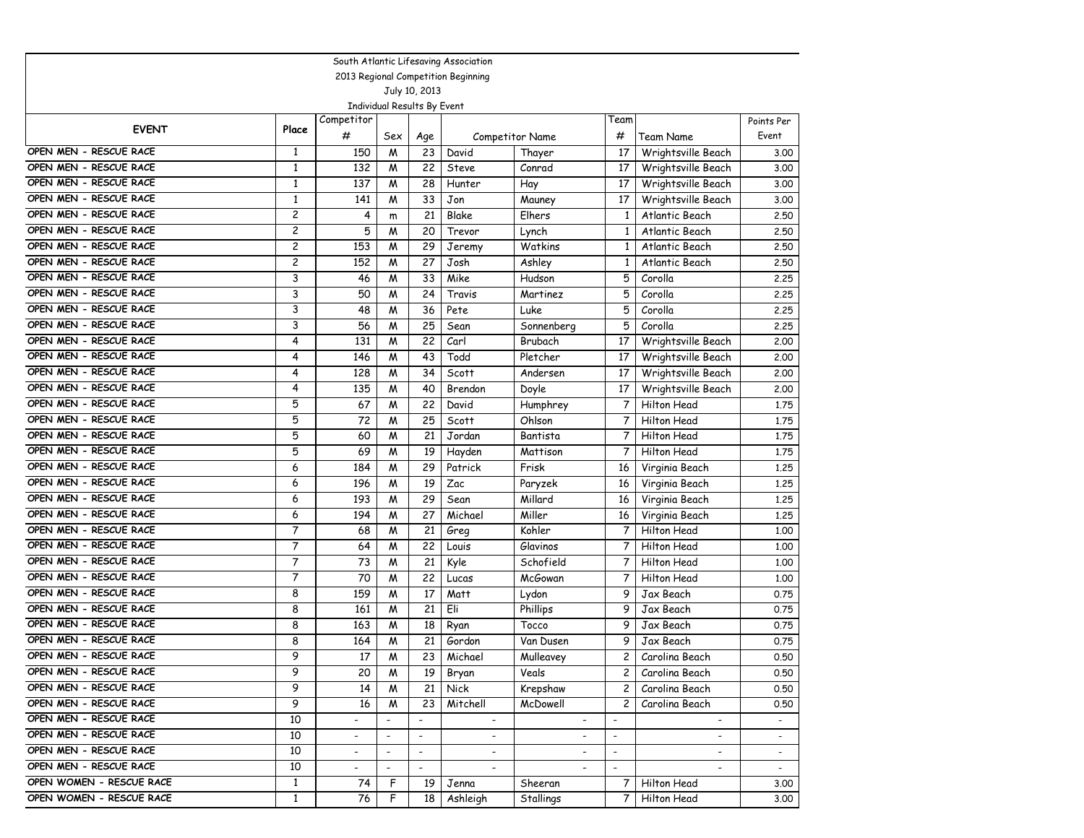| South Atlantic Lifesaving Association |                         |                          |                             |                          |                                     |                          |                          |                          |                          |  |  |  |
|---------------------------------------|-------------------------|--------------------------|-----------------------------|--------------------------|-------------------------------------|--------------------------|--------------------------|--------------------------|--------------------------|--|--|--|
|                                       |                         |                          |                             |                          | 2013 Regional Competition Beginning |                          |                          |                          |                          |  |  |  |
|                                       | July 10, 2013           |                          |                             |                          |                                     |                          |                          |                          |                          |  |  |  |
|                                       |                         |                          | Individual Results By Event |                          |                                     |                          |                          |                          |                          |  |  |  |
| <b>EVENT</b>                          | Place                   | Competitor               |                             |                          |                                     |                          | Team                     |                          | Points Per               |  |  |  |
|                                       |                         | #                        | Sex                         | Age                      |                                     | Competitor Name          | #                        | Team Name                | Event                    |  |  |  |
| OPEN MEN - RESCUE RACE                | 1                       | 150                      | M                           | 23                       | David                               | Thayer                   | 17                       | Wrightsville Beach       | 3.00                     |  |  |  |
| OPEN MEN - RESCUE RACE                | $\mathbf{1}$            | 132                      | M                           | 22                       | Steve                               | Conrad                   | 17                       | Wrightsville Beach       | 3.00                     |  |  |  |
| OPEN MEN - RESCUE RACE                | $\mathbf{1}$            | 137                      | M                           | 28                       | Hunter                              | Hay                      | 17                       | Wrightsville Beach       | 3.00                     |  |  |  |
| OPEN MEN - RESCUE RACE                | $\mathbf{1}$            | 141                      | W                           | 33                       | Jon                                 | Mauney                   | 17                       | Wrightsville Beach       | 3.00                     |  |  |  |
| OPEN MEN - RESCUE RACE                | $\overline{c}$          | 4                        | m                           | 21                       | Blake                               | Elhers                   | $\mathbf{1}$             | Atlantic Beach           | 2.50                     |  |  |  |
| OPEN MEN - RESCUE RACE                | 2                       | 5                        | W                           | 20                       | Trevor                              | Lynch                    | $\mathbf{1}$             | Atlantic Beach           | 2.50                     |  |  |  |
| OPEN MEN - RESCUE RACE                | $\overline{\mathbf{c}}$ | 153                      | M                           | 29                       | Jeremy                              | Watkins                  | 1                        | Atlantic Beach           | 2.50                     |  |  |  |
| OPEN MEN - RESCUE RACE                | 2                       | 152                      | M                           | 27                       | Josh                                | Ashley                   | $\mathbf{1}$             | Atlantic Beach           | 2.50                     |  |  |  |
| OPEN MEN - RESCUE RACE                | 3                       | 46                       | M                           | 33                       | Mike                                | Hudson                   | 5                        | Corolla                  | 2.25                     |  |  |  |
| OPEN MEN - RESCUE RACE                | 3                       | 50                       | M                           | 24                       | Travis                              | Martinez                 | 5                        | Corolla                  | 2.25                     |  |  |  |
| OPEN MEN - RESCUE RACE                | 3                       | 48                       | M                           | 36                       | Pete                                | Luke                     | 5                        | Corolla                  | 2.25                     |  |  |  |
| OPEN MEN - RESCUE RACE                | 3                       | 56                       | M                           | 25                       | Sean                                | Sonnenberg               | 5                        | Corolla                  | 2.25                     |  |  |  |
| OPEN MEN - RESCUE RACE                | 4                       | 131                      | M                           | 22                       | Carl                                | Brubach                  | 17                       | Wrightsville Beach       | 2.00                     |  |  |  |
| OPEN MEN - RESCUE RACE                | 4                       | 146                      | M                           | 43                       | Todd                                | Pletcher                 | 17                       | Wrightsville Beach       | 2.00                     |  |  |  |
| OPEN MEN - RESCUE RACE                | 4                       | 128                      | M                           | 34                       | Scott                               | Andersen                 | 17                       | Wrightsville Beach       | 2.00                     |  |  |  |
| OPEN MEN - RESCUE RACE                | 4                       | 135                      | W                           | 40                       | Brendon                             | Doyle                    | 17                       | Wrightsville Beach       | 2.00                     |  |  |  |
| OPEN MEN - RESCUE RACE                | 5                       | 67                       | W                           | 22                       | David                               | Humphrey                 | 7                        | Hilton Head              | 1.75                     |  |  |  |
| OPEN MEN - RESCUE RACE                | 5                       | 72                       | W                           | 25                       | Scott                               | Ohlson                   | 7                        | Hilton Head              | 1.75                     |  |  |  |
| OPEN MEN - RESCUE RACE                | 5                       | 60                       | M                           | 21                       | Jordan                              | Bantista                 | 7                        | Hilton Head              | 1.75                     |  |  |  |
| OPEN MEN - RESCUE RACE                | 5                       | 69                       | W                           | 19                       | Hayden                              | Mattison                 | $\overline{7}$           | Hilton Head              | 1.75                     |  |  |  |
| OPEN MEN - RESCUE RACE                | 6                       | 184                      | M                           | 29                       | Patrick                             | Frisk                    | 16                       | Virginia Beach           | 1,25                     |  |  |  |
| OPEN MEN - RESCUE RACE                | 6                       | 196                      | W                           | 19                       | Zac                                 | Paryzek                  | 16                       | Virginia Beach           | 1,25                     |  |  |  |
| OPEN MEN - RESCUE RACE                | 6                       | 193                      | W                           | 29                       | Sean                                | Millard                  | 16                       | Virginia Beach           | 1.25                     |  |  |  |
| OPEN MEN - RESCUE RACE                | 6                       | 194                      | W                           | 27                       | Michael                             | Miller                   | 16                       | Virginia Beach           | 1,25                     |  |  |  |
| OPEN MEN - RESCUE RACE                | 7                       | 68                       | M                           | 21                       | Greg                                | Kohler                   | 7                        | Hilton Head              | 1,00                     |  |  |  |
| OPEN MEN - RESCUE RACE                | 7                       | 64                       | M                           | 22                       | Louis                               | Glavinos                 | 7                        | <b>Hilton Head</b>       | 1.00                     |  |  |  |
| OPEN MEN - RESCUE RACE                | $\overline{7}$          | 73                       | M                           | 21                       | Kyle                                | Schofield                | 7                        | Hilton Head              | 1.00                     |  |  |  |
| OPEN MEN - RESCUE RACE                | $\overline{7}$          | 70                       | M                           | 22                       | Lucas                               | <b>McGowan</b>           | 7                        | Hilton Head              | 1.00                     |  |  |  |
| OPEN MEN - RESCUE RACE                | 8                       | 159                      | M                           | 17                       | Matt                                | Lydon                    | 9                        | Jax Beach                | 0.75                     |  |  |  |
| OPEN MEN - RESCUE RACE                | 8                       | 161                      | W                           | 21                       | Eli                                 | Phillips                 | 9                        | Jax Beach                | 0.75                     |  |  |  |
| OPEN MEN - RESCUE RACE                | 8                       | 163                      | W                           | 18                       | Ryan                                | Tocco                    | 9                        | Jax Beach                | 0.75                     |  |  |  |
| OPEN MEN - RESCUE RACE                | 8                       | 164                      | M                           | 21                       | Gordon                              | Van Dusen                | 9                        | Jax Beach                | 0.75                     |  |  |  |
| OPEN MEN - RESCUE RACE                | 9                       | 17                       | M                           | 23                       | Michael                             | Mulleavey                | $\mathbf{2}^{\prime}$    | Carolina Beach           | 0.50                     |  |  |  |
| OPEN MEN - RESCUE RACE                | 9                       | 20                       | M                           | 19                       | Bryan                               | Veals                    | 2                        | Carolina Beach           | 0.50                     |  |  |  |
| OPEN MEN - RESCUE RACE                | 9                       | 14                       | M                           | 21                       | Nick                                | Krepshaw                 | $\overline{c}$           | Carolina Beach           | 0.50                     |  |  |  |
| OPEN MEN - RESCUE RACE                | 9                       | 16                       | M                           | 23                       | Mitchell                            | McDowell                 | $\overline{c}$           | Carolina Beach           | 0.50                     |  |  |  |
| OPEN MEN - RESCUE RACE                | 10                      | $\overline{\phantom{a}}$ |                             | $\overline{\phantom{a}}$ | $\overline{\phantom{a}}$            | $\blacksquare$           | $\overline{\phantom{0}}$ | $\overline{\phantom{a}}$ | $\blacksquare$           |  |  |  |
| OPEN MEN - RESCUE RACE                | 10                      | $\overline{\phantom{a}}$ | $\overline{\phantom{a}}$    | $\overline{\phantom{a}}$ | $\overline{\phantom{a}}$            | $\overline{\phantom{a}}$ | $\overline{\phantom{0}}$ | $\overline{\phantom{a}}$ | $\overline{\phantom{a}}$ |  |  |  |
| OPEN MEN - RESCUE RACE                | 10                      | $\overline{\phantom{a}}$ | $\overline{\phantom{a}}$    | $\overline{\phantom{a}}$ | $\overline{\phantom{0}}$            | $\overline{\phantom{a}}$ | $\overline{\phantom{a}}$ | $\overline{\phantom{a}}$ | $\blacksquare$           |  |  |  |
| OPEN MEN - RESCUE RACE                | 10                      | $\overline{\phantom{a}}$ | $\overline{\phantom{a}}$    | $\overline{\phantom{a}}$ |                                     |                          | $\overline{\phantom{a}}$ |                          | $\sim$                   |  |  |  |
| OPEN WOMEN - RESCUE RACE              | $\mathbf{1}$            | 74                       | F                           | 19                       | Jenna                               | Sheeran                  | 7                        | Hilton Head              | 3.00                     |  |  |  |
| OPEN WOMEN - RESCUE RACE              | $\mathbf{1}$            | 76                       | F                           | 18                       | Ashleigh                            | Stallings                | 7                        | Hilton Head              | 3.00                     |  |  |  |
|                                       |                         |                          |                             |                          |                                     |                          |                          |                          |                          |  |  |  |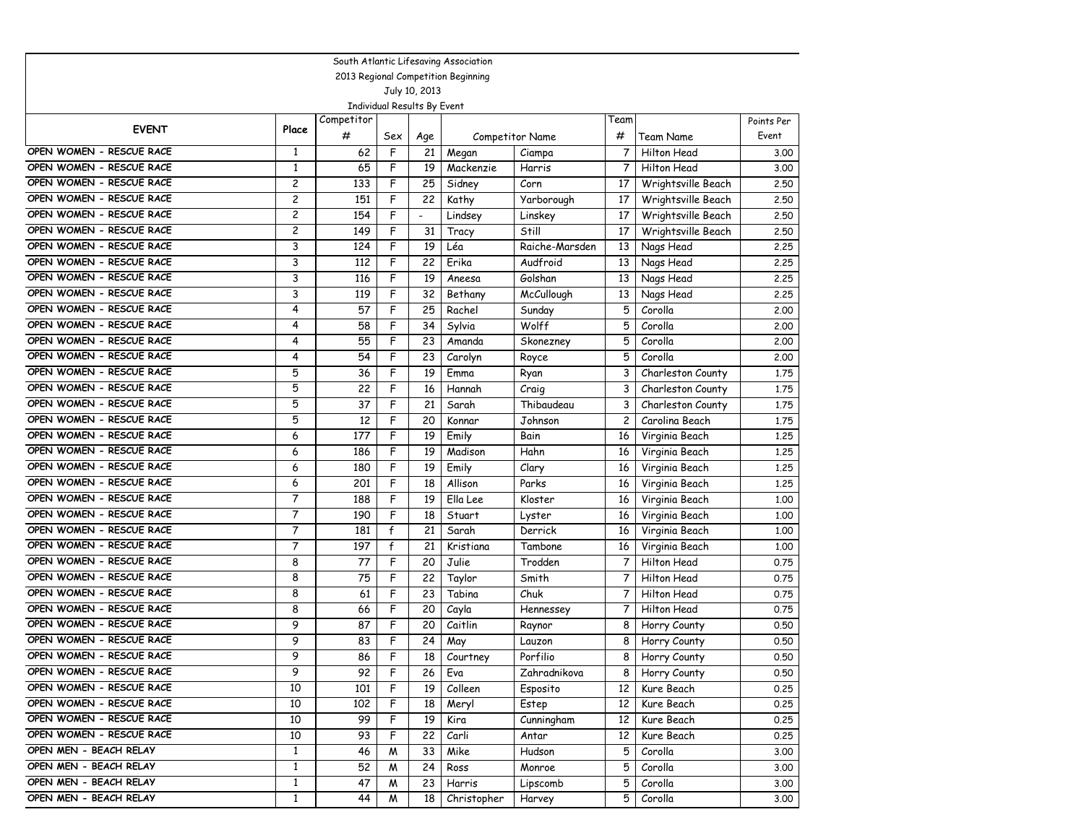| 2013 Regional Competition Beginning<br>July 10, 2013<br>Individual Results By Event<br>Competitor<br>Team<br>Points Per<br><b>EVENT</b><br>Place<br>#<br>#<br>Team Name<br>Event<br>Sex<br><b>Competitor Name</b><br>Age<br>OPEN WOMEN - RESCUE RACE<br>F<br><b>Hilton Head</b><br>1<br>62<br>21<br>7<br>Megan<br>Ciampa<br>3.00<br>OPEN WOMEN - RESCUE RACE<br>1<br>65<br>F<br>19<br>Mackenzie<br>7<br>Hilton Head<br>Harris<br>3.00<br>OPEN WOMEN - RESCUE RACE<br>2<br>133<br>F<br>25<br>Sidney<br>Corn<br>17<br>Wrightsville Beach<br>2.50<br>OPEN WOMEN - RESCUE RACE<br>F<br>2<br>151<br>22<br>Kathy<br>17<br>Wrightsville Beach<br>Yarborough<br>2.50<br>$\overline{c}$<br>OPEN WOMEN - RESCUE RACE<br>154<br>F<br>17<br>Lindsey<br>Wrightsville Beach<br>Linskey<br>2.50<br>$\overline{\phantom{a}}$<br>OPEN WOMEN - RESCUE RACE<br>2<br>149<br>F<br>31<br>Wrightsville Beach<br>Still<br>17<br>2.50<br>Tracy<br>OPEN WOMEN - RESCUE RACE<br>3<br>F<br>19<br>Léa<br>124<br>Raiche-Marsden<br>13<br>Nags Head<br>2.25<br>OPEN WOMEN - RESCUE RACE<br>3<br>F<br>Audfroid<br>112<br>22<br>Erika<br>13<br>Nags Head<br>2.25<br>OPEN WOMEN - RESCUE RACE<br>3<br>F<br>Golshan<br>116<br>19<br>13<br>Aneesa<br>Nags Head<br>2.25<br>OPEN WOMEN - RESCUE RACE<br>3<br>F<br><b>McCullough</b><br>119<br>32<br>13<br>Nags Head<br>2.25<br>Bethany<br>OPEN WOMEN - RESCUE RACE<br>F<br>4<br>57<br>25<br>5<br>Corolla<br>Rachel<br>Sunday<br>2,00<br>OPEN WOMEN - RESCUE RACE<br>4<br>58<br>F<br>34<br>Wolff<br>5<br>Corolla<br>Sylvia<br>2.00<br>OPEN WOMEN - RESCUE RACE<br>4<br>F<br>5<br>Corolla<br>55<br>23<br>2.00<br>Amanda<br>Skonezney<br>OPEN WOMEN - RESCUE RACE<br>5<br>4<br>54<br>F<br>23<br>Corolla<br>Carolyn<br>Royce<br>2,00<br>OPEN WOMEN - RESCUE RACE<br>5<br>36<br>F<br>19<br>3<br>Charleston County<br>Emma<br>Ryan<br>1.75<br>5<br>OPEN WOMEN - RESCUE RACE<br>22<br>F<br>16<br>Hannah<br>3<br>Charleston County<br>1.75<br>Craig<br>5<br>OPEN WOMEN - RESCUE RACE<br>F<br>37<br>21<br>Thibaudeau<br>3<br>Sarah<br>Charleston County<br>1.75<br>OPEN WOMEN - RESCUE RACE<br>5<br>F<br>12<br>20<br>2<br>Johnson<br>Carolina Beach<br>Konnar<br>1.75<br>OPEN WOMEN - RESCUE RACE<br>6<br>177<br>F<br>19<br>Emily<br>Bain<br>16<br>1,25<br>Virginia Beach<br>OPEN WOMEN - RESCUE RACE<br>F<br>6<br>19<br>Hahn<br>186<br>Madison<br>16<br>1,25<br>Virginia Beach<br>OPEN WOMEN - RESCUE RACE<br>6<br>F<br>19<br>180<br>Emily<br>Clary<br>16<br>Virginia Beach<br>1,25<br>OPEN WOMEN - RESCUE RACE<br>201<br>F<br>18<br>6<br>Allison<br>Parks<br>16<br>1,25<br>Virginia Beach<br>7<br>F<br>OPEN WOMEN - RESCUE RACE<br>188<br>19<br>Ella Lee<br>Kloster<br>16<br>Virginia Beach<br>1.00<br>OPEN WOMEN - RESCUE RACE<br>$\overline{7}$<br>F<br>18<br>190<br>16<br>Virginia Beach<br>Stuart<br>Lyster<br>1,00<br>OPEN WOMEN - RESCUE RACE<br>7<br>181<br>f<br>21<br>Derrick<br>16<br>Virginia Beach<br>Sarah<br>1,00<br>7<br>OPEN WOMEN - RESCUE RACE<br>197<br>f<br>21<br>Kristiana<br>Tambone<br>Virginia Beach<br>1.00<br>16<br>OPEN WOMEN - RESCUE RACE<br>F<br>Trodden<br>8<br>77<br>Julie<br><b>Hilton Head</b><br>20<br>0.75<br>OPEN WOMEN - RESCUE RACE<br>8<br>75<br>F<br>22<br>Smith<br>7<br><b>Hilton Head</b><br>0.75<br>Taylor<br>OPEN WOMEN - RESCUE RACE<br>8<br>F<br>23<br>Tabina<br>61<br>Chuk<br><b>Hilton Head</b><br>7<br>0.75<br>F<br>OPEN WOMEN - RESCUE RACE<br>8<br>66<br>20<br>Cayla<br>7<br><b>Hilton Head</b><br>0.75<br>Hennessey<br>9<br>OPEN WOMEN - RESCUE RACE<br>87<br>F<br>20<br>Caitlin<br>8<br>Raynor<br>Horry County<br>0.50<br>OPEN WOMEN - RESCUE RACE<br>9<br>F<br>83<br>24<br>8<br>0.50<br>May<br>Lauzon<br>Horry County<br>OPEN WOMEN - RESCUE RACE<br>9<br>F<br>86<br>18<br>Courtney<br>Porfilio<br>8<br>Horry County<br>0.50<br>OPEN WOMEN - RESCUE RACE<br>Eva<br>Zahradnikova<br>9<br>92<br>F<br>Horry County<br>26<br>0.50<br>8<br>OPEN WOMEN - RESCUE RACE<br>10<br>101<br>F<br>19<br>Colleen<br>Esposito<br>12 <sup>2</sup><br>Kure Beach<br>0.25<br>OPEN WOMEN - RESCUE RACE<br>10<br>F<br>18<br>102<br>Meryl<br>Estep<br>12<br>Kure Beach<br>0.25<br>OPEN WOMEN - RESCUE RACE<br>10<br>99<br>F<br>19<br>Kure Beach<br>Kira<br>Cunningham<br>12 <sup>2</sup><br>0.25<br>OPEN WOMEN - RESCUE RACE<br>10<br>93<br>F<br>22<br>Carli<br>Kure Beach<br>0.25<br>Antar<br>12<br>OPEN MEN - BEACH RELAY<br>$\mathbf{1}$<br>46<br>33<br>Mike<br>Hudson<br>5<br>Corolla<br>м<br>3.00<br>OPEN MEN - BEACH RELAY<br>$\mathbf{1}$<br>52<br>24<br>5<br>Corolla<br>Ross<br>Monroe<br>3.00<br>M<br>OPEN MEN - BEACH RELAY<br>$\mathbf{1}$<br>47<br>23<br>Lipscomb<br>5<br>Corolla<br>M<br>Harris<br>3.00 | South Atlantic Lifesaving Association |              |    |  |  |  |  |   |         |  |  |  |  |
|---------------------------------------------------------------------------------------------------------------------------------------------------------------------------------------------------------------------------------------------------------------------------------------------------------------------------------------------------------------------------------------------------------------------------------------------------------------------------------------------------------------------------------------------------------------------------------------------------------------------------------------------------------------------------------------------------------------------------------------------------------------------------------------------------------------------------------------------------------------------------------------------------------------------------------------------------------------------------------------------------------------------------------------------------------------------------------------------------------------------------------------------------------------------------------------------------------------------------------------------------------------------------------------------------------------------------------------------------------------------------------------------------------------------------------------------------------------------------------------------------------------------------------------------------------------------------------------------------------------------------------------------------------------------------------------------------------------------------------------------------------------------------------------------------------------------------------------------------------------------------------------------------------------------------------------------------------------------------------------------------------------------------------------------------------------------------------------------------------------------------------------------------------------------------------------------------------------------------------------------------------------------------------------------------------------------------------------------------------------------------------------------------------------------------------------------------------------------------------------------------------------------------------------------------------------------------------------------------------------------------------------------------------------------------------------------------------------------------------------------------------------------------------------------------------------------------------------------------------------------------------------------------------------------------------------------------------------------------------------------------------------------------------------------------------------------------------------------------------------------------------------------------------------------------------------------------------------------------------------------------------------------------------------------------------------------------------------------------------------------------------------------------------------------------------------------------------------------------------------------------------------------------------------------------------------------------------------------------------------------------------------------------------------------------------------------------------------------------------------------------------------------------------------------------------------------------------------------------------------------------------------------------------------------------------------------------------------------------------------------------------------------------------------------------------------------------------------------------------------------------------------------------------------------------------------------------------------------------------------------------------------------------------------------------------------------------------------------------------------------------------------------------------------------------------------------------------------------------------------------------------------------------------------------------------------------------------------------------------------------------------------------------------|---------------------------------------|--------------|----|--|--|--|--|---|---------|--|--|--|--|
|                                                                                                                                                                                                                                                                                                                                                                                                                                                                                                                                                                                                                                                                                                                                                                                                                                                                                                                                                                                                                                                                                                                                                                                                                                                                                                                                                                                                                                                                                                                                                                                                                                                                                                                                                                                                                                                                                                                                                                                                                                                                                                                                                                                                                                                                                                                                                                                                                                                                                                                                                                                                                                                                                                                                                                                                                                                                                                                                                                                                                                                                                                                                                                                                                                                                                                                                                                                                                                                                                                                                                                                                                                                                                                                                                                                                                                                                                                                                                                                                                                                                                                                                                                                                                                                                                                                                                                                                                                                                                                                                                                                                                                                         |                                       |              |    |  |  |  |  |   |         |  |  |  |  |
|                                                                                                                                                                                                                                                                                                                                                                                                                                                                                                                                                                                                                                                                                                                                                                                                                                                                                                                                                                                                                                                                                                                                                                                                                                                                                                                                                                                                                                                                                                                                                                                                                                                                                                                                                                                                                                                                                                                                                                                                                                                                                                                                                                                                                                                                                                                                                                                                                                                                                                                                                                                                                                                                                                                                                                                                                                                                                                                                                                                                                                                                                                                                                                                                                                                                                                                                                                                                                                                                                                                                                                                                                                                                                                                                                                                                                                                                                                                                                                                                                                                                                                                                                                                                                                                                                                                                                                                                                                                                                                                                                                                                                                                         |                                       |              |    |  |  |  |  |   |         |  |  |  |  |
|                                                                                                                                                                                                                                                                                                                                                                                                                                                                                                                                                                                                                                                                                                                                                                                                                                                                                                                                                                                                                                                                                                                                                                                                                                                                                                                                                                                                                                                                                                                                                                                                                                                                                                                                                                                                                                                                                                                                                                                                                                                                                                                                                                                                                                                                                                                                                                                                                                                                                                                                                                                                                                                                                                                                                                                                                                                                                                                                                                                                                                                                                                                                                                                                                                                                                                                                                                                                                                                                                                                                                                                                                                                                                                                                                                                                                                                                                                                                                                                                                                                                                                                                                                                                                                                                                                                                                                                                                                                                                                                                                                                                                                                         |                                       |              |    |  |  |  |  |   |         |  |  |  |  |
|                                                                                                                                                                                                                                                                                                                                                                                                                                                                                                                                                                                                                                                                                                                                                                                                                                                                                                                                                                                                                                                                                                                                                                                                                                                                                                                                                                                                                                                                                                                                                                                                                                                                                                                                                                                                                                                                                                                                                                                                                                                                                                                                                                                                                                                                                                                                                                                                                                                                                                                                                                                                                                                                                                                                                                                                                                                                                                                                                                                                                                                                                                                                                                                                                                                                                                                                                                                                                                                                                                                                                                                                                                                                                                                                                                                                                                                                                                                                                                                                                                                                                                                                                                                                                                                                                                                                                                                                                                                                                                                                                                                                                                                         |                                       |              |    |  |  |  |  |   |         |  |  |  |  |
|                                                                                                                                                                                                                                                                                                                                                                                                                                                                                                                                                                                                                                                                                                                                                                                                                                                                                                                                                                                                                                                                                                                                                                                                                                                                                                                                                                                                                                                                                                                                                                                                                                                                                                                                                                                                                                                                                                                                                                                                                                                                                                                                                                                                                                                                                                                                                                                                                                                                                                                                                                                                                                                                                                                                                                                                                                                                                                                                                                                                                                                                                                                                                                                                                                                                                                                                                                                                                                                                                                                                                                                                                                                                                                                                                                                                                                                                                                                                                                                                                                                                                                                                                                                                                                                                                                                                                                                                                                                                                                                                                                                                                                                         |                                       |              |    |  |  |  |  |   |         |  |  |  |  |
|                                                                                                                                                                                                                                                                                                                                                                                                                                                                                                                                                                                                                                                                                                                                                                                                                                                                                                                                                                                                                                                                                                                                                                                                                                                                                                                                                                                                                                                                                                                                                                                                                                                                                                                                                                                                                                                                                                                                                                                                                                                                                                                                                                                                                                                                                                                                                                                                                                                                                                                                                                                                                                                                                                                                                                                                                                                                                                                                                                                                                                                                                                                                                                                                                                                                                                                                                                                                                                                                                                                                                                                                                                                                                                                                                                                                                                                                                                                                                                                                                                                                                                                                                                                                                                                                                                                                                                                                                                                                                                                                                                                                                                                         |                                       |              |    |  |  |  |  |   |         |  |  |  |  |
|                                                                                                                                                                                                                                                                                                                                                                                                                                                                                                                                                                                                                                                                                                                                                                                                                                                                                                                                                                                                                                                                                                                                                                                                                                                                                                                                                                                                                                                                                                                                                                                                                                                                                                                                                                                                                                                                                                                                                                                                                                                                                                                                                                                                                                                                                                                                                                                                                                                                                                                                                                                                                                                                                                                                                                                                                                                                                                                                                                                                                                                                                                                                                                                                                                                                                                                                                                                                                                                                                                                                                                                                                                                                                                                                                                                                                                                                                                                                                                                                                                                                                                                                                                                                                                                                                                                                                                                                                                                                                                                                                                                                                                                         |                                       |              |    |  |  |  |  |   |         |  |  |  |  |
|                                                                                                                                                                                                                                                                                                                                                                                                                                                                                                                                                                                                                                                                                                                                                                                                                                                                                                                                                                                                                                                                                                                                                                                                                                                                                                                                                                                                                                                                                                                                                                                                                                                                                                                                                                                                                                                                                                                                                                                                                                                                                                                                                                                                                                                                                                                                                                                                                                                                                                                                                                                                                                                                                                                                                                                                                                                                                                                                                                                                                                                                                                                                                                                                                                                                                                                                                                                                                                                                                                                                                                                                                                                                                                                                                                                                                                                                                                                                                                                                                                                                                                                                                                                                                                                                                                                                                                                                                                                                                                                                                                                                                                                         |                                       |              |    |  |  |  |  |   |         |  |  |  |  |
|                                                                                                                                                                                                                                                                                                                                                                                                                                                                                                                                                                                                                                                                                                                                                                                                                                                                                                                                                                                                                                                                                                                                                                                                                                                                                                                                                                                                                                                                                                                                                                                                                                                                                                                                                                                                                                                                                                                                                                                                                                                                                                                                                                                                                                                                                                                                                                                                                                                                                                                                                                                                                                                                                                                                                                                                                                                                                                                                                                                                                                                                                                                                                                                                                                                                                                                                                                                                                                                                                                                                                                                                                                                                                                                                                                                                                                                                                                                                                                                                                                                                                                                                                                                                                                                                                                                                                                                                                                                                                                                                                                                                                                                         |                                       |              |    |  |  |  |  |   |         |  |  |  |  |
|                                                                                                                                                                                                                                                                                                                                                                                                                                                                                                                                                                                                                                                                                                                                                                                                                                                                                                                                                                                                                                                                                                                                                                                                                                                                                                                                                                                                                                                                                                                                                                                                                                                                                                                                                                                                                                                                                                                                                                                                                                                                                                                                                                                                                                                                                                                                                                                                                                                                                                                                                                                                                                                                                                                                                                                                                                                                                                                                                                                                                                                                                                                                                                                                                                                                                                                                                                                                                                                                                                                                                                                                                                                                                                                                                                                                                                                                                                                                                                                                                                                                                                                                                                                                                                                                                                                                                                                                                                                                                                                                                                                                                                                         |                                       |              |    |  |  |  |  |   |         |  |  |  |  |
|                                                                                                                                                                                                                                                                                                                                                                                                                                                                                                                                                                                                                                                                                                                                                                                                                                                                                                                                                                                                                                                                                                                                                                                                                                                                                                                                                                                                                                                                                                                                                                                                                                                                                                                                                                                                                                                                                                                                                                                                                                                                                                                                                                                                                                                                                                                                                                                                                                                                                                                                                                                                                                                                                                                                                                                                                                                                                                                                                                                                                                                                                                                                                                                                                                                                                                                                                                                                                                                                                                                                                                                                                                                                                                                                                                                                                                                                                                                                                                                                                                                                                                                                                                                                                                                                                                                                                                                                                                                                                                                                                                                                                                                         |                                       |              |    |  |  |  |  |   |         |  |  |  |  |
|                                                                                                                                                                                                                                                                                                                                                                                                                                                                                                                                                                                                                                                                                                                                                                                                                                                                                                                                                                                                                                                                                                                                                                                                                                                                                                                                                                                                                                                                                                                                                                                                                                                                                                                                                                                                                                                                                                                                                                                                                                                                                                                                                                                                                                                                                                                                                                                                                                                                                                                                                                                                                                                                                                                                                                                                                                                                                                                                                                                                                                                                                                                                                                                                                                                                                                                                                                                                                                                                                                                                                                                                                                                                                                                                                                                                                                                                                                                                                                                                                                                                                                                                                                                                                                                                                                                                                                                                                                                                                                                                                                                                                                                         |                                       |              |    |  |  |  |  |   |         |  |  |  |  |
|                                                                                                                                                                                                                                                                                                                                                                                                                                                                                                                                                                                                                                                                                                                                                                                                                                                                                                                                                                                                                                                                                                                                                                                                                                                                                                                                                                                                                                                                                                                                                                                                                                                                                                                                                                                                                                                                                                                                                                                                                                                                                                                                                                                                                                                                                                                                                                                                                                                                                                                                                                                                                                                                                                                                                                                                                                                                                                                                                                                                                                                                                                                                                                                                                                                                                                                                                                                                                                                                                                                                                                                                                                                                                                                                                                                                                                                                                                                                                                                                                                                                                                                                                                                                                                                                                                                                                                                                                                                                                                                                                                                                                                                         |                                       |              |    |  |  |  |  |   |         |  |  |  |  |
|                                                                                                                                                                                                                                                                                                                                                                                                                                                                                                                                                                                                                                                                                                                                                                                                                                                                                                                                                                                                                                                                                                                                                                                                                                                                                                                                                                                                                                                                                                                                                                                                                                                                                                                                                                                                                                                                                                                                                                                                                                                                                                                                                                                                                                                                                                                                                                                                                                                                                                                                                                                                                                                                                                                                                                                                                                                                                                                                                                                                                                                                                                                                                                                                                                                                                                                                                                                                                                                                                                                                                                                                                                                                                                                                                                                                                                                                                                                                                                                                                                                                                                                                                                                                                                                                                                                                                                                                                                                                                                                                                                                                                                                         |                                       |              |    |  |  |  |  |   |         |  |  |  |  |
|                                                                                                                                                                                                                                                                                                                                                                                                                                                                                                                                                                                                                                                                                                                                                                                                                                                                                                                                                                                                                                                                                                                                                                                                                                                                                                                                                                                                                                                                                                                                                                                                                                                                                                                                                                                                                                                                                                                                                                                                                                                                                                                                                                                                                                                                                                                                                                                                                                                                                                                                                                                                                                                                                                                                                                                                                                                                                                                                                                                                                                                                                                                                                                                                                                                                                                                                                                                                                                                                                                                                                                                                                                                                                                                                                                                                                                                                                                                                                                                                                                                                                                                                                                                                                                                                                                                                                                                                                                                                                                                                                                                                                                                         |                                       |              |    |  |  |  |  |   |         |  |  |  |  |
|                                                                                                                                                                                                                                                                                                                                                                                                                                                                                                                                                                                                                                                                                                                                                                                                                                                                                                                                                                                                                                                                                                                                                                                                                                                                                                                                                                                                                                                                                                                                                                                                                                                                                                                                                                                                                                                                                                                                                                                                                                                                                                                                                                                                                                                                                                                                                                                                                                                                                                                                                                                                                                                                                                                                                                                                                                                                                                                                                                                                                                                                                                                                                                                                                                                                                                                                                                                                                                                                                                                                                                                                                                                                                                                                                                                                                                                                                                                                                                                                                                                                                                                                                                                                                                                                                                                                                                                                                                                                                                                                                                                                                                                         |                                       |              |    |  |  |  |  |   |         |  |  |  |  |
|                                                                                                                                                                                                                                                                                                                                                                                                                                                                                                                                                                                                                                                                                                                                                                                                                                                                                                                                                                                                                                                                                                                                                                                                                                                                                                                                                                                                                                                                                                                                                                                                                                                                                                                                                                                                                                                                                                                                                                                                                                                                                                                                                                                                                                                                                                                                                                                                                                                                                                                                                                                                                                                                                                                                                                                                                                                                                                                                                                                                                                                                                                                                                                                                                                                                                                                                                                                                                                                                                                                                                                                                                                                                                                                                                                                                                                                                                                                                                                                                                                                                                                                                                                                                                                                                                                                                                                                                                                                                                                                                                                                                                                                         |                                       |              |    |  |  |  |  |   |         |  |  |  |  |
|                                                                                                                                                                                                                                                                                                                                                                                                                                                                                                                                                                                                                                                                                                                                                                                                                                                                                                                                                                                                                                                                                                                                                                                                                                                                                                                                                                                                                                                                                                                                                                                                                                                                                                                                                                                                                                                                                                                                                                                                                                                                                                                                                                                                                                                                                                                                                                                                                                                                                                                                                                                                                                                                                                                                                                                                                                                                                                                                                                                                                                                                                                                                                                                                                                                                                                                                                                                                                                                                                                                                                                                                                                                                                                                                                                                                                                                                                                                                                                                                                                                                                                                                                                                                                                                                                                                                                                                                                                                                                                                                                                                                                                                         |                                       |              |    |  |  |  |  |   |         |  |  |  |  |
|                                                                                                                                                                                                                                                                                                                                                                                                                                                                                                                                                                                                                                                                                                                                                                                                                                                                                                                                                                                                                                                                                                                                                                                                                                                                                                                                                                                                                                                                                                                                                                                                                                                                                                                                                                                                                                                                                                                                                                                                                                                                                                                                                                                                                                                                                                                                                                                                                                                                                                                                                                                                                                                                                                                                                                                                                                                                                                                                                                                                                                                                                                                                                                                                                                                                                                                                                                                                                                                                                                                                                                                                                                                                                                                                                                                                                                                                                                                                                                                                                                                                                                                                                                                                                                                                                                                                                                                                                                                                                                                                                                                                                                                         |                                       |              |    |  |  |  |  |   |         |  |  |  |  |
|                                                                                                                                                                                                                                                                                                                                                                                                                                                                                                                                                                                                                                                                                                                                                                                                                                                                                                                                                                                                                                                                                                                                                                                                                                                                                                                                                                                                                                                                                                                                                                                                                                                                                                                                                                                                                                                                                                                                                                                                                                                                                                                                                                                                                                                                                                                                                                                                                                                                                                                                                                                                                                                                                                                                                                                                                                                                                                                                                                                                                                                                                                                                                                                                                                                                                                                                                                                                                                                                                                                                                                                                                                                                                                                                                                                                                                                                                                                                                                                                                                                                                                                                                                                                                                                                                                                                                                                                                                                                                                                                                                                                                                                         |                                       |              |    |  |  |  |  |   |         |  |  |  |  |
|                                                                                                                                                                                                                                                                                                                                                                                                                                                                                                                                                                                                                                                                                                                                                                                                                                                                                                                                                                                                                                                                                                                                                                                                                                                                                                                                                                                                                                                                                                                                                                                                                                                                                                                                                                                                                                                                                                                                                                                                                                                                                                                                                                                                                                                                                                                                                                                                                                                                                                                                                                                                                                                                                                                                                                                                                                                                                                                                                                                                                                                                                                                                                                                                                                                                                                                                                                                                                                                                                                                                                                                                                                                                                                                                                                                                                                                                                                                                                                                                                                                                                                                                                                                                                                                                                                                                                                                                                                                                                                                                                                                                                                                         |                                       |              |    |  |  |  |  |   |         |  |  |  |  |
|                                                                                                                                                                                                                                                                                                                                                                                                                                                                                                                                                                                                                                                                                                                                                                                                                                                                                                                                                                                                                                                                                                                                                                                                                                                                                                                                                                                                                                                                                                                                                                                                                                                                                                                                                                                                                                                                                                                                                                                                                                                                                                                                                                                                                                                                                                                                                                                                                                                                                                                                                                                                                                                                                                                                                                                                                                                                                                                                                                                                                                                                                                                                                                                                                                                                                                                                                                                                                                                                                                                                                                                                                                                                                                                                                                                                                                                                                                                                                                                                                                                                                                                                                                                                                                                                                                                                                                                                                                                                                                                                                                                                                                                         |                                       |              |    |  |  |  |  |   |         |  |  |  |  |
|                                                                                                                                                                                                                                                                                                                                                                                                                                                                                                                                                                                                                                                                                                                                                                                                                                                                                                                                                                                                                                                                                                                                                                                                                                                                                                                                                                                                                                                                                                                                                                                                                                                                                                                                                                                                                                                                                                                                                                                                                                                                                                                                                                                                                                                                                                                                                                                                                                                                                                                                                                                                                                                                                                                                                                                                                                                                                                                                                                                                                                                                                                                                                                                                                                                                                                                                                                                                                                                                                                                                                                                                                                                                                                                                                                                                                                                                                                                                                                                                                                                                                                                                                                                                                                                                                                                                                                                                                                                                                                                                                                                                                                                         |                                       |              |    |  |  |  |  |   |         |  |  |  |  |
|                                                                                                                                                                                                                                                                                                                                                                                                                                                                                                                                                                                                                                                                                                                                                                                                                                                                                                                                                                                                                                                                                                                                                                                                                                                                                                                                                                                                                                                                                                                                                                                                                                                                                                                                                                                                                                                                                                                                                                                                                                                                                                                                                                                                                                                                                                                                                                                                                                                                                                                                                                                                                                                                                                                                                                                                                                                                                                                                                                                                                                                                                                                                                                                                                                                                                                                                                                                                                                                                                                                                                                                                                                                                                                                                                                                                                                                                                                                                                                                                                                                                                                                                                                                                                                                                                                                                                                                                                                                                                                                                                                                                                                                         |                                       |              |    |  |  |  |  |   |         |  |  |  |  |
|                                                                                                                                                                                                                                                                                                                                                                                                                                                                                                                                                                                                                                                                                                                                                                                                                                                                                                                                                                                                                                                                                                                                                                                                                                                                                                                                                                                                                                                                                                                                                                                                                                                                                                                                                                                                                                                                                                                                                                                                                                                                                                                                                                                                                                                                                                                                                                                                                                                                                                                                                                                                                                                                                                                                                                                                                                                                                                                                                                                                                                                                                                                                                                                                                                                                                                                                                                                                                                                                                                                                                                                                                                                                                                                                                                                                                                                                                                                                                                                                                                                                                                                                                                                                                                                                                                                                                                                                                                                                                                                                                                                                                                                         |                                       |              |    |  |  |  |  |   |         |  |  |  |  |
|                                                                                                                                                                                                                                                                                                                                                                                                                                                                                                                                                                                                                                                                                                                                                                                                                                                                                                                                                                                                                                                                                                                                                                                                                                                                                                                                                                                                                                                                                                                                                                                                                                                                                                                                                                                                                                                                                                                                                                                                                                                                                                                                                                                                                                                                                                                                                                                                                                                                                                                                                                                                                                                                                                                                                                                                                                                                                                                                                                                                                                                                                                                                                                                                                                                                                                                                                                                                                                                                                                                                                                                                                                                                                                                                                                                                                                                                                                                                                                                                                                                                                                                                                                                                                                                                                                                                                                                                                                                                                                                                                                                                                                                         |                                       |              |    |  |  |  |  |   |         |  |  |  |  |
|                                                                                                                                                                                                                                                                                                                                                                                                                                                                                                                                                                                                                                                                                                                                                                                                                                                                                                                                                                                                                                                                                                                                                                                                                                                                                                                                                                                                                                                                                                                                                                                                                                                                                                                                                                                                                                                                                                                                                                                                                                                                                                                                                                                                                                                                                                                                                                                                                                                                                                                                                                                                                                                                                                                                                                                                                                                                                                                                                                                                                                                                                                                                                                                                                                                                                                                                                                                                                                                                                                                                                                                                                                                                                                                                                                                                                                                                                                                                                                                                                                                                                                                                                                                                                                                                                                                                                                                                                                                                                                                                                                                                                                                         |                                       |              |    |  |  |  |  |   |         |  |  |  |  |
|                                                                                                                                                                                                                                                                                                                                                                                                                                                                                                                                                                                                                                                                                                                                                                                                                                                                                                                                                                                                                                                                                                                                                                                                                                                                                                                                                                                                                                                                                                                                                                                                                                                                                                                                                                                                                                                                                                                                                                                                                                                                                                                                                                                                                                                                                                                                                                                                                                                                                                                                                                                                                                                                                                                                                                                                                                                                                                                                                                                                                                                                                                                                                                                                                                                                                                                                                                                                                                                                                                                                                                                                                                                                                                                                                                                                                                                                                                                                                                                                                                                                                                                                                                                                                                                                                                                                                                                                                                                                                                                                                                                                                                                         |                                       |              |    |  |  |  |  |   |         |  |  |  |  |
|                                                                                                                                                                                                                                                                                                                                                                                                                                                                                                                                                                                                                                                                                                                                                                                                                                                                                                                                                                                                                                                                                                                                                                                                                                                                                                                                                                                                                                                                                                                                                                                                                                                                                                                                                                                                                                                                                                                                                                                                                                                                                                                                                                                                                                                                                                                                                                                                                                                                                                                                                                                                                                                                                                                                                                                                                                                                                                                                                                                                                                                                                                                                                                                                                                                                                                                                                                                                                                                                                                                                                                                                                                                                                                                                                                                                                                                                                                                                                                                                                                                                                                                                                                                                                                                                                                                                                                                                                                                                                                                                                                                                                                                         |                                       |              |    |  |  |  |  |   |         |  |  |  |  |
|                                                                                                                                                                                                                                                                                                                                                                                                                                                                                                                                                                                                                                                                                                                                                                                                                                                                                                                                                                                                                                                                                                                                                                                                                                                                                                                                                                                                                                                                                                                                                                                                                                                                                                                                                                                                                                                                                                                                                                                                                                                                                                                                                                                                                                                                                                                                                                                                                                                                                                                                                                                                                                                                                                                                                                                                                                                                                                                                                                                                                                                                                                                                                                                                                                                                                                                                                                                                                                                                                                                                                                                                                                                                                                                                                                                                                                                                                                                                                                                                                                                                                                                                                                                                                                                                                                                                                                                                                                                                                                                                                                                                                                                         |                                       |              |    |  |  |  |  |   |         |  |  |  |  |
|                                                                                                                                                                                                                                                                                                                                                                                                                                                                                                                                                                                                                                                                                                                                                                                                                                                                                                                                                                                                                                                                                                                                                                                                                                                                                                                                                                                                                                                                                                                                                                                                                                                                                                                                                                                                                                                                                                                                                                                                                                                                                                                                                                                                                                                                                                                                                                                                                                                                                                                                                                                                                                                                                                                                                                                                                                                                                                                                                                                                                                                                                                                                                                                                                                                                                                                                                                                                                                                                                                                                                                                                                                                                                                                                                                                                                                                                                                                                                                                                                                                                                                                                                                                                                                                                                                                                                                                                                                                                                                                                                                                                                                                         |                                       |              |    |  |  |  |  |   |         |  |  |  |  |
|                                                                                                                                                                                                                                                                                                                                                                                                                                                                                                                                                                                                                                                                                                                                                                                                                                                                                                                                                                                                                                                                                                                                                                                                                                                                                                                                                                                                                                                                                                                                                                                                                                                                                                                                                                                                                                                                                                                                                                                                                                                                                                                                                                                                                                                                                                                                                                                                                                                                                                                                                                                                                                                                                                                                                                                                                                                                                                                                                                                                                                                                                                                                                                                                                                                                                                                                                                                                                                                                                                                                                                                                                                                                                                                                                                                                                                                                                                                                                                                                                                                                                                                                                                                                                                                                                                                                                                                                                                                                                                                                                                                                                                                         |                                       |              |    |  |  |  |  |   |         |  |  |  |  |
|                                                                                                                                                                                                                                                                                                                                                                                                                                                                                                                                                                                                                                                                                                                                                                                                                                                                                                                                                                                                                                                                                                                                                                                                                                                                                                                                                                                                                                                                                                                                                                                                                                                                                                                                                                                                                                                                                                                                                                                                                                                                                                                                                                                                                                                                                                                                                                                                                                                                                                                                                                                                                                                                                                                                                                                                                                                                                                                                                                                                                                                                                                                                                                                                                                                                                                                                                                                                                                                                                                                                                                                                                                                                                                                                                                                                                                                                                                                                                                                                                                                                                                                                                                                                                                                                                                                                                                                                                                                                                                                                                                                                                                                         |                                       |              |    |  |  |  |  |   |         |  |  |  |  |
|                                                                                                                                                                                                                                                                                                                                                                                                                                                                                                                                                                                                                                                                                                                                                                                                                                                                                                                                                                                                                                                                                                                                                                                                                                                                                                                                                                                                                                                                                                                                                                                                                                                                                                                                                                                                                                                                                                                                                                                                                                                                                                                                                                                                                                                                                                                                                                                                                                                                                                                                                                                                                                                                                                                                                                                                                                                                                                                                                                                                                                                                                                                                                                                                                                                                                                                                                                                                                                                                                                                                                                                                                                                                                                                                                                                                                                                                                                                                                                                                                                                                                                                                                                                                                                                                                                                                                                                                                                                                                                                                                                                                                                                         |                                       |              |    |  |  |  |  |   |         |  |  |  |  |
|                                                                                                                                                                                                                                                                                                                                                                                                                                                                                                                                                                                                                                                                                                                                                                                                                                                                                                                                                                                                                                                                                                                                                                                                                                                                                                                                                                                                                                                                                                                                                                                                                                                                                                                                                                                                                                                                                                                                                                                                                                                                                                                                                                                                                                                                                                                                                                                                                                                                                                                                                                                                                                                                                                                                                                                                                                                                                                                                                                                                                                                                                                                                                                                                                                                                                                                                                                                                                                                                                                                                                                                                                                                                                                                                                                                                                                                                                                                                                                                                                                                                                                                                                                                                                                                                                                                                                                                                                                                                                                                                                                                                                                                         |                                       |              |    |  |  |  |  |   |         |  |  |  |  |
|                                                                                                                                                                                                                                                                                                                                                                                                                                                                                                                                                                                                                                                                                                                                                                                                                                                                                                                                                                                                                                                                                                                                                                                                                                                                                                                                                                                                                                                                                                                                                                                                                                                                                                                                                                                                                                                                                                                                                                                                                                                                                                                                                                                                                                                                                                                                                                                                                                                                                                                                                                                                                                                                                                                                                                                                                                                                                                                                                                                                                                                                                                                                                                                                                                                                                                                                                                                                                                                                                                                                                                                                                                                                                                                                                                                                                                                                                                                                                                                                                                                                                                                                                                                                                                                                                                                                                                                                                                                                                                                                                                                                                                                         |                                       |              |    |  |  |  |  |   |         |  |  |  |  |
|                                                                                                                                                                                                                                                                                                                                                                                                                                                                                                                                                                                                                                                                                                                                                                                                                                                                                                                                                                                                                                                                                                                                                                                                                                                                                                                                                                                                                                                                                                                                                                                                                                                                                                                                                                                                                                                                                                                                                                                                                                                                                                                                                                                                                                                                                                                                                                                                                                                                                                                                                                                                                                                                                                                                                                                                                                                                                                                                                                                                                                                                                                                                                                                                                                                                                                                                                                                                                                                                                                                                                                                                                                                                                                                                                                                                                                                                                                                                                                                                                                                                                                                                                                                                                                                                                                                                                                                                                                                                                                                                                                                                                                                         |                                       |              |    |  |  |  |  |   |         |  |  |  |  |
|                                                                                                                                                                                                                                                                                                                                                                                                                                                                                                                                                                                                                                                                                                                                                                                                                                                                                                                                                                                                                                                                                                                                                                                                                                                                                                                                                                                                                                                                                                                                                                                                                                                                                                                                                                                                                                                                                                                                                                                                                                                                                                                                                                                                                                                                                                                                                                                                                                                                                                                                                                                                                                                                                                                                                                                                                                                                                                                                                                                                                                                                                                                                                                                                                                                                                                                                                                                                                                                                                                                                                                                                                                                                                                                                                                                                                                                                                                                                                                                                                                                                                                                                                                                                                                                                                                                                                                                                                                                                                                                                                                                                                                                         |                                       |              |    |  |  |  |  |   |         |  |  |  |  |
|                                                                                                                                                                                                                                                                                                                                                                                                                                                                                                                                                                                                                                                                                                                                                                                                                                                                                                                                                                                                                                                                                                                                                                                                                                                                                                                                                                                                                                                                                                                                                                                                                                                                                                                                                                                                                                                                                                                                                                                                                                                                                                                                                                                                                                                                                                                                                                                                                                                                                                                                                                                                                                                                                                                                                                                                                                                                                                                                                                                                                                                                                                                                                                                                                                                                                                                                                                                                                                                                                                                                                                                                                                                                                                                                                                                                                                                                                                                                                                                                                                                                                                                                                                                                                                                                                                                                                                                                                                                                                                                                                                                                                                                         |                                       |              |    |  |  |  |  |   |         |  |  |  |  |
|                                                                                                                                                                                                                                                                                                                                                                                                                                                                                                                                                                                                                                                                                                                                                                                                                                                                                                                                                                                                                                                                                                                                                                                                                                                                                                                                                                                                                                                                                                                                                                                                                                                                                                                                                                                                                                                                                                                                                                                                                                                                                                                                                                                                                                                                                                                                                                                                                                                                                                                                                                                                                                                                                                                                                                                                                                                                                                                                                                                                                                                                                                                                                                                                                                                                                                                                                                                                                                                                                                                                                                                                                                                                                                                                                                                                                                                                                                                                                                                                                                                                                                                                                                                                                                                                                                                                                                                                                                                                                                                                                                                                                                                         |                                       |              |    |  |  |  |  |   |         |  |  |  |  |
|                                                                                                                                                                                                                                                                                                                                                                                                                                                                                                                                                                                                                                                                                                                                                                                                                                                                                                                                                                                                                                                                                                                                                                                                                                                                                                                                                                                                                                                                                                                                                                                                                                                                                                                                                                                                                                                                                                                                                                                                                                                                                                                                                                                                                                                                                                                                                                                                                                                                                                                                                                                                                                                                                                                                                                                                                                                                                                                                                                                                                                                                                                                                                                                                                                                                                                                                                                                                                                                                                                                                                                                                                                                                                                                                                                                                                                                                                                                                                                                                                                                                                                                                                                                                                                                                                                                                                                                                                                                                                                                                                                                                                                                         |                                       |              |    |  |  |  |  |   |         |  |  |  |  |
|                                                                                                                                                                                                                                                                                                                                                                                                                                                                                                                                                                                                                                                                                                                                                                                                                                                                                                                                                                                                                                                                                                                                                                                                                                                                                                                                                                                                                                                                                                                                                                                                                                                                                                                                                                                                                                                                                                                                                                                                                                                                                                                                                                                                                                                                                                                                                                                                                                                                                                                                                                                                                                                                                                                                                                                                                                                                                                                                                                                                                                                                                                                                                                                                                                                                                                                                                                                                                                                                                                                                                                                                                                                                                                                                                                                                                                                                                                                                                                                                                                                                                                                                                                                                                                                                                                                                                                                                                                                                                                                                                                                                                                                         |                                       |              |    |  |  |  |  |   |         |  |  |  |  |
|                                                                                                                                                                                                                                                                                                                                                                                                                                                                                                                                                                                                                                                                                                                                                                                                                                                                                                                                                                                                                                                                                                                                                                                                                                                                                                                                                                                                                                                                                                                                                                                                                                                                                                                                                                                                                                                                                                                                                                                                                                                                                                                                                                                                                                                                                                                                                                                                                                                                                                                                                                                                                                                                                                                                                                                                                                                                                                                                                                                                                                                                                                                                                                                                                                                                                                                                                                                                                                                                                                                                                                                                                                                                                                                                                                                                                                                                                                                                                                                                                                                                                                                                                                                                                                                                                                                                                                                                                                                                                                                                                                                                                                                         |                                       |              |    |  |  |  |  |   |         |  |  |  |  |
|                                                                                                                                                                                                                                                                                                                                                                                                                                                                                                                                                                                                                                                                                                                                                                                                                                                                                                                                                                                                                                                                                                                                                                                                                                                                                                                                                                                                                                                                                                                                                                                                                                                                                                                                                                                                                                                                                                                                                                                                                                                                                                                                                                                                                                                                                                                                                                                                                                                                                                                                                                                                                                                                                                                                                                                                                                                                                                                                                                                                                                                                                                                                                                                                                                                                                                                                                                                                                                                                                                                                                                                                                                                                                                                                                                                                                                                                                                                                                                                                                                                                                                                                                                                                                                                                                                                                                                                                                                                                                                                                                                                                                                                         |                                       |              |    |  |  |  |  |   |         |  |  |  |  |
|                                                                                                                                                                                                                                                                                                                                                                                                                                                                                                                                                                                                                                                                                                                                                                                                                                                                                                                                                                                                                                                                                                                                                                                                                                                                                                                                                                                                                                                                                                                                                                                                                                                                                                                                                                                                                                                                                                                                                                                                                                                                                                                                                                                                                                                                                                                                                                                                                                                                                                                                                                                                                                                                                                                                                                                                                                                                                                                                                                                                                                                                                                                                                                                                                                                                                                                                                                                                                                                                                                                                                                                                                                                                                                                                                                                                                                                                                                                                                                                                                                                                                                                                                                                                                                                                                                                                                                                                                                                                                                                                                                                                                                                         |                                       |              |    |  |  |  |  |   |         |  |  |  |  |
|                                                                                                                                                                                                                                                                                                                                                                                                                                                                                                                                                                                                                                                                                                                                                                                                                                                                                                                                                                                                                                                                                                                                                                                                                                                                                                                                                                                                                                                                                                                                                                                                                                                                                                                                                                                                                                                                                                                                                                                                                                                                                                                                                                                                                                                                                                                                                                                                                                                                                                                                                                                                                                                                                                                                                                                                                                                                                                                                                                                                                                                                                                                                                                                                                                                                                                                                                                                                                                                                                                                                                                                                                                                                                                                                                                                                                                                                                                                                                                                                                                                                                                                                                                                                                                                                                                                                                                                                                                                                                                                                                                                                                                                         |                                       |              |    |  |  |  |  |   |         |  |  |  |  |
| 18<br>M<br>Christopher<br>Harvey<br>3.00                                                                                                                                                                                                                                                                                                                                                                                                                                                                                                                                                                                                                                                                                                                                                                                                                                                                                                                                                                                                                                                                                                                                                                                                                                                                                                                                                                                                                                                                                                                                                                                                                                                                                                                                                                                                                                                                                                                                                                                                                                                                                                                                                                                                                                                                                                                                                                                                                                                                                                                                                                                                                                                                                                                                                                                                                                                                                                                                                                                                                                                                                                                                                                                                                                                                                                                                                                                                                                                                                                                                                                                                                                                                                                                                                                                                                                                                                                                                                                                                                                                                                                                                                                                                                                                                                                                                                                                                                                                                                                                                                                                                                | OPEN MEN - BEACH RELAY                | $\mathbf{1}$ | 44 |  |  |  |  | 5 | Corolla |  |  |  |  |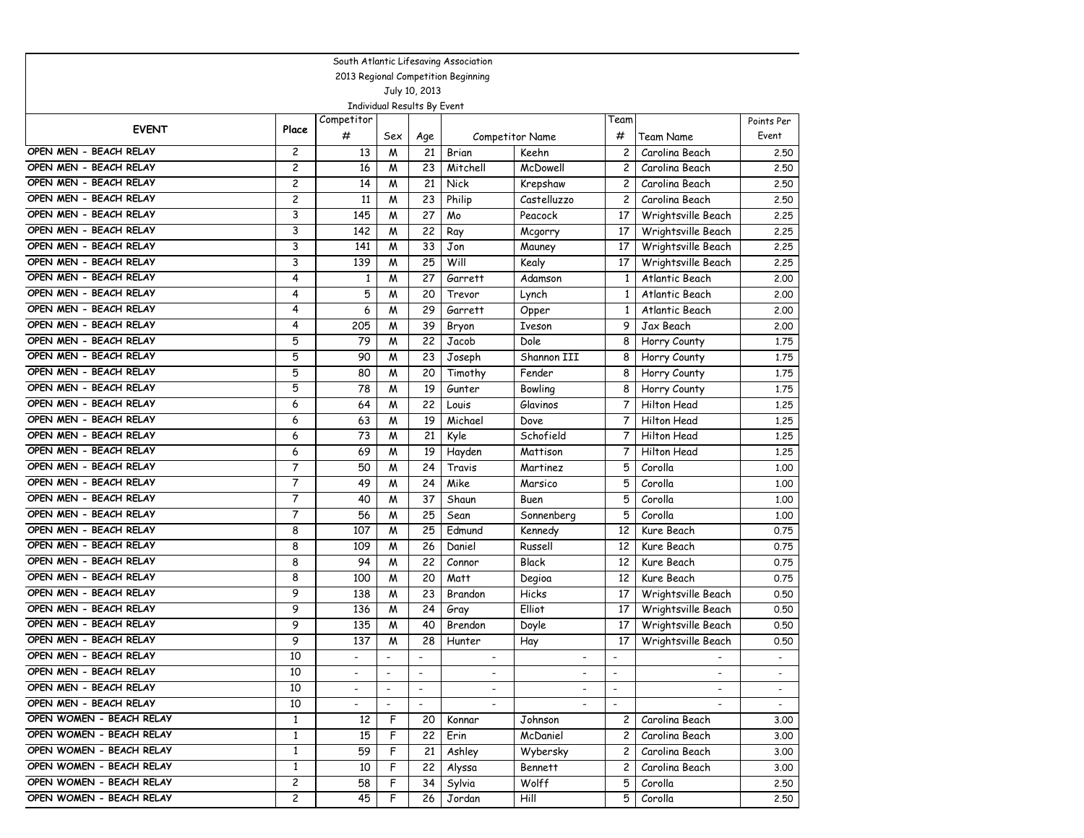| South Atlantic Lifesaving Association |                         |                          |                          |                             |                                     |                          |                          |                          |            |  |  |  |
|---------------------------------------|-------------------------|--------------------------|--------------------------|-----------------------------|-------------------------------------|--------------------------|--------------------------|--------------------------|------------|--|--|--|
|                                       |                         |                          |                          |                             | 2013 Regional Competition Beginning |                          |                          |                          |            |  |  |  |
|                                       |                         |                          |                          | July 10, 2013               |                                     |                          |                          |                          |            |  |  |  |
|                                       |                         |                          |                          | Individual Results By Event |                                     |                          |                          |                          |            |  |  |  |
| <b>EVENT</b>                          | Place                   | Competitor               |                          |                             |                                     |                          | Геаm                     |                          | Points Per |  |  |  |
|                                       |                         | #                        | Sex                      | Age                         |                                     | Competitor Name          | #                        | Team Name                | Event      |  |  |  |
| OPEN MEN - BEACH RELAY                | 2                       | 13                       | M                        | 21                          | Brian                               | Keehn                    | 2                        | Carolina Beach           | 2.50       |  |  |  |
| OPEN MEN - BEACH RELAY                | $\overline{c}$          | 16                       | M                        | 23                          | Mitchell                            | McDowell                 | 2                        | Carolina Beach           | 2.50       |  |  |  |
| OPEN MEN - BEACH RELAY                | $\overline{\mathbf{c}}$ | 14                       | M                        | 21                          | Nick                                | Krepshaw                 | 2                        | Carolina Beach           | 2.50       |  |  |  |
| OPEN MEN - BEACH RELAY                | $\overline{c}$          | 11                       | M                        | 23                          | Philip                              | Castelluzzo              | 2                        | Carolina Beach           | 2.50       |  |  |  |
| OPEN MEN - BEACH RELAY                | 3                       | 145                      | M                        | 27                          | Mo                                  | Peacock                  | 17                       | Wrightsville Beach       | 2.25       |  |  |  |
| OPEN MEN - BEACH RELAY                | 3                       | 142                      | M                        | 22                          | Ray                                 | Mcgorry                  | 17                       | Wrightsville Beach       | 2.25       |  |  |  |
| OPEN MEN - BEACH RELAY                | 3                       | 141                      | M                        | 33                          | Jon                                 | Mauney                   | 17                       | Wrightsville Beach       | 2.25       |  |  |  |
| OPEN MEN - BEACH RELAY                | 3                       | 139                      | M                        | 25                          | Will                                | Kealy                    | 17                       | Wrightsville Beach       | 2.25       |  |  |  |
| OPEN MEN - BEACH RELAY                | 4                       | 1                        | M                        | 27                          | Garrett                             | Adamson                  | $\mathbf{1}$             | Atlantic Beach           | 2.00       |  |  |  |
| OPEN MEN - BEACH RELAY                | 4                       | 5                        | M                        | 20                          | Trevor                              | Lynch                    | $\mathbf{1}$             | Atlantic Beach           | 2.00       |  |  |  |
| OPEN MEN - BEACH RELAY                | 4                       | 6                        | M                        | 29                          | Garrett                             | Opper                    | $\mathbf{1}$             | Atlantic Beach           | 2.00       |  |  |  |
| OPEN MEN - BEACH RELAY                | 4                       | 205                      | M                        | 39                          | Bryon                               | <b>Iveson</b>            | 9                        | Jax Beach                | 2.00       |  |  |  |
| OPEN MEN - BEACH RELAY                | 5                       | 79                       | M                        | 22                          | Jacob                               | Dole                     | 8                        | Horry County             | 1.75       |  |  |  |
| OPEN MEN - BEACH RELAY                | 5                       | 90                       | M                        | 23                          | Joseph                              | Shannon III              | 8                        | Horry County             | 1.75       |  |  |  |
| OPEN MEN - BEACH RELAY                | 5                       | 80                       | M                        | 20                          | Timothy                             | Fender                   | 8                        | Horry County             | 1.75       |  |  |  |
| OPEN MEN - BEACH RELAY                | 5                       | 78                       | M                        | 19                          | Gunter                              | Bowling                  | 8                        | Horry County             | 1.75       |  |  |  |
| OPEN MEN - BEACH RELAY                | 6                       | 64                       | M                        | 22                          | Louis                               | Glavinos                 | 7                        | Hilton Head              | 1.25       |  |  |  |
| OPEN MEN - BEACH RELAY                | 6                       | 63                       | M                        | 19                          | Michael                             | Dove                     | 7                        | <b>Hilton Head</b>       | 1.25       |  |  |  |
| OPEN MEN - BEACH RELAY                | 6                       | 73                       | M                        | 21                          | Kyle                                | Schofield                | 7                        | Hilton Head              | 1,25       |  |  |  |
| OPEN MEN - BEACH RELAY                | 6                       | 69                       | M                        | 19                          | Hayden                              | Mattison                 | 7                        | Hilton Head              | 1,25       |  |  |  |
| OPEN MEN - BEACH RELAY                | $\overline{7}$          | 50                       | M                        | 24                          | Travis                              | Martinez                 | 5                        | Corolla                  | 1,00       |  |  |  |
| OPEN MEN - BEACH RELAY                | 7                       | 49                       | M                        | 24                          | Mike                                | Marsico                  | 5                        | Corolla                  | 1,00       |  |  |  |
| OPEN MEN - BEACH RELAY                | 7                       | 40                       | M                        | 37                          | Shaun                               | Buen                     | 5                        | Corolla                  | 1,00       |  |  |  |
| OPEN MEN - BEACH RELAY                | $\overline{7}$          | 56                       | M                        | 25                          | Sean                                | Sonnenberg               | 5                        | Corolla                  | 1,00       |  |  |  |
| OPEN MEN - BEACH RELAY                | 8                       | 107                      | M                        | 25                          | Edmund                              | Kennedy                  | 12                       | Kure Beach               | 0.75       |  |  |  |
| OPEN MEN - BEACH RELAY                | 8                       | 109                      | M                        | 26                          | Daniel                              | Russell                  | 12                       | Kure Beach               | 0.75       |  |  |  |
| OPEN MEN - BEACH RELAY                | 8                       | 94                       | M                        | 22                          | Connor                              | <b>Black</b>             | 12                       | Kure Beach               | 0.75       |  |  |  |
| OPEN MEN - BEACH RELAY                | 8                       | 100                      | M                        | 20                          | Matt                                | Degioa                   | 12                       | Kure Beach               | 0.75       |  |  |  |
| OPEN MEN - BEACH RELAY                | 9                       | 138                      | M                        | 23                          | Brandon                             | Hicks                    | 17                       | Wrightsville Beach       | 0.50       |  |  |  |
| OPEN MEN - BEACH RELAY                | 9                       | 136                      | M                        | 24                          | Gray                                | Elliot                   | 17                       | Wrightsville Beach       | 0.50       |  |  |  |
| OPEN MEN - BEACH RELAY                | 9                       | 135                      | M                        | 40                          | Brendon                             | Doyle                    | 17                       | Wrightsville Beach       | 0.50       |  |  |  |
| OPEN MEN - BEACH RELAY                | 9                       | 137                      | M                        | 28                          | Hunter                              | Hay                      | 17                       | Wrightsville Beach       | 0.50       |  |  |  |
| OPEN MEN - BEACH RELAY                | 10                      |                          |                          |                             |                                     | $\overline{a}$           |                          |                          |            |  |  |  |
| OPEN MEN - BEACH RELAY                | 10                      | $\overline{\phantom{a}}$ | $\overline{\phantom{a}}$ | $\overline{\phantom{a}}$    | $\overline{\phantom{a}}$            | $\overline{\phantom{a}}$ | $\overline{\phantom{a}}$ | $\overline{\phantom{a}}$ |            |  |  |  |
| OPEN MEN - BEACH RELAY                | 10                      | $\overline{\phantom{a}}$ | $\overline{\phantom{a}}$ | $\overline{\phantom{a}}$    | $\overline{\phantom{a}}$            | $\overline{\phantom{a}}$ | $\overline{\phantom{a}}$ | $\overline{\phantom{a}}$ | $\sim$     |  |  |  |
| OPEN MEN - BEACH RELAY                | 10                      | $\overline{\phantom{a}}$ | $\overline{\phantom{a}}$ | $\overline{\phantom{a}}$    | $\overline{\phantom{a}}$            | $\overline{\phantom{a}}$ | $\overline{\phantom{a}}$ | $\overline{\phantom{a}}$ | $\sim$     |  |  |  |
| OPEN WOMEN - BEACH RELAY              | $\mathbf{1}$            | 12                       | F                        | 20                          | Konnar                              | Johnson                  | $\mathsf{2}^-$           | Carolina Beach           | 3.00       |  |  |  |
| OPEN WOMEN - BEACH RELAY              | $\mathbf{1}$            | 15                       | F                        | 22                          | Erin                                | McDaniel                 | $\mathbf{2}$             | Carolina Beach           | 3.00       |  |  |  |
| OPEN WOMEN - BEACH RELAY              | $\mathbf{1}$            | 59                       | F                        | 21                          | Ashley                              | Wybersky                 | $\mathsf{2}^-$           | Carolina Beach           | 3.00       |  |  |  |
| OPEN WOMEN - BEACH RELAY              | $\mathbf{1}$            | 10                       | F                        | 22                          | Alyssa                              | Bennett                  | $\mathbf{2}$             | Carolina Beach           | 3.00       |  |  |  |
| OPEN WOMEN - BEACH RELAY              | $\overline{c}$          | 58                       | F                        | 34                          | Sylvia                              | Wolff                    | 5                        | Corolla                  | 2.50       |  |  |  |
| OPEN WOMEN - BEACH RELAY              | $\mathbf{2}$            | 45                       | F                        | 26                          | Jordan                              | Hill                     | 5                        | Corolla                  | 2.50       |  |  |  |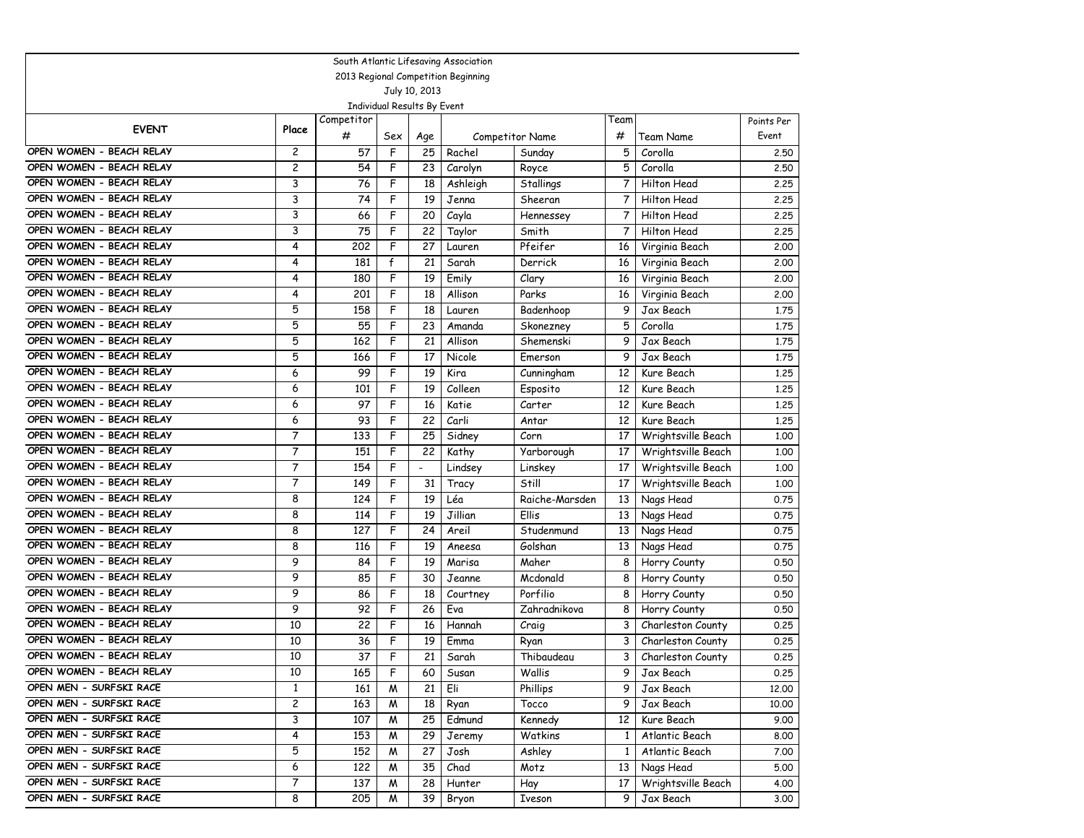| South Atlantic Lifesaving Association |                         |            |                             |                |          |                        |                |                    |            |  |  |
|---------------------------------------|-------------------------|------------|-----------------------------|----------------|----------|------------------------|----------------|--------------------|------------|--|--|
| 2013 Regional Competition Beginning   |                         |            |                             |                |          |                        |                |                    |            |  |  |
| July 10, 2013                         |                         |            |                             |                |          |                        |                |                    |            |  |  |
|                                       |                         |            | Individual Results By Event |                |          |                        |                |                    |            |  |  |
| <b>EVENT</b>                          | Place                   | Competitor |                             |                |          |                        | Team           |                    | Points Per |  |  |
|                                       |                         | #          | Sex                         | Age            |          | <b>Competitor Name</b> | #              | Team Name          | Event      |  |  |
| OPEN WOMEN - BEACH RELAY              | 2                       | 57         | F                           | 25             | Rachel   | Sunday                 | 5              | Corolla            | 2.50       |  |  |
| OPEN WOMEN - BEACH RELAY              | 2                       | 54         | F                           | 23             | Carolyn  | Royce                  | 5              | Corolla            | 2.50       |  |  |
| OPEN WOMEN - BEACH RELAY              | 3                       | 76         | F                           | 18             | Ashleigh | Stallings              | $\overline{7}$ | Hilton Head        | 2.25       |  |  |
| OPEN WOMEN - BEACH RELAY              | 3                       | 74         | F                           | 19             | Jenna    | Sheeran                | 7              | Hilton Head        | 2.25       |  |  |
| OPEN WOMEN - BEACH RELAY              | 3                       | 66         | F                           | 20             | Cayla    | Hennessey              | 7              | Hilton Head        | 2.25       |  |  |
| OPEN WOMEN - BEACH RELAY              | 3                       | 75         | F                           | 22             | Taylor   | Smith                  | 7              | Hilton Head        | 2.25       |  |  |
| OPEN WOMEN - BEACH RELAY              | 4                       | 202        | F                           | 27             | Lauren   | Pfeifer                | 16             | Virginia Beach     | 2.00       |  |  |
| OPEN WOMEN - BEACH RELAY              | 4                       | 181        | $\mathsf{f}$                | 21             | Sarah    | Derrick                | 16             | Virginia Beach     | 2,00       |  |  |
| OPEN WOMEN - BEACH RELAY              | 4                       | 180        | F                           | 19             | Emily    | Clary                  | 16             | Virginia Beach     | 2,00       |  |  |
| OPEN WOMEN - BEACH RELAY              | 4                       | 201        | F                           | 18             | Allison  | Parks                  | 16             | Virginia Beach     | 2,00       |  |  |
| OPEN WOMEN - BEACH RELAY              | 5                       | 158        | F                           | 18             | Lauren   | Badenhoop              | 9              | Jax Beach          | 1.75       |  |  |
| OPEN WOMEN - BEACH RELAY              | 5                       | 55         | F                           | 23             | Amanda   | Skonezney              | 5              | Corolla            | 1.75       |  |  |
| OPEN WOMEN - BEACH RELAY              | 5                       | 162        | F                           | 21             | Allison  | Shemenski              | 9              | Jax Beach          | 1,75       |  |  |
| OPEN WOMEN - BEACH RELAY              | 5                       | 166        | F                           | 17             | Nicole   | Emerson                | 9              | Jax Beach          | 1.75       |  |  |
| OPEN WOMEN - BEACH RELAY              | 6                       | 99         | F                           | 19             | Kira     | Cunningham             | 12             | Kure Beach         | 1.25       |  |  |
| OPEN WOMEN - BEACH RELAY              | 6                       | 101        | F                           | 19             | Colleen  | Esposito               | 12             | Kure Beach         | 1.25       |  |  |
| OPEN WOMEN - BEACH RELAY              | 6                       | 97         | F                           | 16             | Katie    | Carter                 | 12             | Kure Beach         | 1,25       |  |  |
| OPEN WOMEN - BEACH RELAY              | 6                       | 93         | F                           | 22             | Carli    | Antar                  | 12             | Kure Beach         | 1,25       |  |  |
| OPEN WOMEN - BEACH RELAY              | 7                       | 133        | F                           | 25             | Sidney   | Corn                   | 17             | Wrightsville Beach | 1,00       |  |  |
| OPEN WOMEN - BEACH RELAY              | $\overline{7}$          | 151        | F                           | 22             | Kathy    | Yarborough             | 17             | Wrightsville Beach | 1,00       |  |  |
| OPEN WOMEN - BEACH RELAY              | 7                       | 154        | F                           | $\overline{a}$ | Lindsey  | Linskey                | 17             | Wrightsville Beach | 1.00       |  |  |
| OPEN WOMEN - BEACH RELAY              | 7                       | 149        | F                           | 31             | Tracy    | Still                  | 17             | Wrightsville Beach | 1,00       |  |  |
| OPEN WOMEN - BEACH RELAY              | 8                       | 124        | F                           | 19             | Léa      | Raiche-Marsden         | 13             | Nags Head          | 0.75       |  |  |
| OPEN WOMEN - BEACH RELAY              | 8                       | 114        | F                           | 19             | Jillian  | Ellis                  | 13             | Nags Head          | 0.75       |  |  |
| OPEN WOMEN - BEACH RELAY              | 8                       | 127        | F                           | 24             | Areil    | Studenmund             | 13             | Nags Head          | 0.75       |  |  |
| OPEN WOMEN - BEACH RELAY              | 8                       | 116        | F                           | 19             | Aneesa   | Golshan                | 13             | Nags Head          | 0.75       |  |  |
| OPEN WOMEN - BEACH RELAY              | 9                       | 84         | F                           | 19             | Marisa   | Maher                  | 8              | Horry County       | 0.50       |  |  |
| OPEN WOMEN - BEACH RELAY              | 9                       | 85         | F                           | 30             | Jeanne   | Mcdonald               | 8              | Horry County       | 0.50       |  |  |
| OPEN WOMEN - BEACH RELAY              | 9                       | 86         | F                           | 18             | Courtney | Porfilio               | 8              | Horry County       | 0.50       |  |  |
| OPEN WOMEN - BEACH RELAY              | 9                       | 92         | F                           | 26             | Eva      | Zahradnikova           | 8              | Horry County       | 0.50       |  |  |
| OPEN WOMEN - BEACH RELAY              | 10                      | 22         | F                           | 16             | Hannah   | Craig                  | 3              | Charleston County  | 0.25       |  |  |
| OPEN WOMEN - BEACH RELAY              | 10                      | 36         | F                           | 19             | Emma     | Ryan                   | 3              | Charleston County  | 0.25       |  |  |
| OPEN WOMEN - BEACH RELAY              | 10                      | 37         | F                           | 21             | Sarah    | Thibaudeau             | 3              | Charleston County  | 0.25       |  |  |
| OPEN WOMEN - BEACH RELAY              | 10                      | 165        | F                           | 60             | Susan    | Wallis                 | 9              | Jax Beach          | 0.25       |  |  |
| OPEN MEN - SURFSKI RACE               | $\mathbf{1}$            | 161        | M                           | 21             | Eli      | Phillips               | 9              | Jax Beach          | 12.00      |  |  |
| OPEN MEN - SURFSKI RACE               | $\overline{\mathbf{c}}$ | 163        | M                           | 18             | Ryan     | Tocco                  | 9              | Jax Beach          | 10.00      |  |  |
| OPEN MEN - SURFSKI RACE               | 3                       | 107        | M                           | 25             | Edmund   | Kennedy                | 12             | Kure Beach         | 9.00       |  |  |
| OPEN MEN - SURFSKI RACE               | 4                       | 153        | M                           | 29             | Jeremy   | Watkins                | $\mathbf{1}$   | Atlantic Beach     | 8.00       |  |  |
| OPEN MEN - SURFSKI RACE               | 5                       | 152        | M                           | 27             | Josh     | Ashley                 | $\mathbf{1}$   | Atlantic Beach     | 7.00       |  |  |
| OPEN MEN - SURFSKI RACE               | 6                       | 122        | M                           | 35             | Chad     | Motz                   | 13             | Nags Head          | 5.00       |  |  |
| OPEN MEN - SURFSKI RACE               | 7                       | 137        | M                           | 28             | Hunter   | Hay                    | 17             | Wrightsville Beach | 4.00       |  |  |
| OPEN MEN - SURFSKI RACE               | 8                       | 205        | M                           | 39             | Bryon    | Iveson                 | 9              | Jax Beach          | 3.00       |  |  |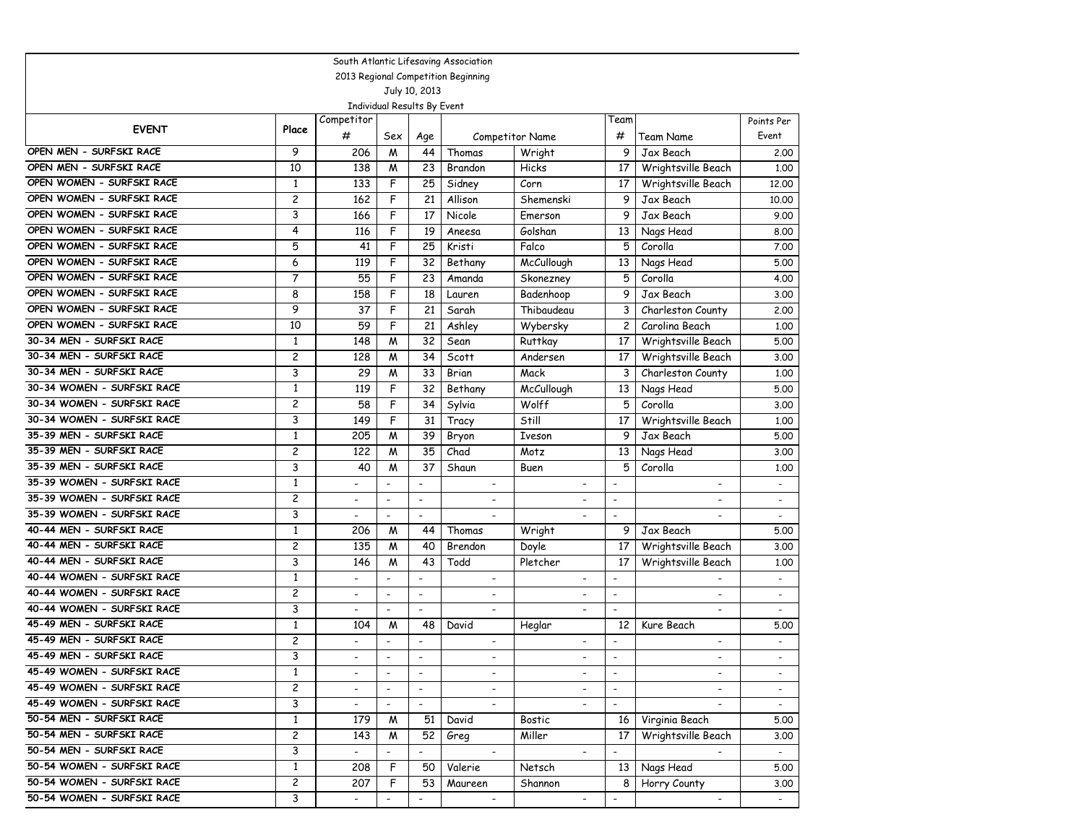| South Atlantic Lifesaving Association |                         |                          |                             |                          |                          |                          |                          |                          |                          |  |
|---------------------------------------|-------------------------|--------------------------|-----------------------------|--------------------------|--------------------------|--------------------------|--------------------------|--------------------------|--------------------------|--|
| 2013 Regional Competition Beginning   |                         |                          |                             |                          |                          |                          |                          |                          |                          |  |
| July 10, 2013                         |                         |                          |                             |                          |                          |                          |                          |                          |                          |  |
|                                       |                         |                          | Individual Results By Event |                          |                          |                          |                          |                          |                          |  |
| <b>EVENT</b>                          | Place                   | Competitor<br>#          |                             |                          |                          |                          | Team<br>#                | Team Name                | Points Per<br>Event      |  |
| OPEN MEN - SURFSKI RACE               | 9                       |                          | Sex                         | Age<br>44                | Thomas                   | Competitor Name          | 9                        | Jax Beach                |                          |  |
| OPEN MEN - SURFSKI RACE               |                         | 206                      | M                           |                          |                          | Wright                   |                          |                          | 2.00                     |  |
|                                       | 10                      | 138                      | M                           | 23                       | Brandon                  | Hicks                    | 17                       | Wrightsville Beach       | 1.00                     |  |
| OPEN WOMEN - SURFSKI RACE             | $\mathbf{1}$            | 133                      | F                           | 25                       | Sidney                   | Corn                     | 17                       | Wrightsville Beach       | 12,00                    |  |
| OPEN WOMEN - SURFSKI RACE             | $\overline{c}$          | 162                      | F                           | 21                       | Allison                  | Shemenski                | 9                        | Jax Beach                | 10.00                    |  |
| OPEN WOMEN - SURFSKI RACE             | 3                       | 166                      | F                           | 17                       | Nicole                   | Emerson                  | 9                        | Jax Beach                | 9.00                     |  |
| OPEN WOMEN - SURFSKI RACE             | 4                       | 116                      | F                           | 19                       | Aneesa                   | Golshan                  | 13                       | Nags Head                | 8.00                     |  |
| OPEN WOMEN - SURFSKI RACE             | 5                       | 41                       | F                           | 25                       | Kristi                   | Falco                    | 5                        | Corolla                  | 7.00                     |  |
| OPEN WOMEN - SURFSKI RACE             | 6                       | 119                      | F                           | 32                       | Bethany                  | McCullough               | 13                       | Nags Head                | 5.00                     |  |
| OPEN WOMEN - SURFSKI RACE             | 7                       | 55                       | F                           | 23                       | Amanda                   | Skonezney                | 5                        | Corolla                  | 4.00                     |  |
| OPEN WOMEN - SURFSKI RACE             | 8                       | 158                      | F                           | 18                       | Lauren                   | Badenhoop                | 9                        | Jax Beach                | 3.00                     |  |
| OPEN WOMEN - SURFSKI RACE             | 9                       | 37                       | F                           | 21                       | Sarah                    | Thibaudeau               | 3                        | Charleston County        | 2,00                     |  |
| OPEN WOMEN - SURFSKI RACE             | 10                      | 59                       | F                           | 21                       | Ashley                   | Wybersky                 | $\overline{c}$           | Carolina Beach           | 1.00                     |  |
| 30-34 MEN - SURFSKI RACE              | $\mathbf{1}$            | 148                      | M                           | 32                       | Sean                     | Ruttkay                  | 17                       | Wrightsville Beach       | 5.00                     |  |
| 30-34 MEN - SURFSKI RACE              | $\overline{c}$          | 128                      | M                           | 34                       | Scott                    | Andersen                 | 17                       | Wrightsville Beach       | 3.00                     |  |
| 30-34 MEN - SURFSKI RACE              | 3                       | 29                       | M                           | 33                       | Brian                    | Mack                     | 3                        | Charleston County        | 1.00                     |  |
| 30-34 WOMEN - SURFSKI RACE            | $\mathbf{1}$            | 119                      | F                           | 32                       | Bethany                  | McCullough               | 13                       | Nags Head                | 5.00                     |  |
| 30-34 WOMEN - SURFSKI RACE            | $\overline{c}$          | 58                       | F                           | 34                       | Sylvia                   | Wolff                    | 5                        | Corolla                  | 3.00                     |  |
| 30-34 WOMEN - SURFSKI RACE            | 3                       | 149                      | F                           | 31                       | Tracy                    | Still                    | 17                       | Wrightsville Beach       | 1.00                     |  |
| 35-39 MEN - SURFSKI RACE              | $\mathbf{1}$            | 205                      | M                           | 39                       | Bryon                    | Iveson                   | 9                        | Jax Beach                | 5.00                     |  |
| 35-39 MEN - SURFSKI RACE              | $\overline{c}$          | 122                      | W                           | 35                       | Chad                     | Motz                     | 13                       | Nags Head                | 3.00                     |  |
| 35-39 MEN - SURFSKI RACE              | 3                       | 40                       | M                           | 37                       | Shaun                    | Buen                     | 5                        | Corolla                  | 1,00                     |  |
| 35-39 WOMEN - SURFSKI RACE            | $\mathbf{1}$            | $\overline{\phantom{a}}$ | $\overline{\phantom{a}}$    | $\overline{\phantom{a}}$ |                          | $\overline{a}$           | $\overline{\phantom{a}}$ | $\blacksquare$           |                          |  |
| 35-39 WOMEN - SURFSKI RACE            | $\overline{c}$          | $\overline{\phantom{a}}$ | $\overline{\phantom{a}}$    | $\overline{\phantom{a}}$ | $\overline{\phantom{a}}$ | $\overline{\phantom{a}}$ | $\overline{\phantom{a}}$ | $\blacksquare$           | $\overline{\phantom{a}}$ |  |
| 35-39 WOMEN - SURFSKI RACE            | 3                       | $\overline{\phantom{a}}$ | $\overline{\phantom{a}}$    | $\overline{a}$           |                          | $\blacksquare$           | $\overline{\phantom{a}}$ | $\overline{\phantom{a}}$ | $\overline{\phantom{a}}$ |  |
| 40-44 MEN - SURFSKI RACE              | $\mathbf{1}$            | 206                      | M                           | 44                       | Thomas                   | Wright                   | 9                        | Jax Beach                | 5.00                     |  |
| 40-44 MEN - SURFSKI RACE              | $\overline{c}$          | 135                      | M                           | 40                       | Brendon                  | Doyle                    | 17                       | Wrightsville Beach       | 3.00                     |  |
| 40-44 MEN - SURFSKI RACE              | 3                       | 146                      | M                           | 43                       | Todd                     | Pletcher                 | 17                       | Wrightsville Beach       | 1,00                     |  |
| 40-44 WOMEN - SURFSKI RACE            | $\mathbf{1}$            | $\overline{\phantom{a}}$ | $\overline{\phantom{a}}$    | $\overline{\phantom{a}}$ | $\overline{\phantom{a}}$ | $\overline{\phantom{a}}$ | $\frac{1}{2}$            |                          | $\overline{\phantom{a}}$ |  |
| 40-44 WOMEN - SURFSKI RACE            | $\overline{c}$          |                          | $\overline{\phantom{a}}$    | $\overline{\phantom{a}}$ |                          |                          | $\frac{1}{2}$            |                          |                          |  |
| 40-44 WOMEN - SURFSKI RACE            | 3                       | $\overline{\phantom{a}}$ | $\overline{\phantom{a}}$    | $\blacksquare$           | $\overline{\phantom{a}}$ | $\overline{a}$           | $\overline{\phantom{a}}$ | $\overline{a}$           | $\overline{\phantom{a}}$ |  |
| 45-49 MEN - SURFSKI RACE              | $\mathbf{1}$            | 104                      | M                           | 48                       | David                    | Heglar                   | 12                       | Kure Beach               | 5.00                     |  |
| 45-49 MEN - SURFSKI RACE              | $\overline{c}$          | $\overline{\phantom{a}}$ | $\overline{\phantom{a}}$    | $\overline{\phantom{a}}$ | $\overline{\phantom{a}}$ | $\overline{\phantom{a}}$ | $\overline{\phantom{a}}$ | $\blacksquare$           | $\overline{\phantom{a}}$ |  |
| 45-49 MEN - SURFSKI RACE              | 3                       |                          | $\overline{\phantom{a}}$    | $\overline{\phantom{a}}$ | $\overline{\phantom{a}}$ | $\overline{a}$           |                          | $\overline{\phantom{a}}$ |                          |  |
| 45-49 WOMEN - SURFSKI RACE            | $\mathbf{1}$            | $\overline{\phantom{a}}$ | $\overline{\phantom{a}}$    | $\overline{\phantom{a}}$ | $\overline{\phantom{a}}$ | $\overline{\phantom{a}}$ | $\overline{\phantom{a}}$ |                          |                          |  |
| 45-49 WOMEN - SURFSKI RACE            | $\overline{\mathbf{c}}$ | $\blacksquare$           | $\blacksquare$              | $\overline{a}$           |                          | $\blacksquare$           | $\blacksquare$           |                          | $\blacksquare$           |  |
| 45-49 WOMEN - SURFSKI RACE            | 3                       | $\overline{\phantom{a}}$ | $\overline{\phantom{a}}$    | $\overline{\phantom{a}}$ | $\overline{\phantom{a}}$ | $\overline{\phantom{a}}$ | $\overline{\phantom{a}}$ | $\blacksquare$           | $\sim$                   |  |
| 50-54 MEN - SURFSKI RACE              | $\mathbf{1}$            | 179                      | M                           | 51                       | David                    | Bostic                   | 16                       | Virginia Beach           | 5.00                     |  |
| 50-54 MEN - SURFSKI RACE              | $\overline{\mathbf{c}}$ | 143                      | M                           | 52                       | Greg                     | Miller                   | 17                       | Wrightsville Beach       | 3.00                     |  |
| 50-54 MEN - SURFSKI RACE              | 3                       | $\blacksquare$           | $\overline{\phantom{a}}$    | $\overline{\phantom{a}}$ | $\overline{\phantom{a}}$ | $\overline{\phantom{a}}$ | $\overline{\phantom{a}}$ |                          | $\sim$                   |  |
| 50-54 WOMEN - SURFSKI RACE            | $\mathbf{1}$            | 208                      | F                           | 50                       | Valerie                  | Netsch                   | 13                       | Nags Head                | 5.00                     |  |
| 50-54 WOMEN - SURFSKI RACE            | $\overline{c}$          | 207                      | F                           | 53                       | Maureen                  | Shannon                  | 8                        | Horry County             | 3.00                     |  |
| 50-54 WOMEN - SURFSKI RACE            | 3                       | $\overline{\phantom{a}}$ | $\overline{\phantom{a}}$    | $\overline{\phantom{a}}$ | $\overline{\phantom{a}}$ | $\overline{\phantom{a}}$ | $\overline{\phantom{a}}$ | $\overline{\phantom{a}}$ | $\sim$                   |  |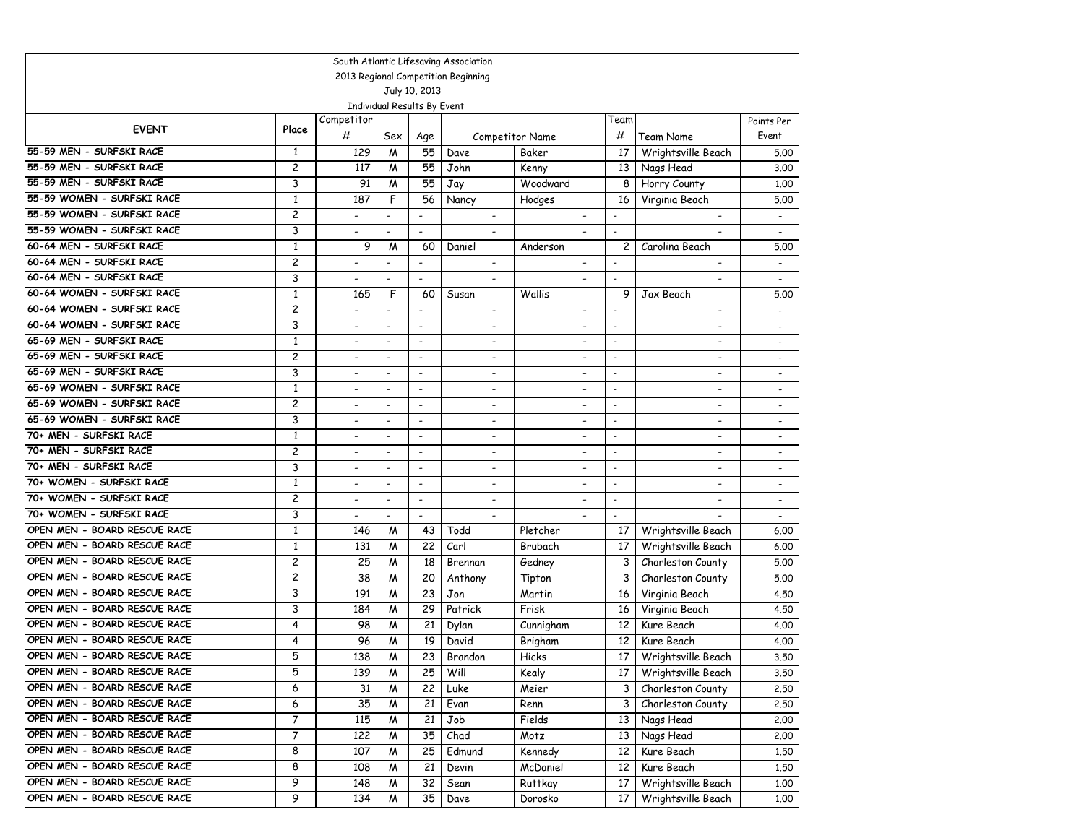| South Atlantic Lifesaving Association |                |                          |                          |                          |                          |                          |                          |                          |                          |
|---------------------------------------|----------------|--------------------------|--------------------------|--------------------------|--------------------------|--------------------------|--------------------------|--------------------------|--------------------------|
| 2013 Regional Competition Beginning   |                |                          |                          |                          |                          |                          |                          |                          |                          |
| July 10, 2013                         |                |                          |                          |                          |                          |                          |                          |                          |                          |
| Individual Results By Event           |                |                          |                          |                          |                          |                          |                          |                          |                          |
| <b>EVENT</b>                          | Place          | Competitor               |                          |                          |                          |                          | Team                     |                          | Points Per               |
|                                       |                | #                        | Sex                      | Age                      |                          | Competitor Name          | #                        | Team Name                | Event                    |
| 55-59 MEN - SURFSKI RACE              | 1              | 129                      | M                        | 55                       | Dave                     | Baker                    | 17                       | Wrightsville Beach       | 5.00                     |
| 55-59 MEN - SURFSKI RACE              | 2              | 117                      | M                        | 55                       | John                     | Kenny                    | 13                       | Nags Head                | 3.00                     |
| 55-59 MEN - SURFSKI RACE              | 3              | 91                       | M                        | 55                       | Jay                      | Woodward                 | 8                        | Horry County             | 1,00                     |
| 55-59 WOMEN - SURFSKI RACE            | $\mathbf{1}$   | 187                      | F                        | 56                       | Nancy                    | Hodges                   | 16                       | Virginia Beach           | 5.00                     |
| 55-59 WOMEN - SURFSKI RACE            | $\overline{c}$ |                          | $\overline{\phantom{a}}$ | $\overline{\phantom{a}}$ |                          |                          | $\overline{\phantom{a}}$ |                          | $\overline{\phantom{a}}$ |
| 55-59 WOMEN - SURFSKI RACE            | 3              | ۰                        | $\blacksquare$           | $\overline{\phantom{a}}$ |                          |                          | $\overline{\phantom{a}}$ |                          |                          |
| 60-64 MEN - SURFSKI RACE              | $\mathbf{1}$   | 9                        | M                        | 60                       | Daniel                   | Anderson                 | $\overline{c}$           | Carolina Beach           | 5.00                     |
| 60-64 MEN - SURFSKI RACE              | 2              | $\overline{\phantom{0}}$ | $\overline{\phantom{a}}$ | $\blacksquare$           | $\overline{\phantom{a}}$ | $\overline{\phantom{a}}$ | $\overline{\phantom{a}}$ | $\overline{\phantom{a}}$ |                          |
| 60-64 MEN - SURFSKI RACE              | 3              | -                        | $\blacksquare$           | $\overline{\phantom{a}}$ | ۰                        | ۰                        | $\overline{\phantom{a}}$ | ٠                        | $\overline{\phantom{a}}$ |
| 60-64 WOMEN - SURFSKI RACE            | $\mathbf{1}$   | 165                      | F                        | 60                       | Susan                    | Wallis                   | 9                        | Jax Beach                | 5.00                     |
| 60-64 WOMEN - SURFSKI RACE            | $\overline{c}$ |                          |                          |                          | $\overline{\phantom{a}}$ |                          |                          | $\overline{\phantom{0}}$ |                          |
| 60-64 WOMEN - SURFSKI RACE            | 3              | -                        | $\overline{\phantom{a}}$ | $\overline{\phantom{a}}$ | $\overline{\phantom{a}}$ | $\overline{\phantom{a}}$ | $\overline{\phantom{a}}$ | $\overline{\phantom{a}}$ | $\overline{\phantom{a}}$ |
| 65-69 MEN - SURFSKI RACE              | $\mathbf{1}$   | $\overline{a}$           | $\overline{\phantom{a}}$ | $\overline{\phantom{a}}$ | $\overline{\phantom{a}}$ | $\overline{\phantom{a}}$ | $\overline{\phantom{a}}$ | $\overline{\phantom{a}}$ | $\overline{\phantom{a}}$ |
| 65-69 MEN - SURFSKI RACE              | $\overline{c}$ |                          | $\overline{\phantom{a}}$ | $\overline{\phantom{a}}$ |                          |                          | $\overline{\phantom{a}}$ |                          | $\overline{a}$           |
| 65-69 MEN - SURFSKI RACE              | 3              | $\overline{a}$           | $\blacksquare$           | $\overline{\phantom{a}}$ | $\overline{\phantom{a}}$ | $\overline{\phantom{a}}$ | $\overline{\phantom{a}}$ | $\overline{\phantom{a}}$ | $\overline{\phantom{a}}$ |
| 65-69 WOMEN - SURFSKI RACE            | $\mathbf{1}$   | $\overline{a}$           | $\blacksquare$           | $\overline{\phantom{a}}$ | $\overline{\phantom{a}}$ | $\overline{a}$           | $\blacksquare$           | $\overline{a}$           | $\overline{a}$           |
| 65-69 WOMEN - SURFSKI RACE            | $\overline{c}$ | $\overline{\phantom{0}}$ | $\overline{\phantom{a}}$ | $\overline{a}$           | $\overline{\phantom{a}}$ | $\overline{a}$           | $\overline{a}$           | $\overline{a}$           | $\overline{a}$           |
| 65-69 WOMEN - SURFSKI RACE            | 3              | $\overline{\phantom{0}}$ | $\overline{\phantom{a}}$ | $\overline{\phantom{a}}$ | $\overline{\phantom{a}}$ | $\overline{\phantom{a}}$ | $\blacksquare$           | $\blacksquare$           | $\overline{\phantom{a}}$ |
| 70+ MEN - SURFSKI RACE                | $\mathbf{1}$   | $\overline{a}$           | $\overline{\phantom{a}}$ | $\overline{\phantom{a}}$ | ۰                        | $\overline{\phantom{a}}$ | $\overline{\phantom{a}}$ | $\blacksquare$           | $\overline{\phantom{a}}$ |
| 70+ MEN - SURFSKI RACE                | 2              |                          | $\overline{\phantom{a}}$ | $\overline{\phantom{a}}$ |                          |                          | $\blacksquare$           | $\overline{\phantom{0}}$ |                          |
| 70+ MEN - SURFSKI RACE                | 3              | $\overline{\phantom{0}}$ | $\blacksquare$           | $\overline{\phantom{a}}$ | $\overline{\phantom{a}}$ | $\overline{\phantom{a}}$ | $\overline{\phantom{a}}$ | $\overline{\phantom{0}}$ | $\blacksquare$           |
| 70+ WOMEN - SURFSKI RACE              | $\mathbf{1}$   | $\overline{\phantom{a}}$ | $\overline{\phantom{a}}$ | $\overline{\phantom{a}}$ | $\overline{\phantom{a}}$ | $\overline{\phantom{a}}$ | $\overline{\phantom{a}}$ | $\overline{\phantom{a}}$ | $\overline{\phantom{a}}$ |
| 70+ WOMEN - SURFSKI RACE              | 2              | $\overline{\phantom{0}}$ | $\overline{\phantom{a}}$ | $\overline{a}$           | $\overline{\phantom{a}}$ | $\overline{a}$           | $\overline{\phantom{a}}$ | $\overline{a}$           | $\blacksquare$           |
| 70+ WOMEN - SURFSKI RACE              | 3              | $\overline{\phantom{0}}$ | $\overline{\phantom{a}}$ | $\overline{\phantom{a}}$ | $\overline{\phantom{a}}$ | $\overline{\phantom{a}}$ | $\overline{\phantom{a}}$ |                          | $\overline{\phantom{a}}$ |
| OPEN MEN - BOARD RESCUE RACE          | 1              | 146                      | М                        | 43                       | Todd                     | Pletcher                 | 17                       | Wrightsville Beach       | 6.00                     |
| OPEN MEN - BOARD RESCUE RACE          | $\mathbf{1}$   | 131                      | M                        | 22                       | Carl                     | Brubach                  | 17                       | Wrightsville Beach       | 6.00                     |
| OPEN MEN - BOARD RESCUE RACE          | $\overline{c}$ | 25                       | M                        | 18                       | Brennan                  | Gedney                   | 3                        | Charleston County        | 5.00                     |
| OPEN MEN - BOARD RESCUE RACE          | $\overline{c}$ | 38                       | M                        | 20                       | Anthony                  | Tipton                   | 3                        | Charleston County        | 5.00                     |
| OPEN MEN - BOARD RESCUE RACE          | 3              | 191                      | W                        | 23                       | Jon                      | Martin                   | 16                       | Virginia Beach           | 4.50                     |
| OPEN MEN - BOARD RESCUE RACE          | 3              | 184                      | M                        | 29                       | Patrick                  | Frisk                    | 16                       | Virginia Beach           | 4.50                     |
| OPEN MEN - BOARD RESCUE RACE          | 4              | 98                       | M                        | 21                       | Dylan                    | Cunnigham                | 12                       | Kure Beach               | 4.00                     |
| OPEN MEN - BOARD RESCUE RACE          | 4              | 96                       | M                        | 19                       | David                    | Brigham                  | 12                       | Kure Beach               | 4.00                     |
| OPEN MEN - BOARD RESCUE RACE          | 5              | 138                      | M                        | 23                       | Brandon                  | Hicks                    | 17                       | Wrightsville Beach       | 3.50                     |
| OPEN MEN - BOARD RESCUE RACE          | 5              | 139                      | M                        | 25                       | Will                     | Kealy                    | 17 <sub>1</sub>          | Wrightsville Beach       | 3.50                     |
| OPEN MEN - BOARD RESCUE RACE          | 6              | 31                       | Μ                        | 22                       | Luke                     | Meier                    | 3 <sup>1</sup>           | Charleston County        | 2.50                     |
| OPEN MEN - BOARD RESCUE RACE          | 6              | 35                       | м                        | 21                       | Evan                     | Renn                     | 3                        | Charleston County        | 2.50                     |
| OPEN MEN - BOARD RESCUE RACE          | 7              | 115                      | м                        | 21                       | Job                      | Fields                   | 13                       | Nags Head                | 2.00                     |
| OPEN MEN - BOARD RESCUE RACE          | 7              | 122                      | м                        | 35                       | Chad                     | Motz                     | 13 <sup>1</sup>          | Nags Head                | 2.00                     |
| OPEN MEN - BOARD RESCUE RACE          | 8              | 107                      | W                        | 25                       | Edmund                   | Kennedy                  | 12                       | Kure Beach               | 1.50                     |
| OPEN MEN - BOARD RESCUE RACE          | 8              | 108                      | м                        | 21                       | Devin                    | McDaniel                 | 12                       | Kure Beach               | 1.50                     |
| OPEN MEN - BOARD RESCUE RACE          | 9              | 148                      | M                        | 32                       | Sean                     | <b>Ruttkay</b>           | 17                       | Wrightsville Beach       | 1.00                     |
| OPEN MEN - BOARD RESCUE RACE          | 9              | 134                      | M                        | 35                       | Dave                     | Dorosko                  | 17                       | Wrightsville Beach       | 1.00                     |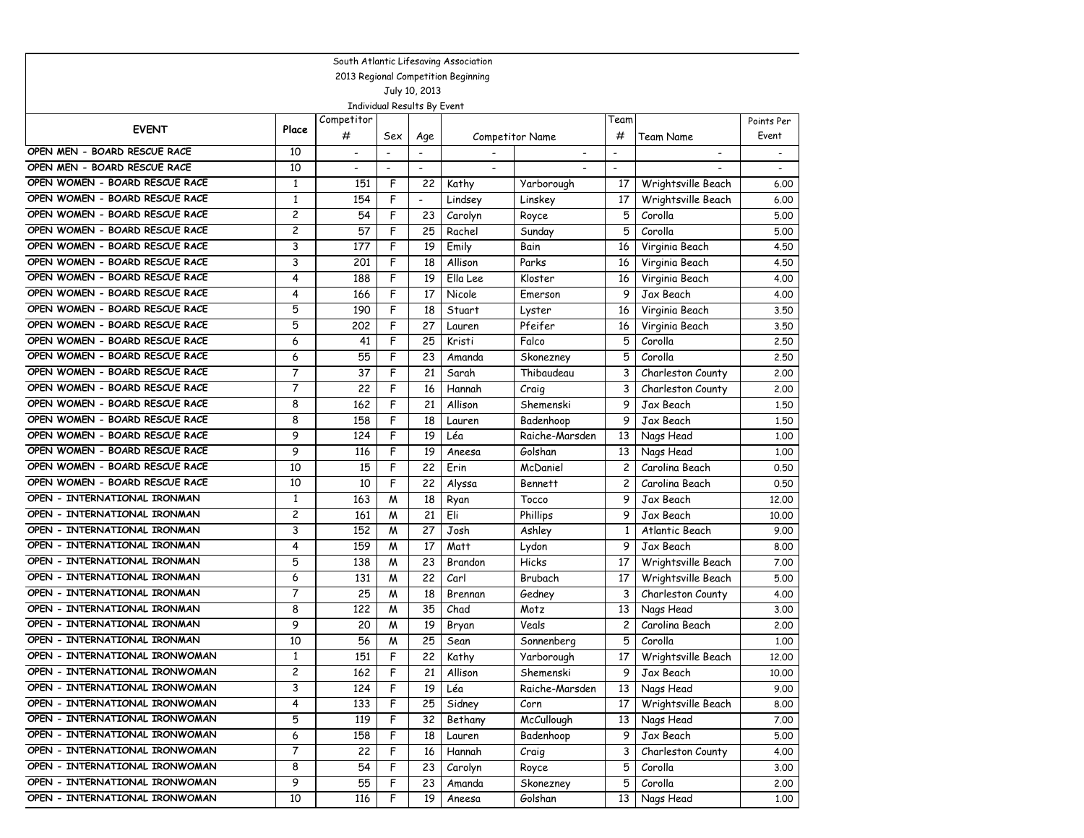|                                     |                         |                          |                |                          | South Atlantic Lifesaving Association |                          |                          |                          |            |  |
|-------------------------------------|-------------------------|--------------------------|----------------|--------------------------|---------------------------------------|--------------------------|--------------------------|--------------------------|------------|--|
| 2013 Regional Competition Beginning |                         |                          |                |                          |                                       |                          |                          |                          |            |  |
| July 10, 2013                       |                         |                          |                |                          |                                       |                          |                          |                          |            |  |
| Individual Results By Event         |                         |                          |                |                          |                                       |                          |                          |                          |            |  |
| <b>EVENT</b>                        |                         | Competitor               |                |                          |                                       |                          | Team                     |                          | Points Per |  |
|                                     | Place                   | #                        | Sex            | Age                      |                                       | Competitor Name          | #                        | <b>Team Name</b>         | Event      |  |
| OPEN MEN - BOARD RESCUE RACE        | 10                      | $\overline{\phantom{a}}$ |                |                          |                                       | $\overline{\phantom{a}}$ | $\overline{\phantom{a}}$ | $\overline{\phantom{a}}$ |            |  |
| OPEN MEN - BOARD RESCUE RACE        | 10                      | $\overline{\phantom{a}}$ | $\blacksquare$ | $\blacksquare$           | $\overline{\phantom{a}}$              |                          | $\overline{\phantom{a}}$ |                          |            |  |
| OPEN WOMEN - BOARD RESCUE RACE      | $\mathbf{1}$            | 151                      | F              | 22                       | Kathy                                 | Yarborough               | 17                       | Wrightsville Beach       | 6.00       |  |
| OPEN WOMEN - BOARD RESCUE RACE      | $\mathbf{1}$            | 154                      | F              | $\overline{\phantom{a}}$ | Lindsey                               | Linskey                  | 17                       | Wrightsville Beach       | 6.00       |  |
| OPEN WOMEN - BOARD RESCUE RACE      | $\overline{\mathbf{c}}$ | 54                       | F              | 23                       | Carolyn                               | Royce                    | 5                        | Corolla                  | 5.00       |  |
| OPEN WOMEN - BOARD RESCUE RACE      | 2                       | 57                       | F              | 25                       | Rachel                                | Sunday                   | 5                        | Corolla                  | 5.00       |  |
| OPEN WOMEN - BOARD RESCUE RACE      | 3                       | 177                      | F              | 19                       | Emily                                 | Bain                     | 16                       | Virginia Beach           | 4.50       |  |
| OPEN WOMEN - BOARD RESCUE RACE      | 3                       | 201                      | F              | 18                       | Allison                               | Parks                    | 16                       | Virginia Beach           | 4.50       |  |
| OPEN WOMEN - BOARD RESCUE RACE      | 4                       | 188                      | F              | 19                       | Ella Lee                              | Kloster                  | 16                       | Virginia Beach           | 4.00       |  |
| OPEN WOMEN - BOARD RESCUE RACE      | 4                       | 166                      | F              | 17                       | Nicole                                | Emerson                  | 9                        | Jax Beach                | 4.00       |  |
| OPEN WOMEN - BOARD RESCUE RACE      | 5                       | 190                      | F              | 18                       | Stuart                                | Lyster                   | 16                       | Virginia Beach           | 3.50       |  |
| OPEN WOMEN - BOARD RESCUE RACE      | 5                       | 202                      | F              | 27                       | Lauren                                | Pfeifer                  | 16                       | Virginia Beach           | 3.50       |  |
| OPEN WOMEN - BOARD RESCUE RACE      | 6                       | 41                       | F              | 25                       | Kristi                                | Falco                    | 5                        | Corolla                  | 2.50       |  |
| OPEN WOMEN - BOARD RESCUE RACE      | 6                       | 55                       | F              | 23                       | Amanda                                | Skonezney                | 5                        | Corolla                  | 2.50       |  |
| OPEN WOMEN - BOARD RESCUE RACE      | 7                       | 37                       | F              | 21                       | Sarah                                 | Thibaudeau               | 3                        | Charleston County        | 2.00       |  |
| OPEN WOMEN - BOARD RESCUE RACE      | 7                       | 22                       | F              | 16                       | Hannah                                | Craig                    | 3                        | Charleston County        | 2.00       |  |
| OPEN WOMEN - BOARD RESCUE RACE      | 8                       | 162                      | F              | 21                       | Allison                               | Shemenski                | 9                        | Jax Beach                | 1,50       |  |
| OPEN WOMEN - BOARD RESCUE RACE      | 8                       | 158                      | F              | 18                       | Lauren                                | Badenhoop                | 9                        | Jax Beach                | 1,50       |  |
| OPEN WOMEN - BOARD RESCUE RACE      | 9                       | 124                      | F              | 19                       | Léa                                   | Raiche-Marsden           | 13                       | Nags Head                | 1,00       |  |
| OPEN WOMEN - BOARD RESCUE RACE      | 9                       | 116                      | F              | 19                       | Aneesa                                | Golshan                  | 13                       | Nags Head                | 1,00       |  |
| OPEN WOMEN - BOARD RESCUE RACE      | 10                      | 15                       | F              | 22                       | Erin                                  | McDaniel                 | 2                        | Carolina Beach           | 0.50       |  |
| OPEN WOMEN - BOARD RESCUE RACE      | 10                      | 10                       | F              | 22                       | Alyssa                                | <b>Bennett</b>           | 2                        | Carolina Beach           | 0.50       |  |
| OPEN - INTERNATIONAL IRONMAN        | $\mathbf{1}$            | 163                      | M              | 18                       | Ryan                                  | Tocco                    | 9                        | Jax Beach                | 12,00      |  |
| OPEN - INTERNATIONAL IRONMAN        | 2                       | 161                      | M              | 21                       | Eli                                   | Phillips                 | 9                        | Jax Beach                | 10.00      |  |
| OPEN - INTERNATIONAL IRONMAN        | 3                       | 152                      | M              | 27                       | Josh                                  | Ashley                   | $\mathbf{1}$             | Atlantic Beach           | 9.00       |  |
| OPEN - INTERNATIONAL IRONMAN        | 4                       | 159                      | M              | 17                       | Matt                                  | Lydon                    | 9                        | Jax Beach                | 8.00       |  |
| OPEN - INTERNATIONAL IRONMAN        | 5                       | 138                      | м              | 23                       | Brandon                               | Hicks                    | 17                       | Wrightsville Beach       | 7.00       |  |
| OPEN - INTERNATIONAL IRONMAN        | 6                       | 131                      | M              | 22                       | Carl                                  | Brubach                  | 17                       | Wrightsville Beach       | 5.00       |  |
| OPEN - INTERNATIONAL IRONMAN        | 7                       | 25                       | M              | 18                       | Brennan                               | Gedney                   | 3                        | Charleston County        | 4.00       |  |
| OPEN - INTERNATIONAL IRONMAN        | 8                       | 122                      | M              | 35                       | Chad                                  | Motz                     | 13                       | Nags Head                | 3.00       |  |
| OPEN - INTERNATIONAL IRONMAN        | 9                       | 20                       | M              | 19                       | Bryan                                 | Veals                    | 2                        | Carolina Beach           | 2.00       |  |
| OPEN - INTERNATIONAL IRONMAN        | 10                      | 56                       | M              | 25                       | Sean                                  | Sonnenberg               | 5                        | Corolla                  | 1,00       |  |
| OPEN - INTERNATIONAL IRONWOMAN      | $\mathbf{1}$            | 151                      | F              | 22                       | Kathy                                 | Yarborough               | 17                       | Wrightsville Beach       | 12,00      |  |
| OPEN - INTERNATIONAL IRONWOMAN      | 2                       | 162                      | F              | 21                       | Allison                               | Shemenski                | 9                        | Jax Beach                | 10.00      |  |
| OPEN - INTERNATIONAL IRONWOMAN      | 3                       | 124                      | F              | 19                       | Léa                                   | Raiche-Marsden           | 13                       | Nags Head                | 9.00       |  |
| OPEN - INTERNATIONAL IRONWOMAN      | 4                       | 133                      | F              | 25                       | Sidney                                | Corn                     | 17                       | Wrightsville Beach       | 8.00       |  |
| OPEN - INTERNATIONAL IRONWOMAN      | 5                       | 119                      | F              | 32                       | Bethany                               | McCullough               | 13                       | Nags Head                | 7.00       |  |
| OPEN - INTERNATIONAL IRONWOMAN      | 6                       | 158                      | F              | 18                       | Lauren                                | Badenhoop                | 9                        | Jax Beach                | 5.00       |  |
| OPEN - INTERNATIONAL IRONWOMAN      | 7                       | 22                       | F              | 16                       | Hannah                                | Craig                    | 3                        | Charleston County        | 4.00       |  |
| OPEN - INTERNATIONAL IRONWOMAN      | 8                       | 54                       | F              | 23                       | Carolyn                               | Royce                    | 5                        | Corolla                  | 3.00       |  |
| OPEN - INTERNATIONAL IRONWOMAN      | 9                       | 55                       | F              | 23                       | Amanda                                | Skonezney                | 5                        | Corolla                  | 2.00       |  |
| OPEN - INTERNATIONAL IRONWOMAN      | 10                      | 116                      | F              | 19                       | Aneesa                                | Golshan                  | 13                       | Nags Head                | 1.00       |  |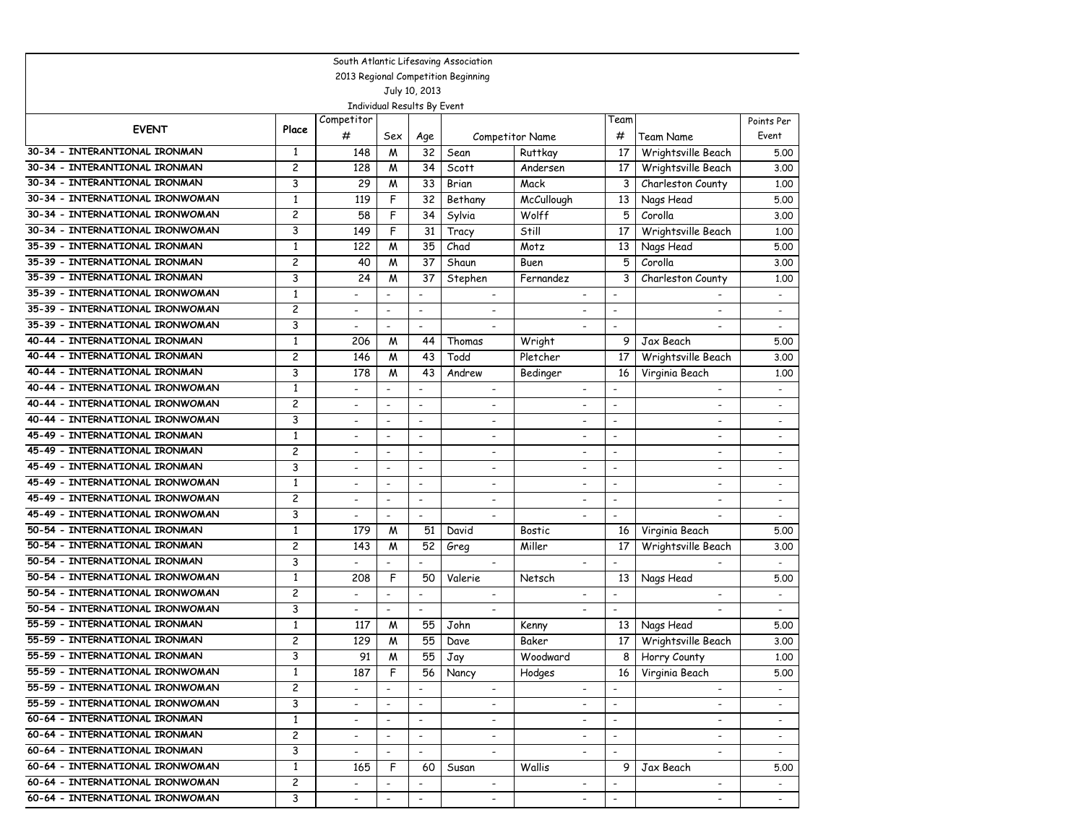|                                     |                                                                |                         |                          |                          |                          | South Atlantic Lifesaving Association |                          |                              |                          |                          |
|-------------------------------------|----------------------------------------------------------------|-------------------------|--------------------------|--------------------------|--------------------------|---------------------------------------|--------------------------|------------------------------|--------------------------|--------------------------|
| 2013 Regional Competition Beginning |                                                                |                         |                          |                          |                          |                                       |                          |                              |                          |                          |
| July 10, 2013                       |                                                                |                         |                          |                          |                          |                                       |                          |                              |                          |                          |
|                                     | Individual Results By Event                                    |                         |                          |                          |                          |                                       |                          |                              |                          |                          |
|                                     | <b>EVENT</b>                                                   | Place                   | Competitor               |                          |                          |                                       |                          | Team                         |                          | Points Per               |
|                                     |                                                                |                         | #                        | Sex                      | Age                      |                                       | Competitor Name          | #                            | Team Name                | Event                    |
|                                     | 30-34 - INTERANTIONAL IRONMAN                                  | $\mathbf{1}$            | 148                      | M                        | 32                       | Sean                                  | Ruttkay                  | 17                           | Wrightsville Beach       | 5.00                     |
|                                     | 30-34 - INTERANTIONAL IRONMAN                                  | 2                       | 128                      | M                        | 34                       | Scott                                 | Andersen                 | 17                           | Wrightsville Beach       | 3.00                     |
|                                     | 30-34 - INTERANTIONAL IRONMAN                                  | 3                       | 29                       | M                        | 33                       | Brian                                 | Mack                     | 3                            | Charleston County        | 1.00                     |
|                                     | 30-34 - INTERNATIONAL IRONWOMAN                                | $\mathbf{1}$            | 119                      | F                        | 32                       | Bethany                               | McCullough               | 13                           | Nags Head                | 5.00                     |
|                                     | 30-34 - INTERNATIONAL IRONWOMAN                                | $\overline{\mathbf{c}}$ | 58                       | F                        | 34                       | Sylvia                                | Wolff                    | 5                            | Corolla                  | 3.00                     |
|                                     | 30-34 - INTERNATIONAL IRONWOMAN                                | 3                       | 149                      | F                        | 31                       | Tracy                                 | Still                    | 17                           | Wrightsville Beach       | 1.00                     |
|                                     | 35-39 - INTERNATIONAL IRONMAN                                  | 1                       | 122                      | M                        | 35                       | Chad                                  | Motz                     | 13                           | Nags Head                | 5.00                     |
|                                     | 35-39 - INTERNATIONAL IRONMAN                                  | 2                       | 40                       | M                        | 37                       | Shaun                                 | Buen                     | 5                            | Corolla                  | 3.00                     |
|                                     | 35-39 - INTERNATIONAL IRONMAN                                  | 3                       | 24                       | M                        | 37                       | Stephen                               | Fernandez                | 3                            | Charleston County        | 1.00                     |
|                                     | 35-39 - INTERNATIONAL IRONWOMAN                                | $\mathbf{1}$            | $\overline{\phantom{0}}$ | $\blacksquare$           | $\overline{\phantom{a}}$ | $\overline{\phantom{a}}$              | $\overline{\phantom{a}}$ | $\overline{\phantom{0}}$     |                          | $\overline{\phantom{0}}$ |
|                                     | 35-39 - INTERNATIONAL IRONWOMAN                                | 2                       | $\overline{\phantom{0}}$ | $\overline{\phantom{a}}$ | $\overline{\phantom{a}}$ | $\overline{\phantom{a}}$              | $\overline{\phantom{a}}$ | $\overline{\phantom{a}}$     |                          | $\overline{\phantom{0}}$ |
|                                     | 35-39 - INTERNATIONAL IRONWOMAN                                | 3                       | $\overline{\phantom{a}}$ | $\overline{\phantom{a}}$ | $\overline{\phantom{a}}$ | $\overline{\phantom{a}}$              | $\overline{\phantom{a}}$ | $\overline{\phantom{0}}$     |                          | $\blacksquare$           |
|                                     | 40-44 - INTERNATIONAL IRONMAN                                  | 1                       | 206                      | M                        | 44                       | Thomas                                | Wright                   | 9                            | Jax Beach                | 5.00                     |
|                                     | 40-44 - INTERNATIONAL IRONMAN                                  | 2                       | 146                      | M                        | 43                       | Todd                                  | Pletcher                 | 17                           | Wrightsville Beach       | 3.00                     |
|                                     | 40-44 - INTERNATIONAL IRONMAN                                  | 3                       | 178                      | M                        | 43                       | Andrew                                | Bedinger                 | 16                           | Virginia Beach           | 1,00                     |
|                                     | 40-44 - INTERNATIONAL IRONWOMAN                                | $\mathbf{1}$            | $\overline{a}$           | $\overline{\phantom{a}}$ | $\blacksquare$           | $\overline{\phantom{a}}$              | $\overline{\phantom{a}}$ | ٠                            | $\overline{\phantom{a}}$ | $\overline{\phantom{a}}$ |
|                                     | 40-44 - INTERNATIONAL IRONWOMAN                                | 2                       | $\overline{a}$           | $\overline{\phantom{a}}$ | $\overline{\phantom{a}}$ | $\overline{\phantom{a}}$              | $\overline{\phantom{a}}$ | $\overline{\phantom{0}}$     | $\overline{\phantom{0}}$ |                          |
|                                     | 40-44 - INTERNATIONAL IRONWOMAN                                | 3                       | $\overline{a}$           | $\blacksquare$           | $\overline{\phantom{a}}$ | $\overline{\phantom{a}}$              | $\overline{\phantom{a}}$ | $\overline{\phantom{0}}$     | $\overline{\phantom{a}}$ | $\overline{a}$           |
|                                     | 45-49 - INTERNATIONAL IRONMAN                                  | $\mathbf{1}$            | -                        | $\overline{\phantom{a}}$ | $\overline{\phantom{a}}$ | $\overline{\phantom{a}}$              | $\overline{\phantom{a}}$ | $\qquad \qquad \blacksquare$ | $\overline{\phantom{a}}$ |                          |
|                                     | 45-49 - INTERNATIONAL IRONMAN                                  | 2                       | $\overline{\phantom{0}}$ | $\overline{\phantom{a}}$ | $\overline{\phantom{a}}$ | $\overline{\phantom{a}}$              | $\overline{\phantom{a}}$ | $\overline{a}$               | $\overline{\phantom{a}}$ |                          |
|                                     | 45-49 - INTERNATIONAL IRONMAN                                  | 3                       | $\overline{\phantom{0}}$ | $\overline{\phantom{a}}$ | $\blacksquare$           |                                       | $\overline{\phantom{a}}$ | $\overline{\phantom{a}}$     | $\overline{a}$           |                          |
|                                     | 45-49 - INTERNATIONAL IRONWOMAN                                | $\mathbf{1}$            | $\overline{\phantom{0}}$ | $\overline{\phantom{a}}$ | $\blacksquare$           | $\overline{\phantom{a}}$              | $\overline{\phantom{a}}$ | $\overline{\phantom{a}}$     | $\overline{a}$           | $\overline{\phantom{a}}$ |
|                                     | 45-49 - INTERNATIONAL IRONWOMAN                                | $\overline{c}$          | $\overline{\phantom{0}}$ | $\overline{\phantom{a}}$ | $\overline{\phantom{a}}$ | $\overline{\phantom{a}}$              | $\overline{\phantom{a}}$ | $\overline{\phantom{0}}$     | $\overline{\phantom{a}}$ | $\overline{\phantom{0}}$ |
|                                     | 45-49 - INTERNATIONAL IRONWOMAN                                | 3                       | $\overline{\phantom{0}}$ | $\overline{\phantom{a}}$ | $\overline{\phantom{a}}$ | $\overline{\phantom{a}}$              | $\overline{\phantom{a}}$ | $\overline{\phantom{0}}$     |                          | $\overline{\phantom{a}}$ |
|                                     | 50-54 - INTERNATIONAL IRONMAN                                  | $\mathbf{1}$            | 179                      | M                        | 51                       | David                                 | <b>Bostic</b>            | 16                           | Virginia Beach           | 5.00                     |
|                                     | 50-54 - INTERNATIONAL IRONMAN                                  | 2                       | 143                      | M                        | 52                       | Greg                                  | Miller                   | 17                           | Wrightsville Beach       | 3.00                     |
|                                     | 50-54 - INTERNATIONAL IRONMAN                                  | 3                       |                          | $\overline{a}$           | $\overline{a}$           | $\overline{\phantom{a}}$              | $\overline{\phantom{a}}$ | $\overline{a}$               | $\blacksquare$           |                          |
|                                     | 50-54 - INTERNATIONAL IRONWOMAN                                | $\mathbf{1}$            | 208                      | F                        | 50                       | Valerie                               | Netsch                   | 13                           | Nags Head                | 5.00                     |
|                                     | 50-54 - INTERNATIONAL IRONWOMAN                                | $\overline{c}$          | ٠                        | $\blacksquare$           | $\blacksquare$           | $\overline{\phantom{a}}$              | $\overline{\phantom{a}}$ | ٠                            | $\overline{\phantom{a}}$ | $\overline{\phantom{a}}$ |
|                                     | 50-54 - INTERNATIONAL IRONWOMAN                                | 3                       | $\overline{a}$           | $\overline{\phantom{a}}$ | $\overline{\phantom{a}}$ |                                       |                          | $\overline{\phantom{0}}$     |                          |                          |
|                                     | 55-59 - INTERNATIONAL IRONMAN<br>55-59 - INTERNATIONAL IRONMAN | $\mathbf{1}$            | 117                      | M                        | 55                       | John                                  | Kenny                    | 13                           | Nags Head                | 5.00                     |
|                                     |                                                                | 2                       | 129                      | M                        | 55                       | Dave                                  | Baker                    | 17                           | Wrightsville Beach       | 3.00                     |
|                                     | 55-59 - INTERNATIONAL IRONMAN                                  | 3                       | 91                       | M                        | 55                       | Jay                                   | Woodward                 | 8                            | Horry County             | 1,00                     |
|                                     | 55-59 - INTERNATIONAL IRONWOMAN                                | 1                       | 187                      | F                        | 56                       | Nancy                                 | Hodges                   | 16                           | Virginia Beach           | 5.00                     |
|                                     | 55-59 - INTERNATIONAL IRONWOMAN                                | $\overline{c}$          | $\overline{\phantom{0}}$ |                          |                          | $\overline{\phantom{a}}$              | $\overline{\phantom{a}}$ | $\overline{\phantom{0}}$     | $\overline{\phantom{a}}$ | $\overline{\phantom{a}}$ |
|                                     | 55-59 - INTERNATIONAL IRONWOMAN                                | 3                       | $\overline{\phantom{a}}$ | $\overline{\phantom{a}}$ | $\overline{\phantom{a}}$ | $\overline{\phantom{a}}$              | $\overline{\phantom{a}}$ | $\overline{\phantom{0}}$     | $\overline{\phantom{a}}$ | $\sim$                   |
|                                     | 60-64 - INTERNATIONAL IRONMAN                                  | $\mathbf{1}$            | $\overline{\phantom{a}}$ | $\overline{\phantom{a}}$ | $\overline{\phantom{a}}$ | $\overline{\phantom{a}}$              | $\overline{\phantom{a}}$ | $\overline{\phantom{a}}$     | $\overline{\phantom{a}}$ | $\blacksquare$           |
|                                     | 60-64 - INTERNATIONAL IRONMAN                                  | 2                       | $\overline{\phantom{a}}$ | $\overline{\phantom{a}}$ | $\overline{\phantom{a}}$ | $\overline{\phantom{a}}$              | $\overline{\phantom{a}}$ | -                            | $\overline{\phantom{a}}$ | $\overline{\phantom{a}}$ |
|                                     | 60-64 - INTERNATIONAL IRONMAN                                  | 3                       | $\overline{\phantom{a}}$ | $\overline{\phantom{a}}$ | $\overline{\phantom{a}}$ | $\overline{\phantom{0}}$              | $\overline{\phantom{a}}$ | $\overline{\phantom{a}}$     | $\overline{\phantom{a}}$ | $\sim$                   |
|                                     | 60-64 - INTERNATIONAL IRONWOMAN                                | $\mathbf{1}$            | 165                      | F                        | 60                       | Susan                                 | Wallis                   | 9                            | Jax Beach                | 5.00                     |
|                                     | 60-64 - INTERNATIONAL IRONWOMAN                                | $\overline{c}$          | $\overline{\phantom{a}}$ | $\overline{\phantom{a}}$ | $\overline{\phantom{a}}$ | $\overline{\phantom{a}}$              | $\overline{\phantom{a}}$ | $\overline{\phantom{a}}$     | $\overline{\phantom{a}}$ | $\overline{\phantom{a}}$ |
|                                     | 60-64 - INTERNATIONAL IRONWOMAN                                | 3                       | -                        |                          | $\overline{\phantom{a}}$ | $\overline{\phantom{a}}$              | $\overline{\phantom{a}}$ |                              | $\overline{\phantom{a}}$ |                          |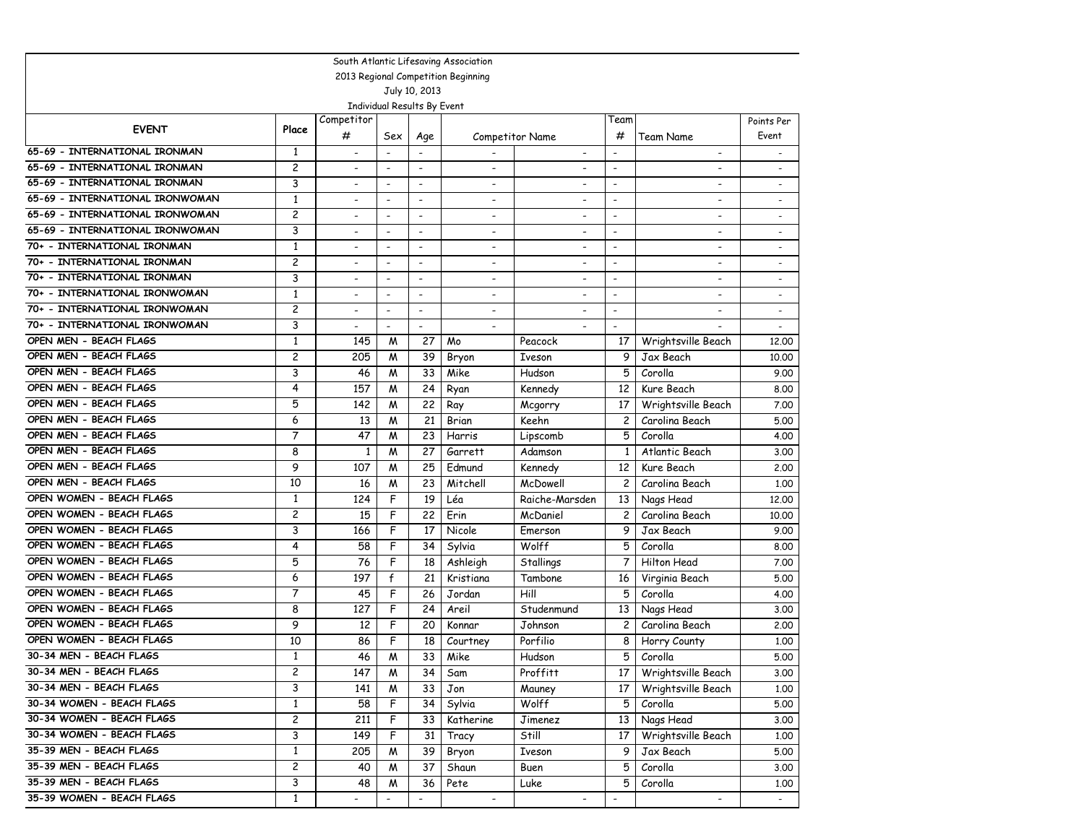|                                     |                         |                          |                          |                              | South Atlantic Lifesaving Association |                          |                              |                          |                              |  |
|-------------------------------------|-------------------------|--------------------------|--------------------------|------------------------------|---------------------------------------|--------------------------|------------------------------|--------------------------|------------------------------|--|
| 2013 Regional Competition Beginning |                         |                          |                          |                              |                                       |                          |                              |                          |                              |  |
| July 10, 2013                       |                         |                          |                          |                              |                                       |                          |                              |                          |                              |  |
| Individual Results By Event         |                         |                          |                          |                              |                                       |                          |                              |                          |                              |  |
| <b>EVENT</b>                        | Place                   | Competitor               |                          |                              |                                       |                          | Team                         |                          | Points Per                   |  |
|                                     |                         | #                        | Sex                      | Age                          |                                       | Competitor Name          | #                            | Team Name                | Event                        |  |
| 65-69 - INTERNATIONAL IRONMAN       | 1                       | $\overline{\phantom{a}}$ | $\overline{\phantom{a}}$ |                              |                                       | $\overline{\phantom{a}}$ | $\overline{\phantom{a}}$     | $\overline{\phantom{a}}$ | $\qquad \qquad \blacksquare$ |  |
| 65-69 - INTERNATIONAL IRONMAN       | 2                       |                          | $\overline{\phantom{a}}$ | $\overline{\phantom{a}}$     | $\overline{\phantom{a}}$              |                          | $\overline{\phantom{a}}$     | $\overline{\phantom{a}}$ | $\overline{\phantom{a}}$     |  |
| 65-69 - INTERNATIONAL IRONMAN       | 3                       |                          | $\overline{\phantom{a}}$ | $\blacksquare$               | $\overline{\phantom{a}}$              |                          | $\overline{\phantom{a}}$     | $\overline{\phantom{a}}$ | $\overline{\phantom{a}}$     |  |
| 65-69 - INTERNATIONAL IRONWOMAN     | $\mathbf{1}$            |                          | $\blacksquare$           | $\overline{\phantom{a}}$     | $\blacksquare$                        |                          | $\blacksquare$               | $\overline{\phantom{a}}$ | $\overline{\phantom{a}}$     |  |
| 65-69 - INTERNATIONAL IRONWOMAN     | 2                       |                          | $\blacksquare$           | $\overline{\phantom{a}}$     | $\overline{\phantom{a}}$              |                          | $\overline{\phantom{a}}$     | $\overline{\phantom{0}}$ | $\overline{\phantom{a}}$     |  |
| 65-69 - INTERNATIONAL IRONWOMAN     | 3                       | $\overline{\phantom{a}}$ | $\overline{\phantom{a}}$ | $\overline{\phantom{a}}$     | $\blacksquare$                        | $\overline{\phantom{0}}$ | $\overline{\phantom{a}}$     | $\overline{\phantom{a}}$ | $\blacksquare$               |  |
| 70+ - INTERNATIONAL IRONMAN         | $\mathbf{1}$            | $\overline{\phantom{a}}$ | $\overline{\phantom{a}}$ | $\overline{\phantom{a}}$     | $\blacksquare$                        | $\overline{\phantom{a}}$ | $\overline{\phantom{a}}$     | $\blacksquare$           | $\overline{\phantom{a}}$     |  |
| 70+ - INTERNATIONAL IRONMAN         | $\overline{c}$          | $\blacksquare$           | $\overline{\phantom{a}}$ | $\overline{\phantom{a}}$     | $\overline{\phantom{a}}$              | $\overline{\phantom{a}}$ | $\overline{\phantom{a}}$     | $\overline{\phantom{a}}$ | $\overline{\phantom{a}}$     |  |
| 70+ - INTERNATIONAL IRONMAN         | 3                       | $\overline{\phantom{a}}$ | $\overline{\phantom{a}}$ | $\overline{\phantom{a}}$     | $\blacksquare$                        | $\overline{\phantom{a}}$ | $\overline{\phantom{a}}$     | $\overline{\phantom{a}}$ | $\overline{\phantom{a}}$     |  |
| 70+ - INTERNATIONAL IRONWOMAN       | $\mathbf{1}$            |                          | $\blacksquare$           | $\overline{a}$               |                                       |                          | $\overline{a}$               |                          | $\overline{\phantom{a}}$     |  |
| 70+ - INTERNATIONAL IRONWOMAN       | 2                       | $\overline{\phantom{a}}$ | $\blacksquare$           | $\overline{\phantom{a}}$     | $\overline{\phantom{a}}$              | $\overline{\phantom{a}}$ | $\overline{\phantom{a}}$     | $\overline{\phantom{a}}$ | $\overline{\phantom{a}}$     |  |
| 70+ - INTERNATIONAL IRONWOMAN       | 3                       | $\blacksquare$           | $\blacksquare$           | $\blacksquare$               | $\overline{\phantom{a}}$              | $\overline{a}$           | $\overline{\phantom{a}}$     |                          | $\blacksquare$               |  |
| OPEN MEN - BEACH FLAGS              | $\mathbf{1}$            | 145                      | M                        | 27                           | Mo                                    | Peacock                  | 17                           | Wrightsville Beach       | 12,00                        |  |
| OPEN MEN - BEACH FLAGS              | 2                       | 205                      | M                        | 39                           | Bryon                                 | <b>T</b> veson           | 9                            | Jax Beach                | 10.00                        |  |
| OPEN MEN - BEACH FLAGS              | 3                       | 46                       | M                        | 33                           | Mike                                  | Hudson                   | 5                            | Corolla                  | 9.00                         |  |
| OPEN MEN - BEACH FLAGS              | $\overline{4}$          | 157                      | M                        | 24                           | Ryan                                  | Kennedy                  | 12                           | Kure Beach               | 8.00                         |  |
| OPEN MEN - BEACH FLAGS              | 5                       | 142                      | M                        | 22                           | Ray                                   | Mcgorry                  | 17                           | Wrightsville Beach       | 7.00                         |  |
| OPEN MEN - BEACH FLAGS              | 6                       | 13                       | M                        | 21                           | Brian                                 | Keehn                    | 2                            | Carolina Beach           | 5.00                         |  |
| OPEN MEN - BEACH FLAGS              | 7                       | 47                       | W                        | 23                           | Harris                                | Lipscomb                 | 5                            | Corolla                  | 4.00                         |  |
| OPEN MEN - BEACH FLAGS              | 8                       | $\mathbf{1}$             | W                        | 27                           | Garrett                               | Adamson                  | 1                            | Atlantic Beach           | 3.00                         |  |
| OPEN MEN - BEACH FLAGS              | 9                       | 107                      | M                        | 25                           | Edmund                                | Kennedy                  | 12                           | Kure Beach               | 2,00                         |  |
| OPEN MEN - BEACH FLAGS              | 10                      | 16                       | M                        | 23                           | Mitchell                              | McDowell                 | 2                            | Carolina Beach           | 1,00                         |  |
| OPEN WOMEN - BEACH FLAGS            | $\mathbf{1}$            | 124                      | F                        | 19                           | Léa                                   | Raiche-Marsden           | 13                           | Nags Head                | 12,00                        |  |
| OPEN WOMEN - BEACH FLAGS            | 2                       | 15                       | F                        | 22                           | Erin                                  | McDaniel                 | $\overline{c}$               | Carolina Beach           | 10.00                        |  |
| OPEN WOMEN - BEACH FLAGS            | 3                       | 166                      | F                        | 17                           | <b>Nicole</b>                         | Emerson                  | 9                            | Jax Beach                | 9.00                         |  |
| OPEN WOMEN - BEACH FLAGS            | 4                       | 58                       | F                        | 34                           | Sylvia                                | Wolff                    | 5                            | Corolla                  | 8.00                         |  |
| OPEN WOMEN - BEACH FLAGS            | 5                       | 76                       | F                        | 18                           | Ashleigh                              | Stallings                |                              | Hilton Head              | 7.00                         |  |
| OPEN WOMEN - BEACH FLAGS            | 6                       | 197                      | $\mathsf{f}$             | 21                           | Kristiana                             | Tambone                  | 16                           | Virginia Beach           | 5.00                         |  |
| OPEN WOMEN - BEACH FLAGS            | 7                       | 45                       | F                        | 26                           | Jordan                                | Hill                     | 5                            | Corolla                  | 4.00                         |  |
| OPEN WOMEN - BEACH FLAGS            | 8                       | 127                      | F                        | 24                           | Areil                                 | Studenmund               | 13                           | Nags Head                | 3.00                         |  |
| OPEN WOMEN - BEACH FLAGS            | 9                       | 12                       | F                        | 20                           | Konnar                                | Johnson                  | 2                            | Carolina Beach           | 2,00                         |  |
| OPEN WOMEN - BEACH FLAGS            | 10                      | 86                       | F                        | 18                           | Courtney                              | Porfilio                 | 8                            | Horry County             | 1.00                         |  |
| 30-34 MEN - BEACH FLAGS             | $\mathbf{1}$            | 46                       | W                        | 33                           | Mike                                  | Hudson                   | 5                            | Corolla                  | 5.00                         |  |
| 30-34 MEN - BEACH FLAGS             | 2                       | 147                      | W                        | 34                           | Sam                                   | Proffitt                 |                              | 17   Wrightsville Beach  | 3.00                         |  |
| 30-34 MEN - BEACH FLAGS             | 3                       | 141                      | W                        | 33                           | Jon                                   | Mauney                   | 17                           | Wrightsville Beach       | 1.00                         |  |
| 30-34 WOMEN - BEACH FLAGS           | $\mathbf{1}$            | 58                       | F                        | 34                           | Sylvia                                | Wolff                    | 5                            | Corolla                  | 5.00                         |  |
| 30-34 WOMEN - BEACH FLAGS           | $\overline{\mathbf{c}}$ | 211                      | F                        | 33                           | Katherine                             | Jimenez                  | 13                           | Nags Head                | 3.00                         |  |
| 30-34 WOMEN - BEACH FLAGS           | 3                       | 149                      | F                        | 31                           | Tracy                                 | Still                    | 17                           | Wrightsville Beach       | 1.00                         |  |
| 35-39 MEN - BEACH FLAGS             | $\mathbf{1}$            | 205                      | M                        | 39                           | Bryon                                 | Iveson                   | 9                            | Jax Beach                | 5.00                         |  |
| 35-39 MEN - BEACH FLAGS             | 2                       | 40                       | M                        | 37                           | Shaun                                 | Buen                     | 5                            | Corolla                  | 3.00                         |  |
| 35-39 MEN - BEACH FLAGS             | 3                       | 48                       | M                        | 36                           | Pete                                  | Luke                     | 5                            | Corolla                  | 1.00                         |  |
| 35-39 WOMEN - BEACH FLAGS           | $\mathbf{1}$            | $\overline{\phantom{a}}$ | $\overline{\phantom{a}}$ | $\qquad \qquad \blacksquare$ | $\overline{\phantom{a}}$              |                          | $\qquad \qquad \blacksquare$ | $\overline{\phantom{a}}$ | $\blacksquare$               |  |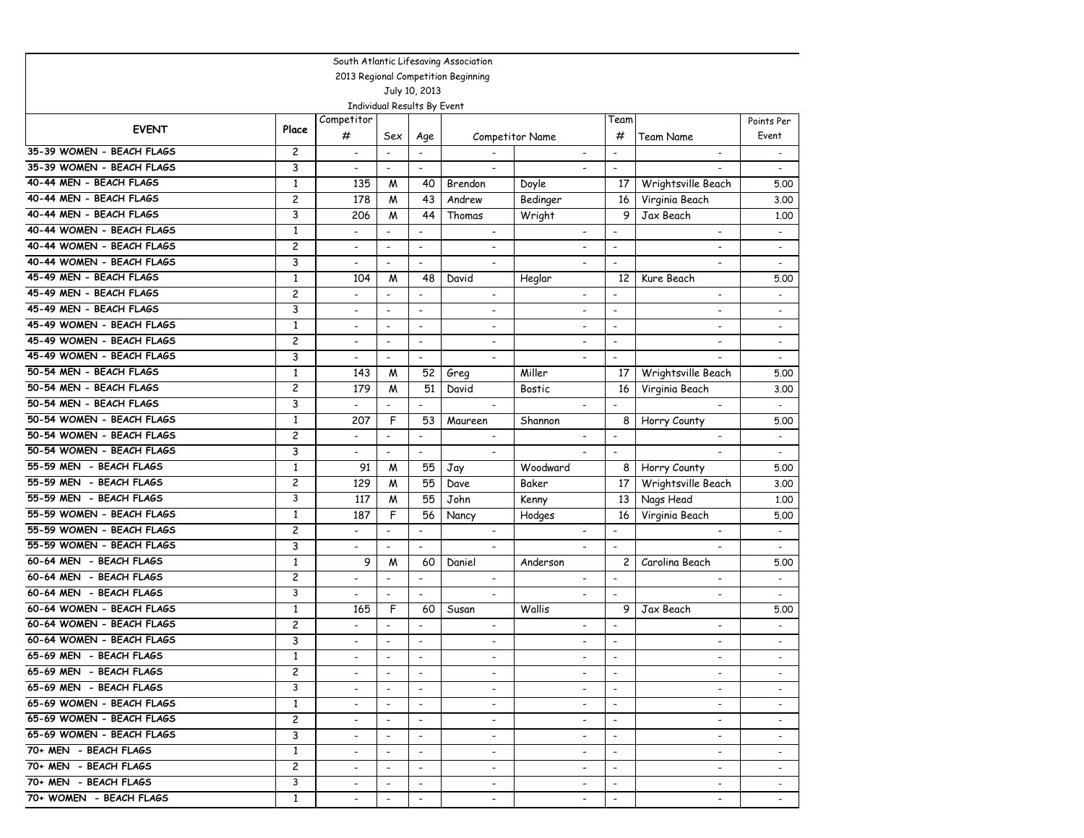|                                     |                |                              |                             |                          | South Atlantic Lifesaving Association |                              |                              |                          |                          |  |
|-------------------------------------|----------------|------------------------------|-----------------------------|--------------------------|---------------------------------------|------------------------------|------------------------------|--------------------------|--------------------------|--|
| 2013 Regional Competition Beginning |                |                              |                             |                          |                                       |                              |                              |                          |                          |  |
| July 10, 2013                       |                |                              |                             |                          |                                       |                              |                              |                          |                          |  |
|                                     |                |                              | Individual Results By Event |                          |                                       |                              |                              |                          |                          |  |
| <b>EVENT</b>                        |                | Competitor                   |                             |                          |                                       |                              | Team                         |                          | Points Per               |  |
|                                     | Place          | #                            | Sex                         | Age                      |                                       | <b>Competitor Name</b>       | #                            | <b>Team Name</b>         | Event                    |  |
| 35-39 WOMEN - BEACH FLAGS           | 2              | $\overline{\phantom{a}}$     | $\overline{\phantom{a}}$    | $\overline{\phantom{a}}$ |                                       | $\overline{\phantom{a}}$     | $\overline{\phantom{a}}$     | $\overline{\phantom{a}}$ | $\overline{\phantom{a}}$ |  |
| 35-39 WOMEN - BEACH FLAGS           | 3              | $\overline{\phantom{a}}$     | $\overline{\phantom{a}}$    | $\overline{\phantom{a}}$ | $\overline{\phantom{a}}$              |                              | $\overline{\phantom{a}}$     |                          | $\overline{\phantom{a}}$ |  |
| 40-44 MEN - BEACH FLAGS             | $\mathbf{1}$   | 135                          | M                           | 40                       | Brendon                               | Doyle                        | 17                           | Wrightsville Beach       | 5.00                     |  |
| 40-44 MEN - BEACH FLAGS             | $\overline{c}$ | 178                          | M                           | 43                       | Andrew                                | Bedinger                     | 16                           | Virginia Beach           | 3.00                     |  |
| 40-44 MEN - BEACH FLAGS             | 3              | 206                          | M                           | 44                       | Thomas                                | Wright                       | 9                            | Jax Beach                | 1.00                     |  |
| 40-44 WOMEN - BEACH FLAGS           | $\mathbf{1}$   | $\overline{a}$               | $\overline{\phantom{a}}$    | $\overline{\phantom{a}}$ | $\overline{\phantom{a}}$              |                              | $\overline{\phantom{a}}$     | $\overline{\phantom{a}}$ | $\overline{a}$           |  |
| 40-44 WOMEN - BEACH FLAGS           | 2              | $\overline{\phantom{a}}$     | $\overline{\phantom{a}}$    | $\overline{\phantom{a}}$ | $\blacksquare$                        | $\overline{\phantom{a}}$     | $\overline{\phantom{a}}$     | $\blacksquare$           | $\overline{\phantom{a}}$ |  |
| 40-44 WOMEN - BEACH FLAGS           | 3              | $\qquad \qquad \blacksquare$ | $\overline{\phantom{a}}$    | $\overline{\phantom{a}}$ | $\overline{\phantom{a}}$              | $\overline{\phantom{a}}$     | $\qquad \qquad \blacksquare$ | $\overline{\phantom{a}}$ | $\overline{\phantom{a}}$ |  |
| 45-49 MEN - BEACH FLAGS             | $\mathbf{1}$   | 104                          | M                           | 48                       | David                                 | Heglar                       | 12                           | Kure Beach               | 5.00                     |  |
| 45-49 MEN - BEACH FLAGS             | $\overline{c}$ | $\overline{a}$               | $\overline{a}$              | $\blacksquare$           | $\overline{\phantom{0}}$              | $\overline{\phantom{a}}$     | $\overline{a}$               | $\overline{\phantom{a}}$ | $\overline{a}$           |  |
| 45-49 MEN - BEACH FLAGS             | 3              | $\overline{\phantom{a}}$     | $\blacksquare$              | $\overline{\phantom{a}}$ | $\overline{\phantom{a}}$              | $\overline{\phantom{a}}$     | $\overline{\phantom{a}}$     | $\overline{\phantom{0}}$ | $\overline{\phantom{a}}$ |  |
| 45-49 WOMEN - BEACH FLAGS           | $\mathbf{1}$   | $\overline{\phantom{a}}$     | $\overline{\phantom{a}}$    | $\overline{\phantom{a}}$ | $\overline{\phantom{a}}$              | $\overline{\phantom{a}}$     | $\overline{\phantom{a}}$     | $\blacksquare$           | $\overline{\phantom{a}}$ |  |
| 45-49 WOMEN - BEACH FLAGS           | $\overline{c}$ | $\overline{\phantom{0}}$     | $\overline{\phantom{a}}$    | $\overline{\phantom{a}}$ | $\overline{\phantom{0}}$              | $\overline{a}$               | $\overline{\phantom{a}}$     | $\overline{\phantom{a}}$ | $\overline{a}$           |  |
| 45-49 WOMEN - BEACH FLAGS           | 3              | $\overline{\phantom{a}}$     | $\overline{\phantom{a}}$    | $\overline{\phantom{a}}$ | $\overline{\phantom{a}}$              | $\overline{\phantom{a}}$     | $\overline{\phantom{a}}$     |                          | $\overline{\phantom{a}}$ |  |
| 50-54 MEN - BEACH FLAGS             | $\mathbf{1}$   | 143                          | М                           | 52                       | Greg                                  | Miller                       | 17                           | Wrightsville Beach       | 5.00                     |  |
| 50-54 MEN - BEACH FLAGS             | $\overline{c}$ | 179                          | M                           | 51                       | David                                 | <b>Bostic</b>                | 16                           | Virginia Beach           | 3.00                     |  |
| 50-54 MEN - BEACH FLAGS             | 3              | $\overline{\phantom{a}}$     | $\overline{\phantom{a}}$    | $\overline{\phantom{a}}$ | $\overline{\phantom{a}}$              |                              | $\overline{\phantom{a}}$     | $\overline{\phantom{a}}$ | $\overline{\phantom{a}}$ |  |
| 50-54 WOMEN - BEACH FLAGS           | $\mathbf{1}$   | 207                          | F                           | 53                       | Maureen                               | Shannon                      | 8                            | Horry County             | 5.00                     |  |
| 50-54 WOMEN - BEACH FLAGS           | 2              | $\overline{\phantom{0}}$     | $\overline{\phantom{a}}$    | $\overline{\phantom{a}}$ | $\overline{\phantom{a}}$              |                              | $\overline{\phantom{a}}$     |                          | $\blacksquare$           |  |
| 50-54 WOMEN - BEACH FLAGS           | 3              | $\overline{\phantom{0}}$     | $\overline{\phantom{a}}$    | $\overline{\phantom{a}}$ | $\overline{\phantom{a}}$              |                              | $\overline{\phantom{a}}$     |                          |                          |  |
| 55-59 MEN - BEACH FLAGS             | $\mathbf{1}$   | 91                           | M                           | 55                       | Jay                                   | Woodward                     | 8                            | Horry County             | 5.00                     |  |
| 55-59 MEN - BEACH FLAGS             | 2              | 129                          | M                           | 55                       | Dave                                  | Baker                        | 17                           | Wrightsville Beach       | 3.00                     |  |
| 55-59 MEN - BEACH FLAGS             | 3              | 117                          | M                           | 55                       | John                                  | Kenny                        | 13                           | Nags Head                | 1,00                     |  |
| 55-59 WOMEN - BEACH FLAGS           | $\mathbf{1}$   | 187                          | F                           | 56                       | Nancy                                 | Hodges                       | 16                           | Virginia Beach           | 5.00                     |  |
| 55-59 WOMEN - BEACH FLAGS           | $\overline{c}$ | $\overline{\phantom{a}}$     | $\blacksquare$              | $\overline{\phantom{a}}$ | $\overline{\phantom{a}}$              | $\overline{\phantom{a}}$     | $\overline{\phantom{a}}$     | $\overline{\phantom{a}}$ | $\overline{\phantom{a}}$ |  |
| 55-59 WOMEN - BEACH FLAGS           | 3              | -                            | $\overline{\phantom{a}}$    | $\overline{\phantom{a}}$ | $\overline{\phantom{a}}$              |                              | $\overline{\phantom{a}}$     |                          | $\overline{\phantom{a}}$ |  |
| 60-64 MEN - BEACH FLAGS             | $\mathbf{1}$   | 9                            | М                           | 60                       | Daniel                                | Anderson                     | 2                            | Carolina Beach           | 5.00                     |  |
| 60-64 MEN - BEACH FLAGS             | 2              | $\overline{a}$               | $\overline{\phantom{a}}$    | $\overline{a}$           | $\overline{\phantom{a}}$              | $\qquad \qquad \blacksquare$ | $\overline{\phantom{a}}$     | $\overline{\phantom{a}}$ | $\overline{\phantom{a}}$ |  |
| 60-64 MEN - BEACH FLAGS             | 3              | $\overline{a}$               | $\blacksquare$              | $\blacksquare$           | $\blacksquare$                        |                              | $\blacksquare$               |                          | $\overline{a}$           |  |
| 60-64 WOMEN - BEACH FLAGS           | $\mathbf{1}$   | 165                          | F                           | 60                       | Susan                                 | Wallis                       | 9                            | Jax Beach                | 5.00                     |  |
| 60-64 WOMEN - BEACH FLAGS           | $\overline{c}$ | $\overline{a}$               | $\blacksquare$              | $\overline{\phantom{a}}$ | $\overline{\phantom{a}}$              | $\overline{\phantom{a}}$     | $\blacksquare$               | $\overline{\phantom{a}}$ | $\overline{\phantom{a}}$ |  |
| 60-64 WOMEN - BEACH FLAGS           | 3              | $\overline{\phantom{a}}$     | $\overline{\phantom{a}}$    | $\overline{\phantom{a}}$ | $\overline{\phantom{a}}$              | $\overline{\phantom{a}}$     | $\overline{\phantom{a}}$     | $\overline{\phantom{a}}$ | $\overline{\phantom{a}}$ |  |
| 65-69 MEN - BEACH FLAGS             | $\mathbf{1}$   |                              | $\overline{\phantom{a}}$    | $\overline{\phantom{a}}$ | $\qquad \qquad \blacksquare$          | $\overline{\phantom{a}}$     | $\overline{a}$               | $\overline{\phantom{a}}$ |                          |  |
| 65-69 MEN - BEACH FLAGS             | 2              | $\overline{\phantom{a}}$     | $\overline{\phantom{a}}$    |                          | $\overline{\phantom{a}}$              | $\overline{\phantom{a}}$     | $\overline{\phantom{a}}$     |                          |                          |  |
| 65-69 MEN - BEACH FLAGS             | 3              | $\overline{\phantom{0}}$     | $\blacksquare$              | $\blacksquare$           | $\overline{\phantom{0}}$              |                              | $\sim$                       |                          |                          |  |
| 65-69 WOMEN - BEACH FLAGS           | $\mathbf{1}$   | $\overline{\phantom{a}}$     | $\overline{\phantom{a}}$    | $\overline{\phantom{a}}$ | $\overline{\phantom{a}}$              | $\overline{\phantom{a}}$     | $\sim$                       | $\overline{\phantom{a}}$ |                          |  |
| 65-69 WOMEN - BEACH FLAGS           | $\overline{c}$ | $\overline{\phantom{a}}$     | $\overline{\phantom{a}}$    | $\overline{\phantom{a}}$ | $\overline{\phantom{a}}$              | $\overline{\phantom{a}}$     | $\sim$                       | $\overline{\phantom{a}}$ | $\overline{\phantom{a}}$ |  |
| 65-69 WOMEN - BEACH FLAGS           | 3              | $\overline{\phantom{a}}$     | $\overline{\phantom{a}}$    | $\overline{\phantom{a}}$ | $\overline{\phantom{0}}$              | $\overline{\phantom{a}}$     | $\overline{\phantom{a}}$     | $-$                      | $\overline{\phantom{a}}$ |  |
| 70+ MEN - BEACH FLAGS               | $\mathbf{1}$   | $\overline{\phantom{a}}$     | $\overline{\phantom{a}}$    | $\overline{\phantom{a}}$ | $\overline{\phantom{a}}$              |                              | $\overline{\phantom{a}}$     | $\overline{\phantom{a}}$ |                          |  |
| 70+ MEN - BEACH FLAGS               | $\mathbf{2}$   | -                            | $\overline{\phantom{a}}$    | $\overline{\phantom{a}}$ | $\overline{\phantom{a}}$              | $\overline{\phantom{a}}$     | $\overline{\phantom{a}}$     | $\overline{\phantom{a}}$ |                          |  |
| 70+ MEN - BEACH FLAGS               | 3              | $\overline{\phantom{a}}$     | $\overline{\phantom{a}}$    | $\overline{\phantom{a}}$ | $\overline{\phantom{0}}$              |                              | $\overline{\phantom{a}}$     |                          |                          |  |
| 70+ WOMEN - BEACH FLAGS             | $\mathbf{1}$   | $\overline{\phantom{a}}$     |                             | $\overline{\phantom{a}}$ | $\overline{\phantom{a}}$              | $\overline{\phantom{a}}$     |                              | $\overline{\phantom{a}}$ |                          |  |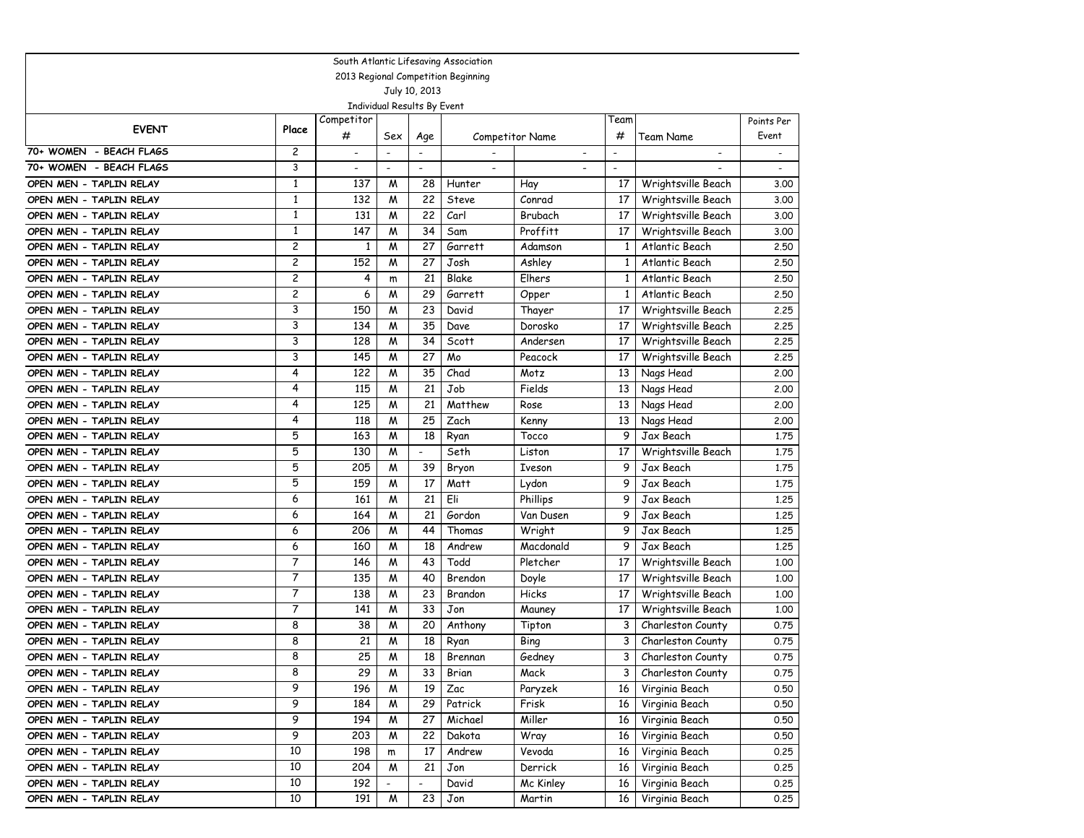| South Atlantic Lifesaving Association |                |                          |                          |                             |         |                          |                          |                          |                |
|---------------------------------------|----------------|--------------------------|--------------------------|-----------------------------|---------|--------------------------|--------------------------|--------------------------|----------------|
| 2013 Regional Competition Beginning   |                |                          |                          |                             |         |                          |                          |                          |                |
| July 10, 2013                         |                |                          |                          |                             |         |                          |                          |                          |                |
|                                       |                |                          |                          | Individual Results By Event |         |                          |                          |                          |                |
| <b>EVENT</b>                          | Place          | Competitor               |                          |                             |         |                          | Team                     |                          | Points Per     |
|                                       |                | #                        | Sex                      | Age                         |         | <b>Competitor Name</b>   | #                        | Team Name                | Event          |
| 70+ WOMEN - BEACH FLAGS               | 2              | $\overline{\phantom{a}}$ | $\overline{\phantom{a}}$ |                             |         | $\overline{\phantom{a}}$ | $\overline{\phantom{a}}$ | $\overline{\phantom{a}}$ |                |
| 70+ WOMEN - BEACH FLAGS               | 3              | $\overline{\phantom{0}}$ | $\overline{\phantom{a}}$ | $\blacksquare$              |         |                          | $\blacksquare$           |                          | $\blacksquare$ |
| OPEN MEN - TAPLIN RELAY               | $\mathbf{1}$   | 137                      | M                        | 28                          | Hunter  | Hay                      | 17                       | Wrightsville Beach       | 3.00           |
| OPEN MEN - TAPLIN RELAY               | $\mathbf{1}$   | 132                      | M                        | 22                          | Steve   | Conrad                   | 17                       | Wrightsville Beach       | 3.00           |
| OPEN MEN - TAPLIN RELAY               | $\mathbf{1}$   | 131                      | M                        | 22                          | Carl    | Brubach                  | 17                       | Wrightsville Beach       | 3.00           |
| OPEN MEN - TAPLIN RELAY               | $\mathbf{1}$   | 147                      | W                        | 34                          | Sam     | Proffitt                 | 17                       | Wrightsville Beach       | 3.00           |
| OPEN MEN - TAPLIN RELAY               | 2              | 1                        | M                        | 27                          | Garrett | Adamson                  | 1                        | Atlantic Beach           | 2.50           |
| OPEN MEN - TAPLIN RELAY               | 2              | 152                      | M                        | 27                          | Josh    | Ashley                   | $\mathbf{1}$             | Atlantic Beach           | 2.50           |
| OPEN MEN - TAPLIN RELAY               | $\overline{c}$ | 4                        | m                        | 21                          | Blake   | Elhers                   | $\mathbf{1}$             | Atlantic Beach           | 2.50           |
| OPEN MEN - TAPLIN RELAY               | 2              | 6                        | M                        | 29                          | Garrett | Opper                    | $\mathbf{1}$             | Atlantic Beach           | 2.50           |
| OPEN MEN - TAPLIN RELAY               | 3              | 150                      | M                        | 23                          | David   | Thayer                   | 17                       | Wrightsville Beach       | 2.25           |
| OPEN MEN - TAPLIN RELAY               | 3              | 134                      | M                        | 35                          | Dave    | Dorosko                  | 17                       | Wrightsville Beach       | 2.25           |
| OPEN MEN - TAPLIN RELAY               | 3              | 128                      | M                        | 34                          | Scott   | Andersen                 | 17                       | Wrightsville Beach       | 2.25           |
| OPEN MEN - TAPLIN RELAY               | 3              | 145                      | M                        | 27                          | Mo      | Peacock                  | 17                       | Wrightsville Beach       | 2.25           |
| OPEN MEN - TAPLIN RELAY               | 4              | 122                      | M                        | 35                          | Chad    | Motz                     | 13                       | Nags Head                | 2.00           |
| OPEN MEN - TAPLIN RELAY               | 4              | 115                      | M                        | 21                          | Job     | Fields                   | 13                       | Nags Head                | 2.00           |
| OPEN MEN - TAPLIN RELAY               | 4              | 125                      | M                        | 21                          | Matthew | Rose                     | 13                       | Nags Head                | 2.00           |
| OPEN MEN - TAPLIN RELAY               | 4              | 118                      | M                        | 25                          | Zach    | Kenny                    | 13                       | Nags Head                | 2.00           |
| OPEN MEN - TAPLIN RELAY               | 5              | 163                      | M                        | 18                          | Ryan    | Tocco                    | 9                        | Jax Beach                | 1.75           |
| OPEN MEN - TAPLIN RELAY               | 5              | 130                      | M                        | $\overline{\phantom{a}}$    | Seth    | Liston                   | 17                       | Wrightsville Beach       | 1.75           |
| OPEN MEN - TAPLIN RELAY               | 5              | 205                      | M                        | 39                          | Bryon   | Iveson                   | 9                        | Jax Beach                | 1.75           |
| OPEN MEN - TAPLIN RELAY               | 5              | 159                      | W                        | 17                          | Matt    | Lydon                    | 9                        | Jax Beach                | 1.75           |
| OPEN MEN - TAPLIN RELAY               | 6              | 161                      | M                        | 21                          | Eli     | Phillips                 | 9                        | Jax Beach                | 1.25           |
| OPEN MEN - TAPLIN RELAY               | 6              | 164                      | M                        | 21                          | Gordon  | Van Dusen                | 9                        | Jax Beach                | 1,25           |
| OPEN MEN - TAPLIN RELAY               | 6              | 206                      | M                        | 44                          | Thomas  | Wright                   | 9                        | Jax Beach                | 1.25           |
| OPEN MEN - TAPLIN RELAY               | 6              | 160                      | M                        | 18                          | Andrew  | Macdonald                | 9                        | Jax Beach                | 1.25           |
| OPEN MEN - TAPLIN RELAY               | 7              | 146                      | M                        | 43                          | Todd    | Pletcher                 | 17                       | Wrightsville Beach       | 1.00           |
| OPEN MEN - TAPLIN RELAY               | 7              | 135                      | M                        | 40                          | Brendon | Doyle                    | 17                       | Wrightsville Beach       | 1.00           |
| OPEN MEN - TAPLIN RELAY               | 7              | 138                      | M                        | 23                          | Brandon | Hicks                    | 17                       | Wrightsville Beach       | 1.00           |
| OPEN MEN - TAPLIN RELAY               | 7              | 141                      | W                        | 33                          | Jon     | Mauney                   | 17                       | Wrightsville Beach       | 1.00           |
| OPEN MEN - TAPLIN RELAY               | 8              | 38                       | W                        | 20                          | Anthony | Tipton                   | 3                        | Charleston County        | 0.75           |
| OPEN MEN - TAPLIN RELAY               | 8              | 21                       | M                        | 18                          | Ryan    | Bing                     | 3                        | Charleston County        | 0.75           |
| OPEN MEN - TAPLIN RELAY               | 8              | 25                       | M                        | 18                          | Brennan | Gedney                   | 3                        | Charleston County        | 0.75           |
| OPEN MEN - TAPLIN RELAY               | 8              | 29                       | M                        | 33                          | Brian   | Mack                     | 3                        | Charleston County        | 0.75           |
| OPEN MEN - TAPLIN RELAY               | 9              | 196                      | M                        | 19                          | Zac     | Paryzek                  | 16                       | Virginia Beach           | 0.50           |
| OPEN MEN - TAPLIN RELAY               | 9              | 184                      | W                        | 29                          | Patrick | Frisk                    | 16                       | Virginia Beach           | 0.50           |
| OPEN MEN - TAPLIN RELAY               | 9              | 194                      | M                        | 27                          | Michael | Miller                   | 16                       | Virginia Beach           | 0.50           |
| OPEN MEN - TAPLIN RELAY               | 9              | 203                      | M                        | 22                          | Dakota  | Wray                     | 16                       | Virginia Beach           | 0.50           |
| OPEN MEN - TAPLIN RELAY               | 10             | 198                      | m                        | 17                          | Andrew  | Vevoda                   | 16                       | Virginia Beach           | 0.25           |
| OPEN MEN - TAPLIN RELAY               | 10             | 204                      | M                        | 21                          | Jon     | Derrick                  | 16                       | Virginia Beach           | 0.25           |
| OPEN MEN - TAPLIN RELAY               | 10             | 192                      | $\overline{\phantom{a}}$ | $\overline{\phantom{a}}$    | David   | Mc Kinley                | 16                       | Virginia Beach           | 0.25           |
| OPEN MEN - TAPLIN RELAY               | 10             | 191                      | M                        | 23                          | Jon     | Martin                   | 16                       | Virginia Beach           | 0.25           |